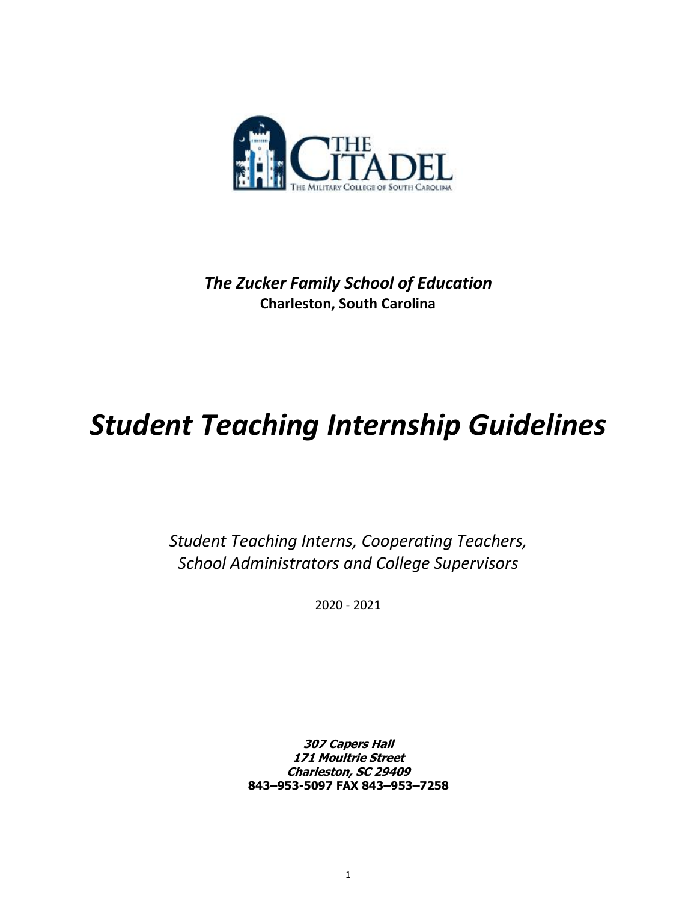

*The Zucker Family School of Education* **Charleston, South Carolina**

# *Student Teaching Internship Guidelines*

*Student Teaching Interns, Cooperating Teachers, School Administrators and College Supervisors*

2020 - 2021

**307 Capers Hall 171 Moultrie Street Charleston, SC 29409 843–953-5097 FAX 843–953–7258**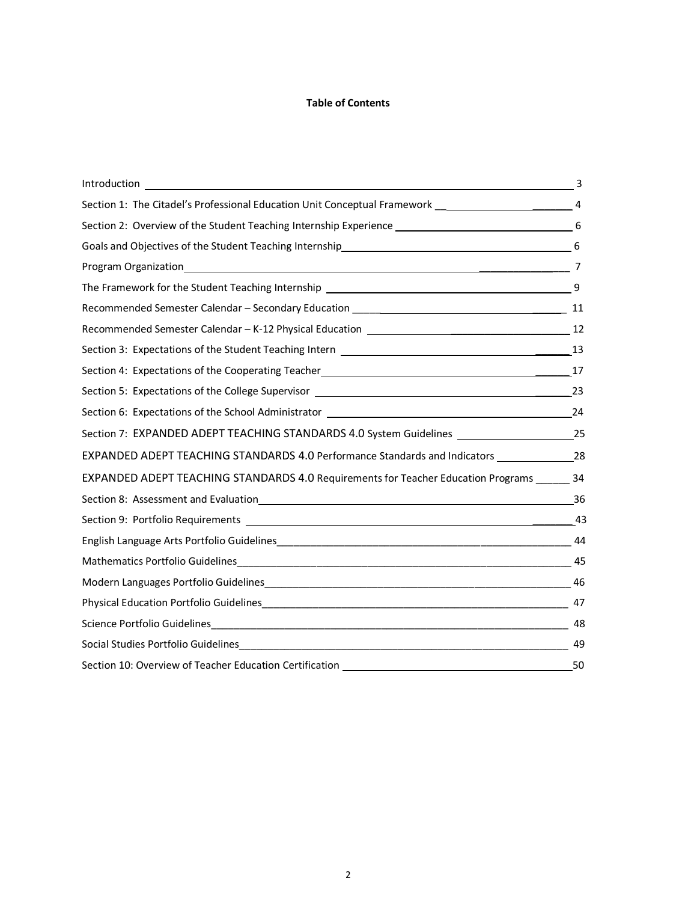#### **Table of Contents**

| Introduction<br><u>and the contract of the contract of the contract of the contract of the contract of the contract of the contract of the contract of the contract of the contract of the contract of the contract of the contract of the contr</u> | 3   |
|------------------------------------------------------------------------------------------------------------------------------------------------------------------------------------------------------------------------------------------------------|-----|
| Section 1: The Citadel's Professional Education Unit Conceptual Framework __________________________ 4                                                                                                                                               |     |
|                                                                                                                                                                                                                                                      |     |
| Goals and Objectives of the Student Teaching Internship<br>6                                                                                                                                                                                         |     |
| Program Organization 2010                                                                                                                                                                                                                            |     |
|                                                                                                                                                                                                                                                      |     |
| Recommended Semester Calendar - Secondary Education _____________________________                                                                                                                                                                    | 11  |
|                                                                                                                                                                                                                                                      |     |
|                                                                                                                                                                                                                                                      | 13  |
|                                                                                                                                                                                                                                                      |     |
|                                                                                                                                                                                                                                                      | -23 |
|                                                                                                                                                                                                                                                      |     |
| Section 7: EXPANDED ADEPT TEACHING STANDARDS 4.0 System Guidelines _________________________________25                                                                                                                                               |     |
| EXPANDED ADEPT TEACHING STANDARDS 4.0 Performance Standards and Indicators ______________________28                                                                                                                                                  |     |
| EXPANDED ADEPT TEACHING STANDARDS 4.0 Requirements for Teacher Education Programs ______ 34                                                                                                                                                          |     |
|                                                                                                                                                                                                                                                      | 36  |
|                                                                                                                                                                                                                                                      | 43  |
|                                                                                                                                                                                                                                                      |     |
|                                                                                                                                                                                                                                                      | 45  |
|                                                                                                                                                                                                                                                      |     |
|                                                                                                                                                                                                                                                      | 47  |
| $\frac{48}{1}$                                                                                                                                                                                                                                       |     |
|                                                                                                                                                                                                                                                      | 49  |
| Section 10: Overview of Teacher Education Certification                                                                                                                                                                                              | 50  |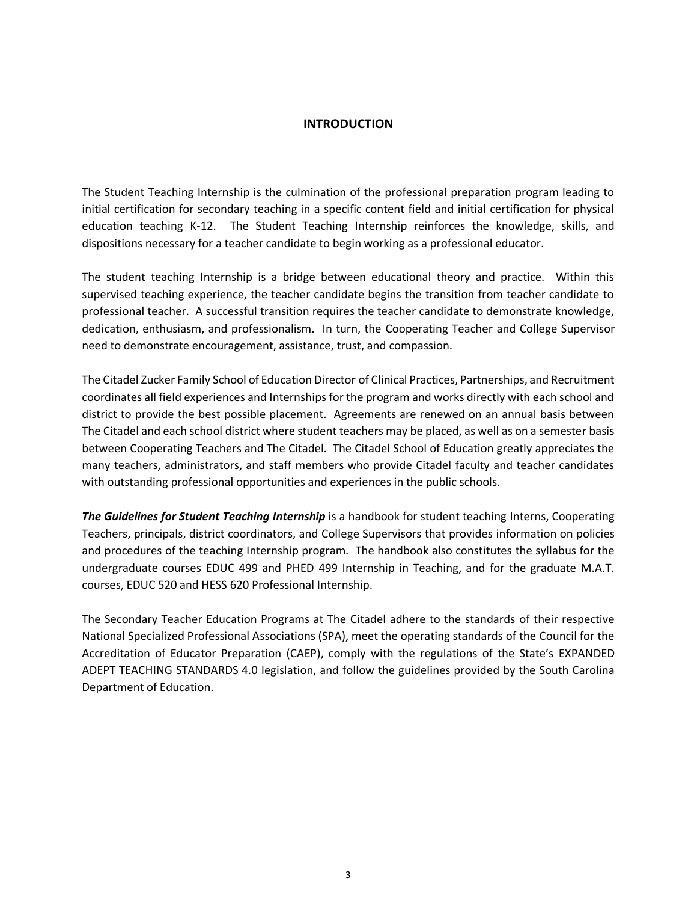#### **INTRODUCTION**

The Student Teaching Internship is the culmination of the professional preparation program leading to initial certification for secondary teaching in a specific content field and initial certification for physical education teaching K-12. The Student Teaching Internship reinforces the knowledge, skills, and dispositions necessary for a teacher candidate to begin working as a professional educator.

The student teaching Internship is a bridge between educational theory and practice. Within this supervised teaching experience, the teacher candidate begins the transition from teacher candidate to professional teacher. A successful transition requires the teacher candidate to demonstrate knowledge, dedication, enthusiasm, and professionalism. In turn, the Cooperating Teacher and College Supervisor need to demonstrate encouragement, assistance, trust, and compassion.

The Citadel Zucker Family School of Education Director of Clinical Practices, Partnerships, and Recruitment coordinates all field experiences and Internships for the program and works directly with each school and district to provide the best possible placement. Agreements are renewed on an annual basis between The Citadel and each school district where student teachers may be placed, as well as on a semester basis between Cooperating Teachers and The Citadel. The Citadel School of Education greatly appreciates the many teachers, administrators, and staff members who provide Citadel faculty and teacher candidates with outstanding professional opportunities and experiences in the public schools.

*The Guidelines for Student Teaching Internship* is a handbook for student teaching Interns, Cooperating Teachers, principals, district coordinators, and College Supervisors that provides information on policies and procedures of the teaching Internship program. The handbook also constitutes the syllabus for the undergraduate courses EDUC 499 and PHED 499 Internship in Teaching, and for the graduate M.A.T. courses, EDUC 520 and HESS 620 Professional Internship.

The Secondary Teacher Education Programs at The Citadel adhere to the standards of their respective National Specialized Professional Associations (SPA), meet the operating standards of the Council for the Accreditation of Educator Preparation (CAEP), comply with the regulations of the State's EXPANDED ADEPT TEACHING STANDARDS 4.0 legislation, and follow the guidelines provided by the South Carolina Department of Education.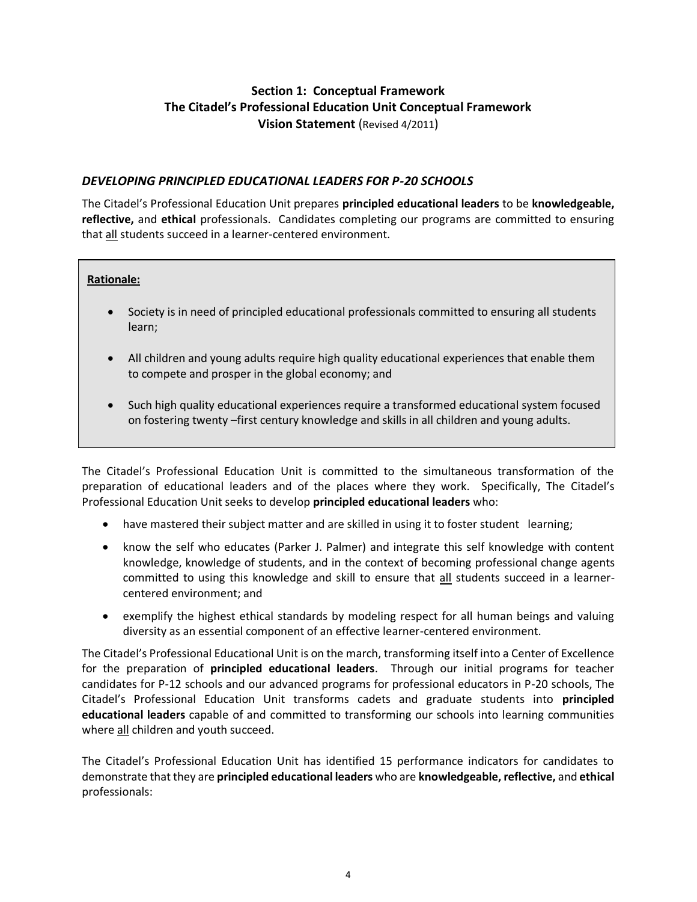# **Section 1: Conceptual Framework The Citadel's Professional Education Unit Conceptual Framework Vision Statement** (Revised 4/2011)

# *DEVELOPING PRINCIPLED EDUCATIONAL LEADERS FOR P-20 SCHOOLS*

The Citadel's Professional Education Unit prepares **principled educational leaders** to be **knowledgeable, reflective,** and **ethical** professionals. Candidates completing our programs are committed to ensuring that all students succeed in a learner-centered environment.

# **Rationale:**

- Society is in need of principled educational professionals committed to ensuring all students learn;
- All children and young adults require high quality educational experiences that enable them to compete and prosper in the global economy; and
- Such high quality educational experiences require a transformed educational system focused on fostering twenty –first century knowledge and skills in all children and young adults.

The Citadel's Professional Education Unit is committed to the simultaneous transformation of the preparation of educational leaders and of the places where they work. Specifically, The Citadel's Professional Education Unit seeks to develop **principled educational leaders** who:

- have mastered their subject matter and are skilled in using it to foster student learning;
- know the self who educates (Parker J. Palmer) and integrate this self knowledge with content knowledge, knowledge of students, and in the context of becoming professional change agents committed to using this knowledge and skill to ensure that all students succeed in a learnercentered environment; and
- exemplify the highest ethical standards by modeling respect for all human beings and valuing diversity as an essential component of an effective learner-centered environment.

The Citadel's Professional Educational Unit is on the march, transforming itself into a Center of Excellence for the preparation of **principled educational leaders**. Through our initial programs for teacher candidates for P-12 schools and our advanced programs for professional educators in P-20 schools, The Citadel's Professional Education Unit transforms cadets and graduate students into **principled educational leaders** capable of and committed to transforming our schools into learning communities where all children and youth succeed.

The Citadel's Professional Education Unit has identified 15 performance indicators for candidates to demonstrate that they are **principled educational leaders** who are **knowledgeable, reflective,** and **ethical** professionals: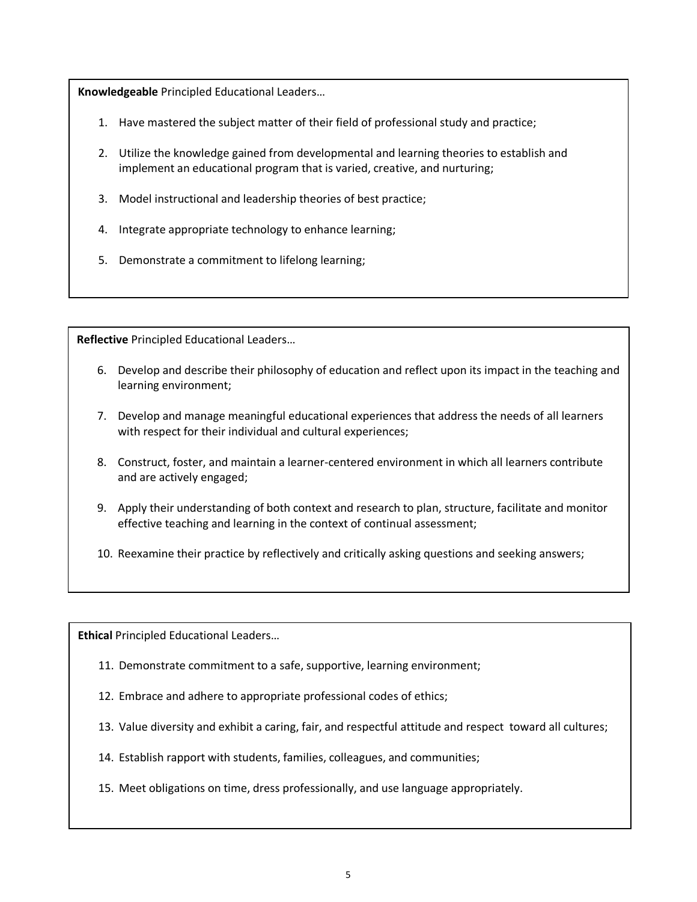**Knowledgeable** Principled Educational Leaders…

- 1. Have mastered the subject matter of their field of professional study and practice;
- 2. Utilize the knowledge gained from developmental and learning theories to establish and implement an educational program that is varied, creative, and nurturing;
- 3. Model instructional and leadership theories of best practice;
- 4. Integrate appropriate technology to enhance learning;
- 5. Demonstrate a commitment to lifelong learning;

**Reflective** Principled Educational Leaders…

- 6. Develop and describe their philosophy of education and reflect upon its impact in the teaching and learning environment;
- 7. Develop and manage meaningful educational experiences that address the needs of all learners with respect for their individual and cultural experiences;
- 8. Construct, foster, and maintain a learner-centered environment in which all learners contribute and are actively engaged;
- 9. Apply their understanding of both context and research to plan, structure, facilitate and monitor effective teaching and learning in the context of continual assessment;
- 10. Reexamine their practice by reflectively and critically asking questions and seeking answers;

**Ethical** Principled Educational Leaders…

- 11. Demonstrate commitment to a safe, supportive, learning environment;
- 12. Embrace and adhere to appropriate professional codes of ethics;
- 13. Value diversity and exhibit a caring, fair, and respectful attitude and respect toward all cultures;
- 14. Establish rapport with students, families, colleagues, and communities;
- 15. Meet obligations on time, dress professionally, and use language appropriately.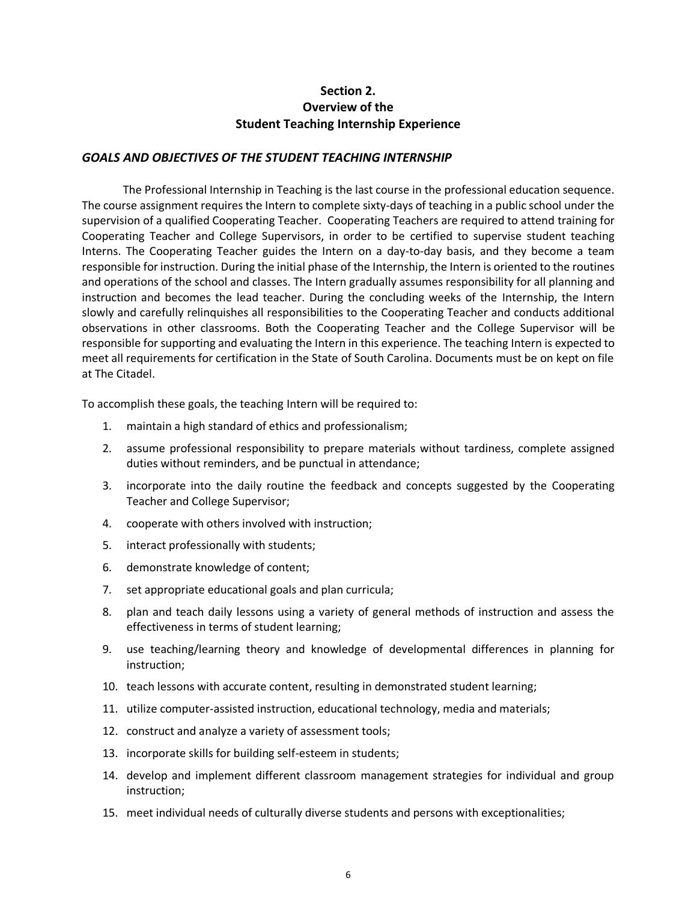# **Section 2. Overview of the Student Teaching Internship Experience**

#### *GOALS AND OBJECTIVES OF THE STUDENT TEACHING INTERNSHIP*

The Professional Internship in Teaching is the last course in the professional education sequence. The course assignment requires the Intern to complete sixty-days of teaching in a public school under the supervision of a qualified Cooperating Teacher. Cooperating Teachers are required to attend training for Cooperating Teacher and College Supervisors, in order to be certified to supervise student teaching Interns. The Cooperating Teacher guides the Intern on a day-to-day basis, and they become a team responsible for instruction. During the initial phase of the Internship, the Intern is oriented to the routines and operations of the school and classes. The Intern gradually assumes responsibility for all planning and instruction and becomes the lead teacher. During the concluding weeks of the Internship, the Intern slowly and carefully relinquishes all responsibilities to the Cooperating Teacher and conducts additional observations in other classrooms. Both the Cooperating Teacher and the College Supervisor will be responsible for supporting and evaluating the Intern in this experience. The teaching Intern is expected to meet all requirements for certification in the State of South Carolina. Documents must be on kept on file at The Citadel.

To accomplish these goals, the teaching Intern will be required to:

- 1. maintain a high standard of ethics and professionalism;
- 2. assume professional responsibility to prepare materials without tardiness, complete assigned duties without reminders, and be punctual in attendance;
- 3. incorporate into the daily routine the feedback and concepts suggested by the Cooperating Teacher and College Supervisor;
- 4. cooperate with others involved with instruction;
- 5. interact professionally with students;
- 6. demonstrate knowledge of content;
- 7. set appropriate educational goals and plan curricula;
- 8. plan and teach daily lessons using a variety of general methods of instruction and assess the effectiveness in terms of student learning;
- 9. use teaching/learning theory and knowledge of developmental differences in planning for instruction;
- 10. teach lessons with accurate content, resulting in demonstrated student learning;
- 11. utilize computer-assisted instruction, educational technology, media and materials;
- 12. construct and analyze a variety of assessment tools;
- 13. incorporate skills for building self-esteem in students;
- 14. develop and implement different classroom management strategies for individual and group instruction;
- 15. meet individual needs of culturally diverse students and persons with exceptionalities;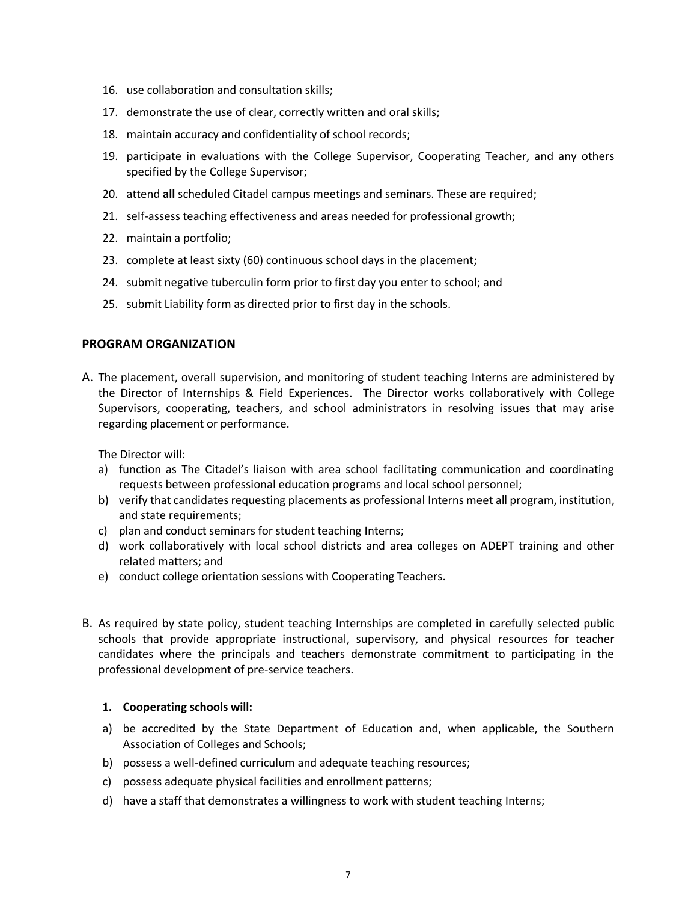- 16. use collaboration and consultation skills;
- 17. demonstrate the use of clear, correctly written and oral skills;
- 18. maintain accuracy and confidentiality of school records;
- 19. participate in evaluations with the College Supervisor, Cooperating Teacher, and any others specified by the College Supervisor;
- 20. attend **all** scheduled Citadel campus meetings and seminars. These are required;
- 21. self-assess teaching effectiveness and areas needed for professional growth;
- 22. maintain a portfolio;
- 23. complete at least sixty (60) continuous school days in the placement;
- 24. submit negative tuberculin form prior to first day you enter to school; and
- 25. submit Liability form as directed prior to first day in the schools.

#### **PROGRAM ORGANIZATION**

A. The placement, overall supervision, and monitoring of student teaching Interns are administered by the Director of Internships & Field Experiences. The Director works collaboratively with College Supervisors, cooperating, teachers, and school administrators in resolving issues that may arise regarding placement or performance.

The Director will:

- a) function as The Citadel's liaison with area school facilitating communication and coordinating requests between professional education programs and local school personnel;
- b) verify that candidates requesting placements as professional Interns meet all program, institution, and state requirements;
- c) plan and conduct seminars for student teaching Interns;
- d) work collaboratively with local school districts and area colleges on ADEPT training and other related matters; and
- e) conduct college orientation sessions with Cooperating Teachers.
- B. As required by state policy, student teaching Internships are completed in carefully selected public schools that provide appropriate instructional, supervisory, and physical resources for teacher candidates where the principals and teachers demonstrate commitment to participating in the professional development of pre-service teachers.

#### **1. Cooperating schools will:**

- a) be accredited by the State Department of Education and, when applicable, the Southern Association of Colleges and Schools;
- b) possess a well-defined curriculum and adequate teaching resources;
- c) possess adequate physical facilities and enrollment patterns;
- d) have a staff that demonstrates a willingness to work with student teaching Interns;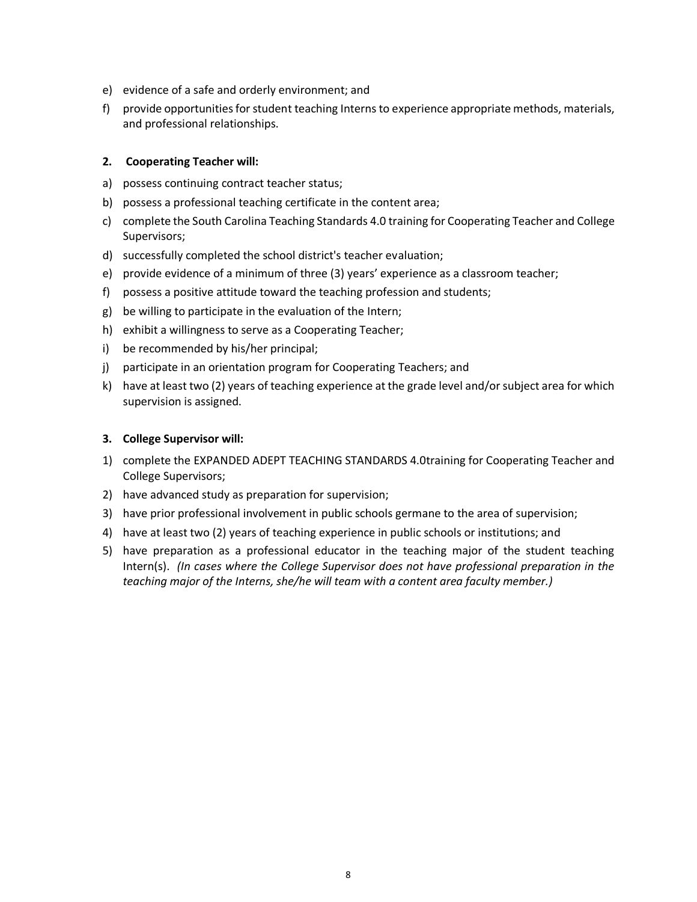- e) evidence of a safe and orderly environment; and
- f) provide opportunities for student teaching Interns to experience appropriate methods, materials, and professional relationships.

#### **2. Cooperating Teacher will:**

- a) possess continuing contract teacher status;
- b) possess a professional teaching certificate in the content area;
- c) complete the South Carolina Teaching Standards 4.0 training for Cooperating Teacher and College Supervisors;
- d) successfully completed the school district's teacher evaluation;
- e) provide evidence of a minimum of three (3) years' experience as a classroom teacher;
- f) possess a positive attitude toward the teaching profession and students;
- g) be willing to participate in the evaluation of the Intern;
- h) exhibit a willingness to serve as a Cooperating Teacher;
- i) be recommended by his/her principal;
- j) participate in an orientation program for Cooperating Teachers; and
- k) have at least two (2) years of teaching experience at the grade level and/or subject area for which supervision is assigned.

#### **3. College Supervisor will:**

- 1) complete the EXPANDED ADEPT TEACHING STANDARDS 4.0training for Cooperating Teacher and College Supervisors;
- 2) have advanced study as preparation for supervision;
- 3) have prior professional involvement in public schools germane to the area of supervision;
- 4) have at least two (2) years of teaching experience in public schools or institutions; and
- 5) have preparation as a professional educator in the teaching major of the student teaching Intern(s). *(In cases where the College Supervisor does not have professional preparation in the teaching major of the Interns, she/he will team with a content area faculty member.)*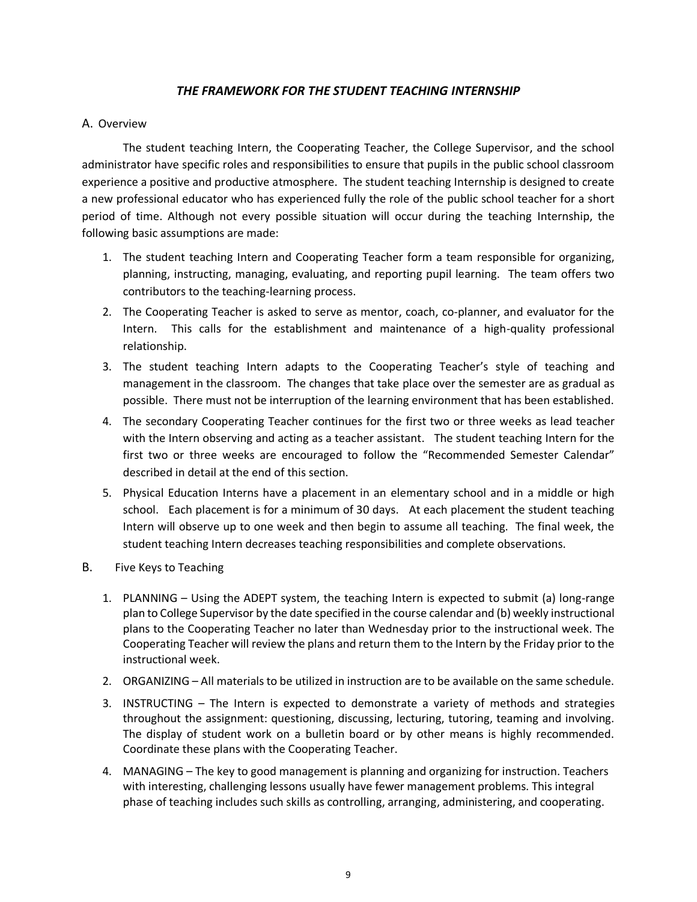# *THE FRAMEWORK FOR THE STUDENT TEACHING INTERNSHIP*

## A. Overview

The student teaching Intern, the Cooperating Teacher, the College Supervisor, and the school administrator have specific roles and responsibilities to ensure that pupils in the public school classroom experience a positive and productive atmosphere. The student teaching Internship is designed to create a new professional educator who has experienced fully the role of the public school teacher for a short period of time. Although not every possible situation will occur during the teaching Internship, the following basic assumptions are made:

- 1. The student teaching Intern and Cooperating Teacher form a team responsible for organizing, planning, instructing, managing, evaluating, and reporting pupil learning. The team offers two contributors to the teaching-learning process.
- 2. The Cooperating Teacher is asked to serve as mentor, coach, co-planner, and evaluator for the Intern. This calls for the establishment and maintenance of a high-quality professional relationship.
- 3. The student teaching Intern adapts to the Cooperating Teacher's style of teaching and management in the classroom. The changes that take place over the semester are as gradual as possible. There must not be interruption of the learning environment that has been established.
- 4. The secondary Cooperating Teacher continues for the first two or three weeks as lead teacher with the Intern observing and acting as a teacher assistant. The student teaching Intern for the first two or three weeks are encouraged to follow the "Recommended Semester Calendar" described in detail at the end of this section.
- 5. Physical Education Interns have a placement in an elementary school and in a middle or high school. Each placement is for a minimum of 30 days. At each placement the student teaching Intern will observe up to one week and then begin to assume all teaching. The final week, the student teaching Intern decreases teaching responsibilities and complete observations.
- B. Five Keys to Teaching
	- 1. PLANNING Using the ADEPT system, the teaching Intern is expected to submit (a) long-range plan to College Supervisor by the date specified in the course calendar and (b) weekly instructional plans to the Cooperating Teacher no later than Wednesday prior to the instructional week. The Cooperating Teacher will review the plans and return them to the Intern by the Friday prior to the instructional week.
	- 2. ORGANIZING All materials to be utilized in instruction are to be available on the same schedule.
	- 3. INSTRUCTING The Intern is expected to demonstrate a variety of methods and strategies throughout the assignment: questioning, discussing, lecturing, tutoring, teaming and involving. The display of student work on a bulletin board or by other means is highly recommended. Coordinate these plans with the Cooperating Teacher.
	- 4. MANAGING The key to good management is planning and organizing for instruction. Teachers with interesting, challenging lessons usually have fewer management problems. This integral phase of teaching includes such skills as controlling, arranging, administering, and cooperating.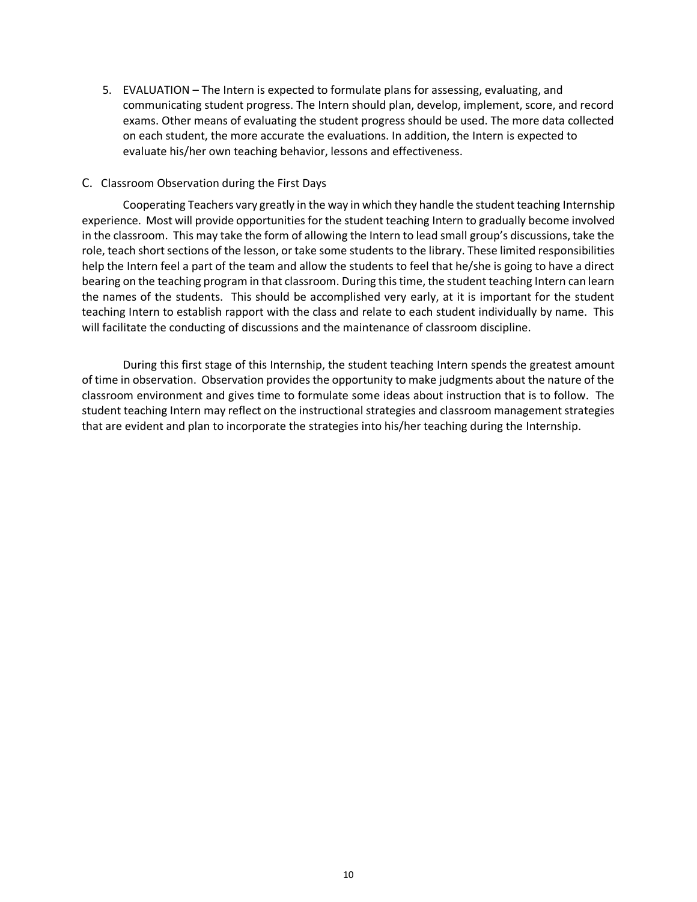5. EVALUATION – The Intern is expected to formulate plans for assessing, evaluating, and communicating student progress. The Intern should plan, develop, implement, score, and record exams. Other means of evaluating the student progress should be used. The more data collected on each student, the more accurate the evaluations. In addition, the Intern is expected to evaluate his/her own teaching behavior, lessons and effectiveness.

#### C. Classroom Observation during the First Days

Cooperating Teachers vary greatly in the way in which they handle the student teaching Internship experience. Most will provide opportunities for the student teaching Intern to gradually become involved in the classroom. This may take the form of allowing the Intern to lead small group's discussions, take the role, teach short sections of the lesson, or take some students to the library. These limited responsibilities help the Intern feel a part of the team and allow the students to feel that he/she is going to have a direct bearing on the teaching program in that classroom. During this time, the student teaching Intern can learn the names of the students. This should be accomplished very early, at it is important for the student teaching Intern to establish rapport with the class and relate to each student individually by name. This will facilitate the conducting of discussions and the maintenance of classroom discipline.

During this first stage of this Internship, the student teaching Intern spends the greatest amount of time in observation. Observation provides the opportunity to make judgments about the nature of the classroom environment and gives time to formulate some ideas about instruction that is to follow. The student teaching Intern may reflect on the instructional strategies and classroom management strategies that are evident and plan to incorporate the strategies into his/her teaching during the Internship.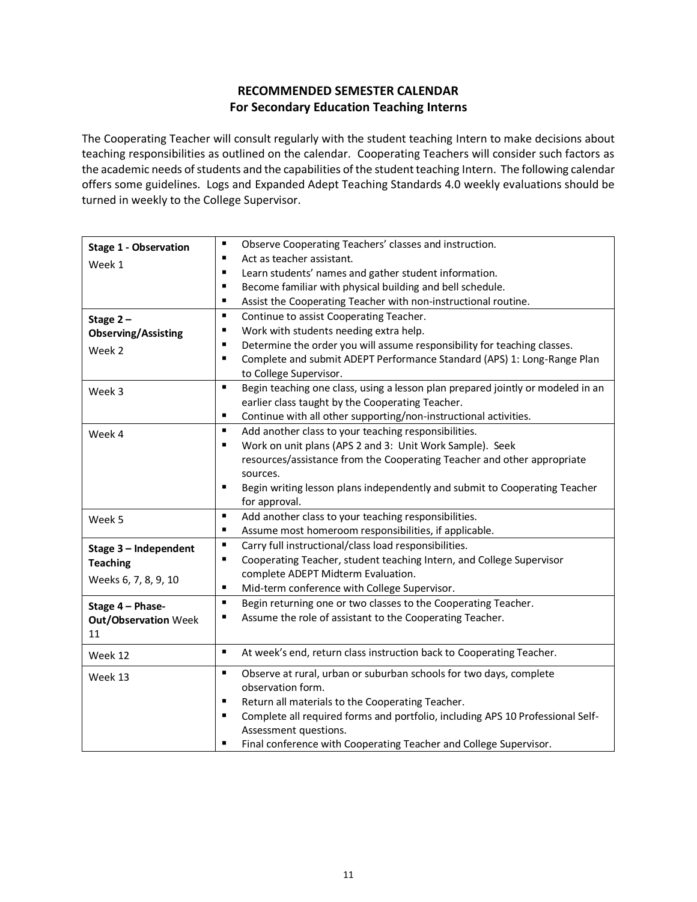# **RECOMMENDED SEMESTER CALENDAR For Secondary Education Teaching Interns**

The Cooperating Teacher will consult regularly with the student teaching Intern to make decisions about teaching responsibilities as outlined on the calendar. Cooperating Teachers will consider such factors as the academic needs of students and the capabilities of the student teaching Intern. The following calendar offers some guidelines. Logs and Expanded Adept Teaching Standards 4.0 weekly evaluations should be turned in weekly to the College Supervisor.

| <b>Stage 1 - Observation</b> | ٠<br>Observe Cooperating Teachers' classes and instruction.                                       |
|------------------------------|---------------------------------------------------------------------------------------------------|
| Week 1                       | Act as teacher assistant.<br>٠                                                                    |
|                              | Learn students' names and gather student information.<br>٠                                        |
|                              | Become familiar with physical building and bell schedule.<br>٠                                    |
|                              | Assist the Cooperating Teacher with non-instructional routine.<br>٠                               |
| Stage $2-$                   | $\blacksquare$<br>Continue to assist Cooperating Teacher.                                         |
| <b>Observing/Assisting</b>   | Work with students needing extra help.<br>٠                                                       |
| Week 2                       | Determine the order you will assume responsibility for teaching classes.<br>٠                     |
|                              | Complete and submit ADEPT Performance Standard (APS) 1: Long-Range Plan<br>٠                      |
|                              | to College Supervisor.                                                                            |
| Week 3                       | Begin teaching one class, using a lesson plan prepared jointly or modeled in an<br>$\blacksquare$ |
|                              | earlier class taught by the Cooperating Teacher.                                                  |
|                              | ٠<br>Continue with all other supporting/non-instructional activities.                             |
| Week 4                       | $\blacksquare$<br>Add another class to your teaching responsibilities.                            |
|                              | Work on unit plans (APS 2 and 3: Unit Work Sample). Seek<br>$\blacksquare$                        |
|                              | resources/assistance from the Cooperating Teacher and other appropriate                           |
|                              | sources.                                                                                          |
|                              | ٠<br>Begin writing lesson plans independently and submit to Cooperating Teacher                   |
|                              | for approval.                                                                                     |
| Week 5                       | $\blacksquare$<br>Add another class to your teaching responsibilities.                            |
|                              | Assume most homeroom responsibilities, if applicable.<br>$\blacksquare$                           |
| Stage 3 - Independent        | Carry full instructional/class load responsibilities.<br>$\blacksquare$                           |
| <b>Teaching</b>              | Cooperating Teacher, student teaching Intern, and College Supervisor<br>٠                         |
| Weeks 6, 7, 8, 9, 10         | complete ADEPT Midterm Evaluation.                                                                |
|                              | п<br>Mid-term conference with College Supervisor.                                                 |
| Stage 4 - Phase-             | $\blacksquare$<br>Begin returning one or two classes to the Cooperating Teacher.                  |
| <b>Out/Observation Week</b>  | Assume the role of assistant to the Cooperating Teacher.<br>٠                                     |
| 11                           |                                                                                                   |
| Week 12                      | $\blacksquare$<br>At week's end, return class instruction back to Cooperating Teacher.            |
| Week 13                      | $\blacksquare$<br>Observe at rural, urban or suburban schools for two days, complete              |
|                              | observation form.                                                                                 |
|                              | $\blacksquare$<br>Return all materials to the Cooperating Teacher.                                |
|                              | Complete all required forms and portfolio, including APS 10 Professional Self-<br>٠               |
|                              | Assessment questions.                                                                             |
|                              | Final conference with Cooperating Teacher and College Supervisor.<br>п                            |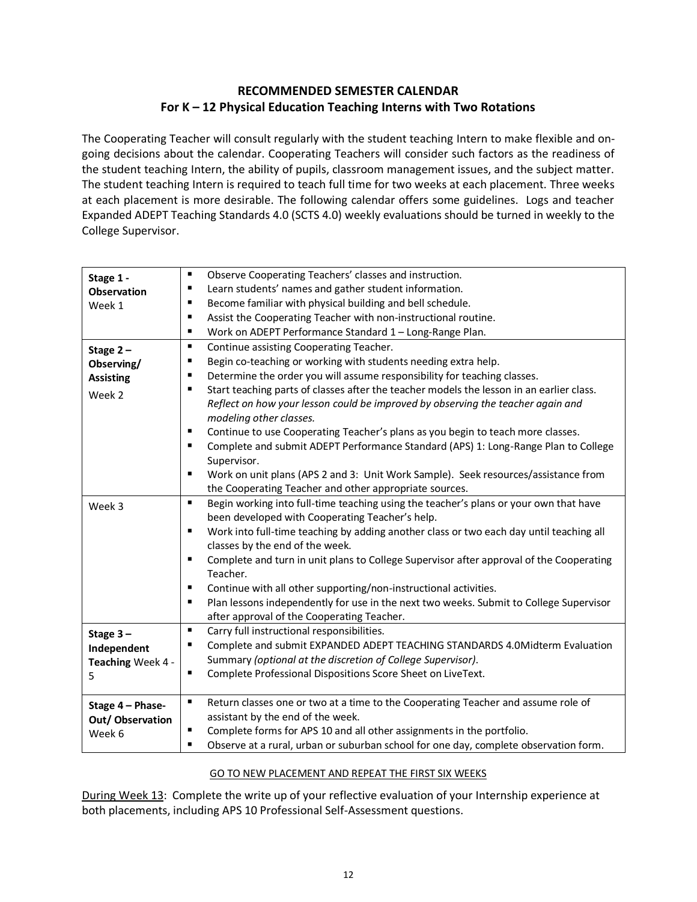# **RECOMMENDED SEMESTER CALENDAR For K – 12 Physical Education Teaching Interns with Two Rotations**

The Cooperating Teacher will consult regularly with the student teaching Intern to make flexible and ongoing decisions about the calendar. Cooperating Teachers will consider such factors as the readiness of the student teaching Intern, the ability of pupils, classroom management issues, and the subject matter. The student teaching Intern is required to teach full time for two weeks at each placement. Three weeks at each placement is more desirable. The following calendar offers some guidelines. Logs and teacher Expanded ADEPT Teaching Standards 4.0 (SCTS 4.0) weekly evaluations should be turned in weekly to the College Supervisor.

| Stage 1 -          | $\blacksquare$<br>Observe Cooperating Teachers' classes and instruction.                      |
|--------------------|-----------------------------------------------------------------------------------------------|
| <b>Observation</b> | Learn students' names and gather student information.<br>$\blacksquare$                       |
| Week 1             | Become familiar with physical building and bell schedule.<br>$\blacksquare$                   |
|                    | Assist the Cooperating Teacher with non-instructional routine.<br>٠                           |
|                    | Work on ADEPT Performance Standard 1 - Long-Range Plan.<br>٠                                  |
| Stage $2-$         | Continue assisting Cooperating Teacher.<br>٠                                                  |
| Observing/         | Begin co-teaching or working with students needing extra help.<br>٠                           |
| <b>Assisting</b>   | Determine the order you will assume responsibility for teaching classes.<br>$\blacksquare$    |
|                    | Start teaching parts of classes after the teacher models the lesson in an earlier class.<br>п |
| Week 2             | Reflect on how your lesson could be improved by observing the teacher again and               |
|                    | modeling other classes.                                                                       |
|                    | Continue to use Cooperating Teacher's plans as you begin to teach more classes.               |
|                    | Complete and submit ADEPT Performance Standard (APS) 1: Long-Range Plan to College<br>٠       |
|                    | Supervisor.                                                                                   |
|                    | Work on unit plans (APS 2 and 3: Unit Work Sample). Seek resources/assistance from            |
|                    | the Cooperating Teacher and other appropriate sources.                                        |
| Week 3             | Begin working into full-time teaching using the teacher's plans or your own that have<br>٠    |
|                    | been developed with Cooperating Teacher's help.                                               |
|                    | Work into full-time teaching by adding another class or two each day until teaching all<br>٠  |
|                    | classes by the end of the week.                                                               |
|                    | Complete and turn in unit plans to College Supervisor after approval of the Cooperating       |
|                    | Teacher.                                                                                      |
|                    | Continue with all other supporting/non-instructional activities.<br>$\blacksquare$            |
|                    | Plan lessons independently for use in the next two weeks. Submit to College Supervisor        |
|                    | after approval of the Cooperating Teacher.                                                    |
| Stage $3-$         | Carry full instructional responsibilities.<br>٠                                               |
| Independent        | Complete and submit EXPANDED ADEPT TEACHING STANDARDS 4.0Midterm Evaluation<br>п              |
| Teaching Week 4 -  | Summary (optional at the discretion of College Supervisor).                                   |
| 5                  | Complete Professional Dispositions Score Sheet on LiveText.<br>٠                              |
|                    |                                                                                               |
| Stage 4 - Phase-   | Return classes one or two at a time to the Cooperating Teacher and assume role of<br>٠        |
| Out/Observation    | assistant by the end of the week.                                                             |
| Week 6             | Complete forms for APS 10 and all other assignments in the portfolio.<br>$\blacksquare$       |
|                    | Observe at a rural, urban or suburban school for one day, complete observation form.<br>٠     |

## GO TO NEW PLACEMENT AND REPEAT THE FIRST SIX WEEKS

During Week 13: Complete the write up of your reflective evaluation of your Internship experience at both placements, including APS 10 Professional Self-Assessment questions.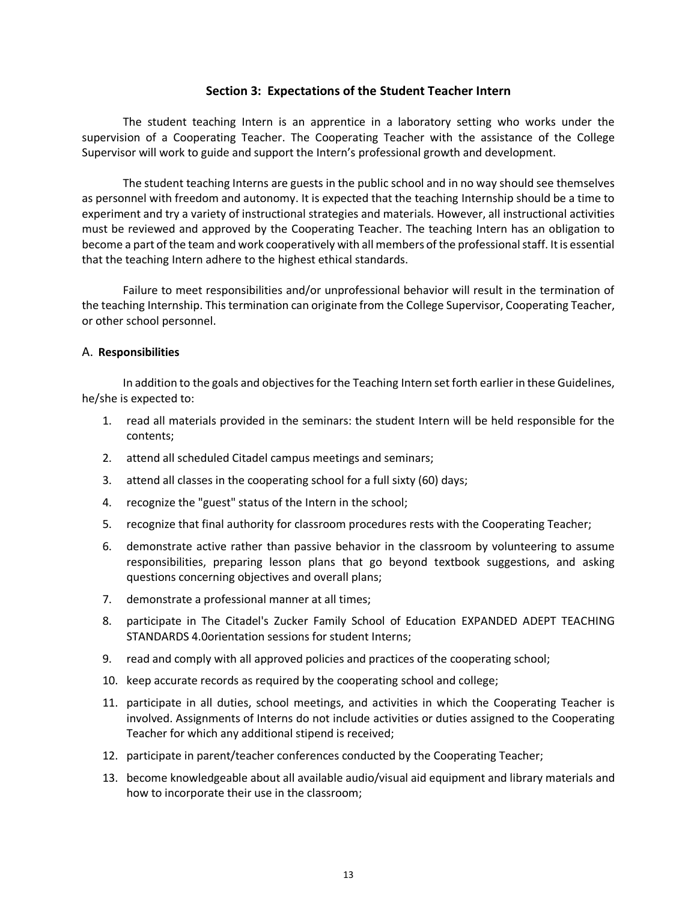#### **Section 3: Expectations of the Student Teacher Intern**

The student teaching Intern is an apprentice in a laboratory setting who works under the supervision of a Cooperating Teacher. The Cooperating Teacher with the assistance of the College Supervisor will work to guide and support the Intern's professional growth and development.

The student teaching Interns are guests in the public school and in no way should see themselves as personnel with freedom and autonomy. It is expected that the teaching Internship should be a time to experiment and try a variety of instructional strategies and materials. However, all instructional activities must be reviewed and approved by the Cooperating Teacher. The teaching Intern has an obligation to become a part of the team and work cooperatively with all members of the professional staff. It is essential that the teaching Intern adhere to the highest ethical standards.

Failure to meet responsibilities and/or unprofessional behavior will result in the termination of the teaching Internship. This termination can originate from the College Supervisor, Cooperating Teacher, or other school personnel.

#### A. **Responsibilities**

In addition to the goals and objectives for the Teaching Intern set forth earlier in these Guidelines, he/she is expected to:

- 1. read all materials provided in the seminars: the student Intern will be held responsible for the contents;
- 2. attend all scheduled Citadel campus meetings and seminars;
- 3. attend all classes in the cooperating school for a full sixty (60) days;
- 4. recognize the "guest" status of the Intern in the school;
- 5. recognize that final authority for classroom procedures rests with the Cooperating Teacher;
- 6. demonstrate active rather than passive behavior in the classroom by volunteering to assume responsibilities, preparing lesson plans that go beyond textbook suggestions, and asking questions concerning objectives and overall plans;
- 7. demonstrate a professional manner at all times;
- 8. participate in The Citadel's Zucker Family School of Education EXPANDED ADEPT TEACHING STANDARDS 4.0orientation sessions for student Interns;
- 9. read and comply with all approved policies and practices of the cooperating school;
- 10. keep accurate records as required by the cooperating school and college;
- 11. participate in all duties, school meetings, and activities in which the Cooperating Teacher is involved. Assignments of Interns do not include activities or duties assigned to the Cooperating Teacher for which any additional stipend is received;
- 12. participate in parent/teacher conferences conducted by the Cooperating Teacher;
- 13. become knowledgeable about all available audio/visual aid equipment and library materials and how to incorporate their use in the classroom;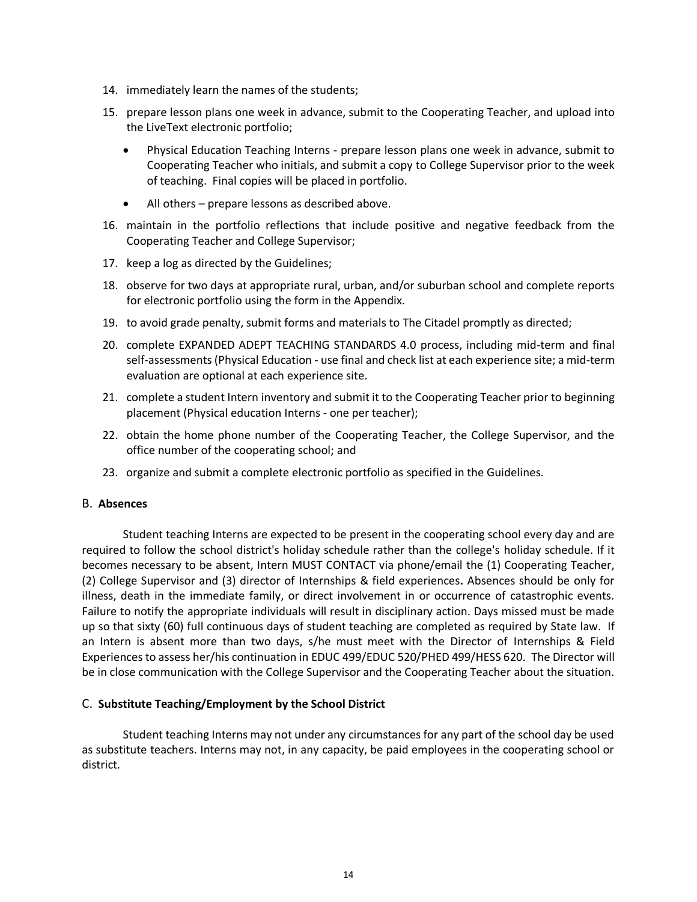- 14. immediately learn the names of the students;
- 15. prepare lesson plans one week in advance, submit to the Cooperating Teacher, and upload into the LiveText electronic portfolio;
	- Physical Education Teaching Interns prepare lesson plans one week in advance, submit to Cooperating Teacher who initials, and submit a copy to College Supervisor prior to the week of teaching. Final copies will be placed in portfolio.
	- All others prepare lessons as described above.
- 16. maintain in the portfolio reflections that include positive and negative feedback from the Cooperating Teacher and College Supervisor;
- 17. keep a log as directed by the Guidelines;
- 18. observe for two days at appropriate rural, urban, and/or suburban school and complete reports for electronic portfolio using the form in the Appendix.
- 19. to avoid grade penalty, submit forms and materials to The Citadel promptly as directed;
- 20. complete EXPANDED ADEPT TEACHING STANDARDS 4.0 process, including mid-term and final self-assessments (Physical Education - use final and check list at each experience site; a mid-term evaluation are optional at each experience site.
- 21. complete a student Intern inventory and submit it to the Cooperating Teacher prior to beginning placement (Physical education Interns - one per teacher);
- 22. obtain the home phone number of the Cooperating Teacher, the College Supervisor, and the office number of the cooperating school; and
- 23. organize and submit a complete electronic portfolio as specified in the Guidelines.

#### B. **Absences**

Student teaching Interns are expected to be present in the cooperating school every day and are required to follow the school district's holiday schedule rather than the college's holiday schedule. If it becomes necessary to be absent, Intern MUST CONTACT via phone/email the (1) Cooperating Teacher, (2) College Supervisor and (3) director of Internships & field experiences**.** Absences should be only for illness, death in the immediate family, or direct involvement in or occurrence of catastrophic events. Failure to notify the appropriate individuals will result in disciplinary action. Days missed must be made up so that sixty (60) full continuous days of student teaching are completed as required by State law. If an Intern is absent more than two days, s/he must meet with the Director of Internships & Field Experiences to assess her/his continuation in EDUC 499/EDUC 520/PHED 499/HESS 620. The Director will be in close communication with the College Supervisor and the Cooperating Teacher about the situation.

#### C. **Substitute Teaching/Employment by the School District**

Student teaching Interns may not under any circumstances for any part of the school day be used as substitute teachers. Interns may not, in any capacity, be paid employees in the cooperating school or district.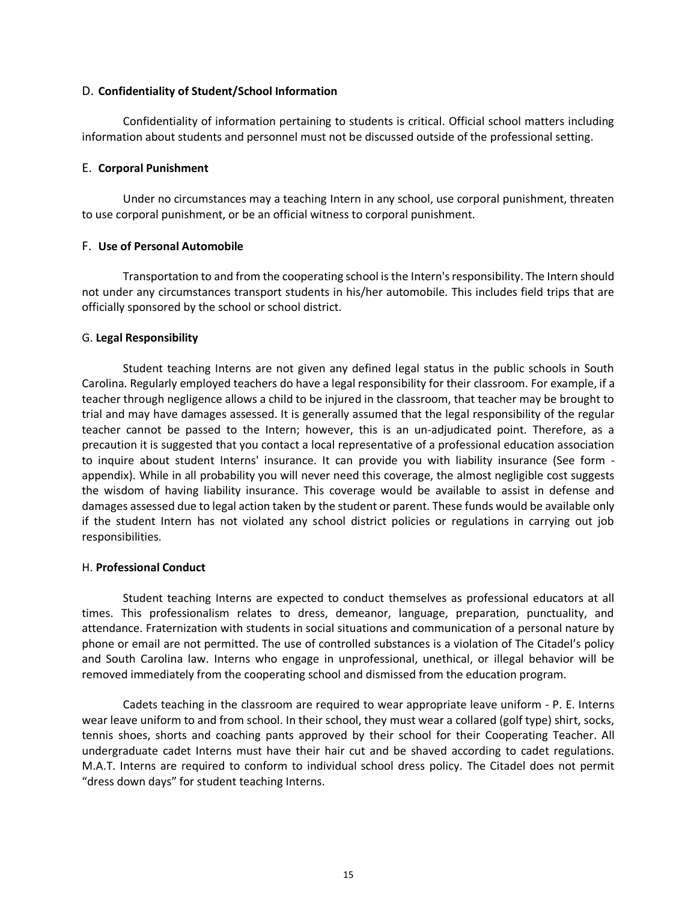#### D. **Confidentiality of Student/School Information**

Confidentiality of information pertaining to students is critical. Official school matters including information about students and personnel must not be discussed outside of the professional setting.

#### E. **Corporal Punishment**

Under no circumstances may a teaching Intern in any school, use corporal punishment, threaten to use corporal punishment, or be an official witness to corporal punishment.

#### F. **Use of Personal Automobile**

Transportation to and from the cooperating school is the Intern's responsibility. The Intern should not under any circumstances transport students in his/her automobile. This includes field trips that are officially sponsored by the school or school district.

## G. **Legal Responsibility**

Student teaching Interns are not given any defined legal status in the public schools in South Carolina. Regularly employed teachers do have a legal responsibility for their classroom. For example, if a teacher through negligence allows a child to be injured in the classroom, that teacher may be brought to trial and may have damages assessed. It is generally assumed that the legal responsibility of the regular teacher cannot be passed to the Intern; however, this is an un-adjudicated point. Therefore, as a precaution it is suggested that you contact a local representative of a professional education association to inquire about student Interns' insurance. It can provide you with liability insurance (See form appendix). While in all probability you will never need this coverage, the almost negligible cost suggests the wisdom of having liability insurance. This coverage would be available to assist in defense and damages assessed due to legal action taken by the student or parent. These funds would be available only if the student Intern has not violated any school district policies or regulations in carrying out job responsibilities.

## H. **Professional Conduct**

Student teaching Interns are expected to conduct themselves as professional educators at all times. This professionalism relates to dress, demeanor, language, preparation, punctuality, and attendance. Fraternization with students in social situations and communication of a personal nature by phone or email are not permitted. The use of controlled substances is a violation of The Citadel's policy and South Carolina law. Interns who engage in unprofessional, unethical, or illegal behavior will be removed immediately from the cooperating school and dismissed from the education program.

Cadets teaching in the classroom are required to wear appropriate leave uniform - P. E. Interns wear leave uniform to and from school. In their school, they must wear a collared (golf type) shirt, socks, tennis shoes, shorts and coaching pants approved by their school for their Cooperating Teacher. All undergraduate cadet Interns must have their hair cut and be shaved according to cadet regulations. M.A.T. Interns are required to conform to individual school dress policy. The Citadel does not permit "dress down days" for student teaching Interns.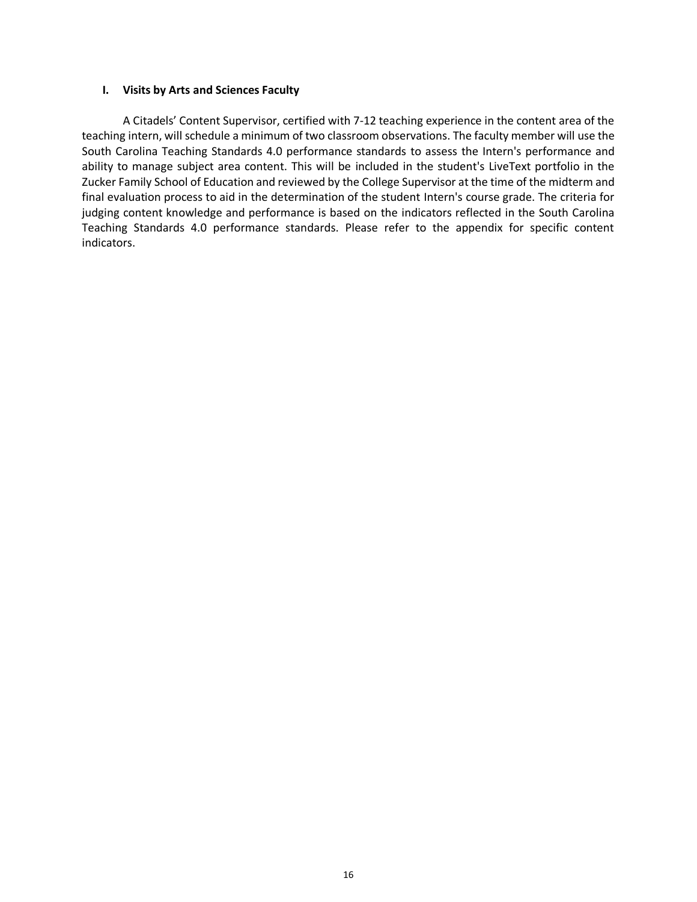#### **I. Visits by Arts and Sciences Faculty**

A Citadels' Content Supervisor, certified with 7-12 teaching experience in the content area of the teaching intern, will schedule a minimum of two classroom observations. The faculty member will use the South Carolina Teaching Standards 4.0 performance standards to assess the Intern's performance and ability to manage subject area content. This will be included in the student's LiveText portfolio in the Zucker Family School of Education and reviewed by the College Supervisor at the time of the midterm and final evaluation process to aid in the determination of the student Intern's course grade. The criteria for judging content knowledge and performance is based on the indicators reflected in the South Carolina Teaching Standards 4.0 performance standards. Please refer to the appendix for specific content indicators.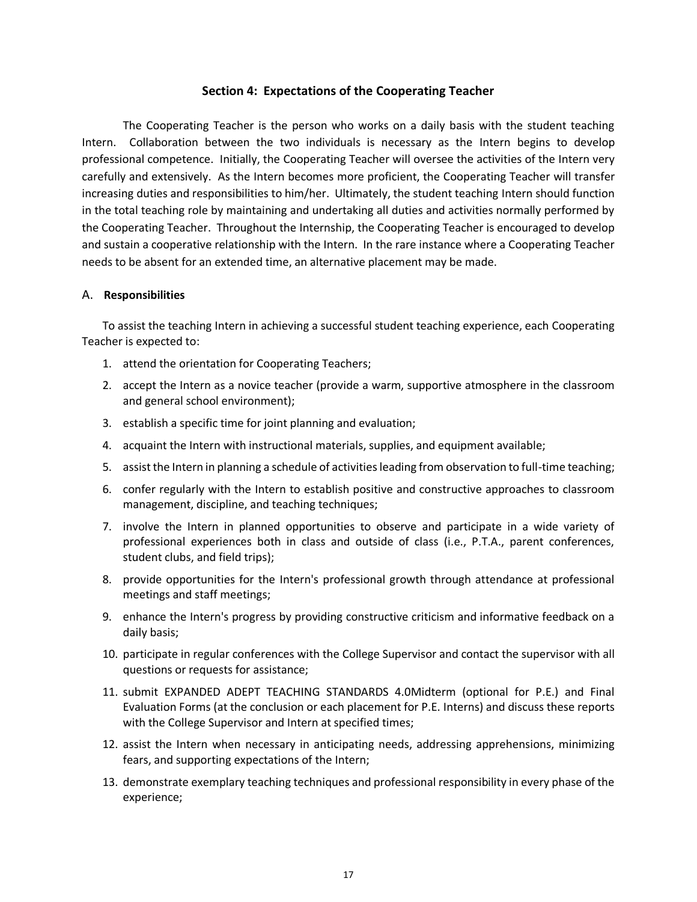## **Section 4: Expectations of the Cooperating Teacher**

The Cooperating Teacher is the person who works on a daily basis with the student teaching Intern. Collaboration between the two individuals is necessary as the Intern begins to develop professional competence. Initially, the Cooperating Teacher will oversee the activities of the Intern very carefully and extensively. As the Intern becomes more proficient, the Cooperating Teacher will transfer increasing duties and responsibilities to him/her. Ultimately, the student teaching Intern should function in the total teaching role by maintaining and undertaking all duties and activities normally performed by the Cooperating Teacher. Throughout the Internship, the Cooperating Teacher is encouraged to develop and sustain a cooperative relationship with the Intern. In the rare instance where a Cooperating Teacher needs to be absent for an extended time, an alternative placement may be made.

#### A. **Responsibilities**

To assist the teaching Intern in achieving a successful student teaching experience, each Cooperating Teacher is expected to:

- 1. attend the orientation for Cooperating Teachers;
- 2. accept the Intern as a novice teacher (provide a warm, supportive atmosphere in the classroom and general school environment);
- 3. establish a specific time for joint planning and evaluation;
- 4. acquaint the Intern with instructional materials, supplies, and equipment available;
- 5. assist the Intern in planning a schedule of activities leading from observation to full-time teaching;
- 6. confer regularly with the Intern to establish positive and constructive approaches to classroom management, discipline, and teaching techniques;
- 7. involve the Intern in planned opportunities to observe and participate in a wide variety of professional experiences both in class and outside of class (i.e., P.T.A., parent conferences, student clubs, and field trips);
- 8. provide opportunities for the Intern's professional growth through attendance at professional meetings and staff meetings;
- 9. enhance the Intern's progress by providing constructive criticism and informative feedback on a daily basis;
- 10. participate in regular conferences with the College Supervisor and contact the supervisor with all questions or requests for assistance;
- 11. submit EXPANDED ADEPT TEACHING STANDARDS 4.0Midterm (optional for P.E.) and Final Evaluation Forms (at the conclusion or each placement for P.E. Interns) and discuss these reports with the College Supervisor and Intern at specified times;
- 12. assist the Intern when necessary in anticipating needs, addressing apprehensions, minimizing fears, and supporting expectations of the Intern;
- 13. demonstrate exemplary teaching techniques and professional responsibility in every phase of the experience;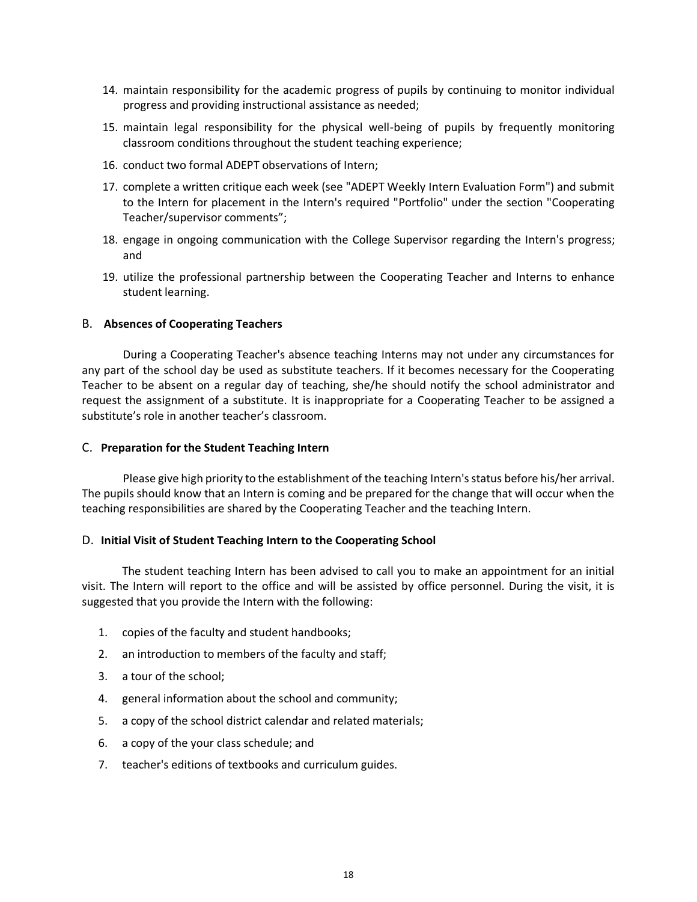- 14. maintain responsibility for the academic progress of pupils by continuing to monitor individual progress and providing instructional assistance as needed;
- 15. maintain legal responsibility for the physical well-being of pupils by frequently monitoring classroom conditions throughout the student teaching experience;
- 16. conduct two formal ADEPT observations of Intern;
- 17. complete a written critique each week (see "ADEPT Weekly Intern Evaluation Form") and submit to the Intern for placement in the Intern's required "Portfolio" under the section "Cooperating Teacher/supervisor comments";
- 18. engage in ongoing communication with the College Supervisor regarding the Intern's progress; and
- 19. utilize the professional partnership between the Cooperating Teacher and Interns to enhance student learning.

#### B. **Absences of Cooperating Teachers**

During a Cooperating Teacher's absence teaching Interns may not under any circumstances for any part of the school day be used as substitute teachers. If it becomes necessary for the Cooperating Teacher to be absent on a regular day of teaching, she/he should notify the school administrator and request the assignment of a substitute. It is inappropriate for a Cooperating Teacher to be assigned a substitute's role in another teacher's classroom.

#### C. **Preparation for the Student Teaching Intern**

Please give high priority to the establishment of the teaching Intern's status before his/her arrival. The pupils should know that an Intern is coming and be prepared for the change that will occur when the teaching responsibilities are shared by the Cooperating Teacher and the teaching Intern.

#### D. **Initial Visit of Student Teaching Intern to the Cooperating School**

The student teaching Intern has been advised to call you to make an appointment for an initial visit. The Intern will report to the office and will be assisted by office personnel. During the visit, it is suggested that you provide the Intern with the following:

- 1. copies of the faculty and student handbooks;
- 2. an introduction to members of the faculty and staff;
- 3. a tour of the school;
- 4. general information about the school and community;
- 5. a copy of the school district calendar and related materials;
- 6. a copy of the your class schedule; and
- 7. teacher's editions of textbooks and curriculum guides.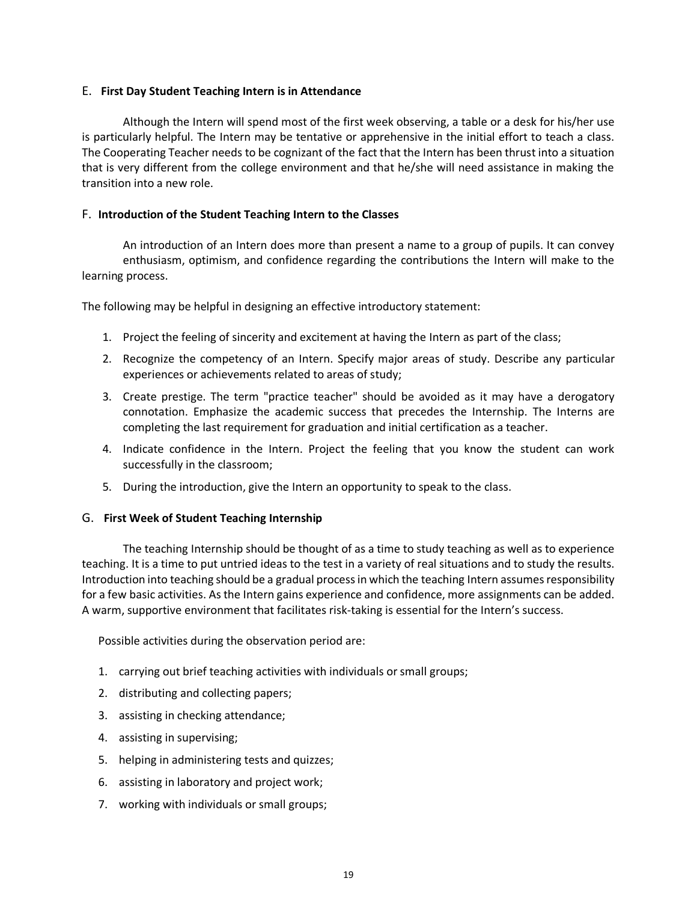## E. **First Day Student Teaching Intern is in Attendance**

Although the Intern will spend most of the first week observing, a table or a desk for his/her use is particularly helpful. The Intern may be tentative or apprehensive in the initial effort to teach a class. The Cooperating Teacher needs to be cognizant of the fact that the Intern has been thrust into a situation that is very different from the college environment and that he/she will need assistance in making the transition into a new role.

# F. **Introduction of the Student Teaching Intern to the Classes**

An introduction of an Intern does more than present a name to a group of pupils. It can convey enthusiasm, optimism, and confidence regarding the contributions the Intern will make to the learning process.

The following may be helpful in designing an effective introductory statement:

- 1. Project the feeling of sincerity and excitement at having the Intern as part of the class;
- 2. Recognize the competency of an Intern. Specify major areas of study. Describe any particular experiences or achievements related to areas of study;
- 3. Create prestige. The term "practice teacher" should be avoided as it may have a derogatory connotation. Emphasize the academic success that precedes the Internship. The Interns are completing the last requirement for graduation and initial certification as a teacher.
- 4. Indicate confidence in the Intern. Project the feeling that you know the student can work successfully in the classroom;
- 5. During the introduction, give the Intern an opportunity to speak to the class.

## G. **First Week of Student Teaching Internship**

The teaching Internship should be thought of as a time to study teaching as well as to experience teaching. It is a time to put untried ideas to the test in a variety of real situations and to study the results. Introduction into teaching should be a gradual process in which the teaching Intern assumes responsibility for a few basic activities. As the Intern gains experience and confidence, more assignments can be added. A warm, supportive environment that facilitates risk-taking is essential for the Intern's success.

Possible activities during the observation period are:

- 1. carrying out brief teaching activities with individuals or small groups;
- 2. distributing and collecting papers;
- 3. assisting in checking attendance;
- 4. assisting in supervising;
- 5. helping in administering tests and quizzes;
- 6. assisting in laboratory and project work;
- 7. working with individuals or small groups;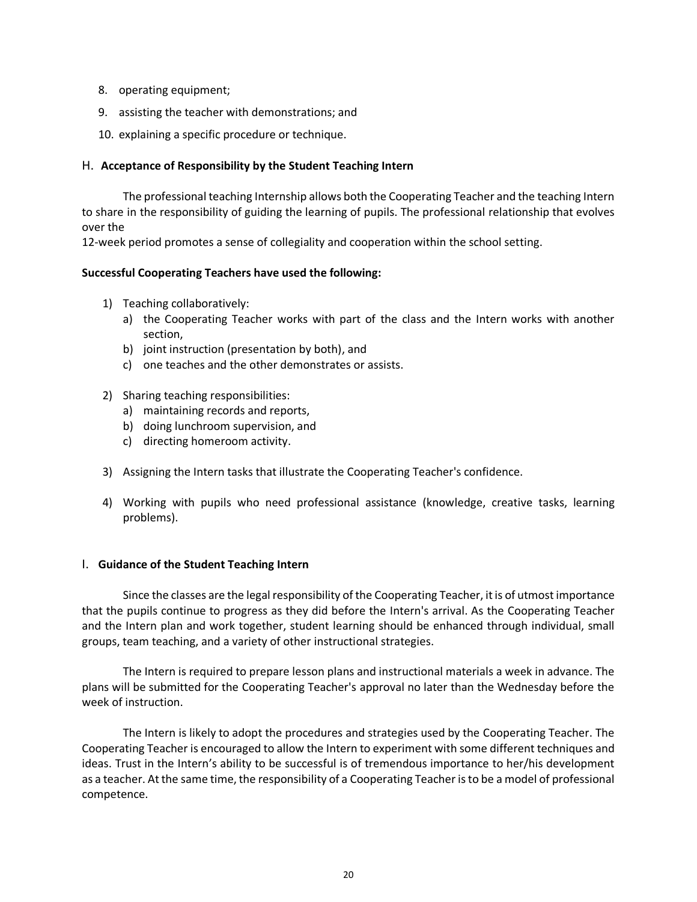- 8. operating equipment;
- 9. assisting the teacher with demonstrations; and
- 10. explaining a specific procedure or technique.

#### H. **Acceptance of Responsibility by the Student Teaching Intern**

The professional teaching Internship allows both the Cooperating Teacher and the teaching Intern to share in the responsibility of guiding the learning of pupils. The professional relationship that evolves over the

12-week period promotes a sense of collegiality and cooperation within the school setting.

#### **Successful Cooperating Teachers have used the following:**

- 1) Teaching collaboratively:
	- a) the Cooperating Teacher works with part of the class and the Intern works with another section,
	- b) joint instruction (presentation by both), and
	- c) one teaches and the other demonstrates or assists.

#### 2) Sharing teaching responsibilities:

- a) maintaining records and reports,
- b) doing lunchroom supervision, and
- c) directing homeroom activity.
- 3) Assigning the Intern tasks that illustrate the Cooperating Teacher's confidence.
- 4) Working with pupils who need professional assistance (knowledge, creative tasks, learning problems).

#### I. **Guidance of the Student Teaching Intern**

Since the classes are the legal responsibility of the Cooperating Teacher, it is of utmost importance that the pupils continue to progress as they did before the Intern's arrival. As the Cooperating Teacher and the Intern plan and work together, student learning should be enhanced through individual, small groups, team teaching, and a variety of other instructional strategies.

The Intern is required to prepare lesson plans and instructional materials a week in advance. The plans will be submitted for the Cooperating Teacher's approval no later than the Wednesday before the week of instruction.

The Intern is likely to adopt the procedures and strategies used by the Cooperating Teacher. The Cooperating Teacher is encouraged to allow the Intern to experiment with some different techniques and ideas. Trust in the Intern's ability to be successful is of tremendous importance to her/his development as a teacher. At the same time, the responsibility of a Cooperating Teacher is to be a model of professional competence.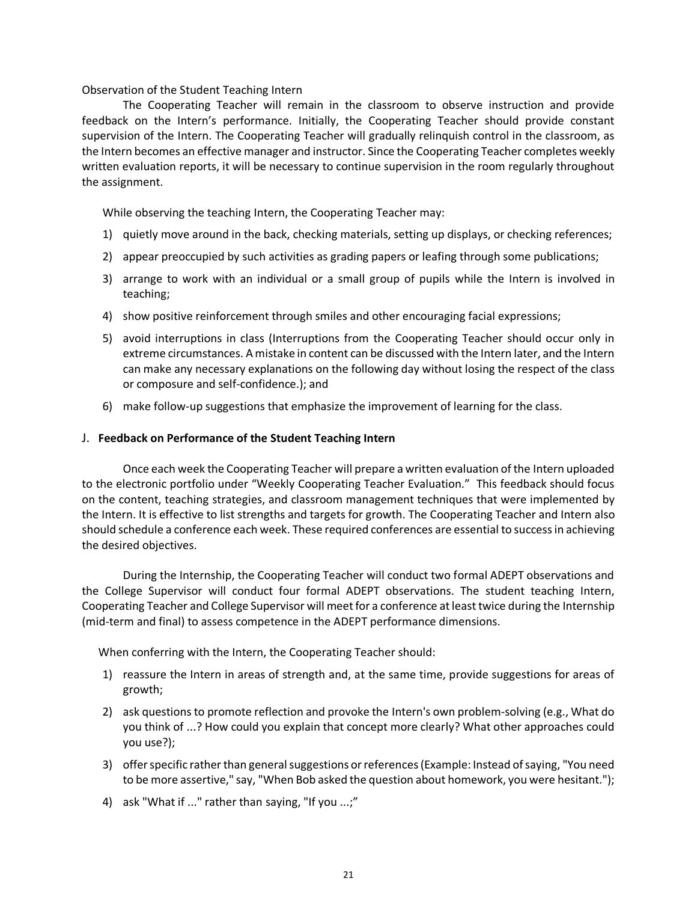Observation of the Student Teaching Intern

The Cooperating Teacher will remain in the classroom to observe instruction and provide feedback on the Intern's performance. Initially, the Cooperating Teacher should provide constant supervision of the Intern. The Cooperating Teacher will gradually relinquish control in the classroom, as the Intern becomes an effective manager and instructor. Since the Cooperating Teacher completes weekly written evaluation reports, it will be necessary to continue supervision in the room regularly throughout the assignment.

While observing the teaching Intern, the Cooperating Teacher may:

- 1) quietly move around in the back, checking materials, setting up displays, or checking references;
- 2) appear preoccupied by such activities as grading papers or leafing through some publications;
- 3) arrange to work with an individual or a small group of pupils while the Intern is involved in teaching;
- 4) show positive reinforcement through smiles and other encouraging facial expressions;
- 5) avoid interruptions in class (Interruptions from the Cooperating Teacher should occur only in extreme circumstances. A mistake in content can be discussed with the Intern later, and the Intern can make any necessary explanations on the following day without losing the respect of the class or composure and self-confidence.); and
- 6) make follow-up suggestions that emphasize the improvement of learning for the class.

#### J. **Feedback on Performance of the Student Teaching Intern**

Once each week the Cooperating Teacher will prepare a written evaluation of the Intern uploaded to the electronic portfolio under "Weekly Cooperating Teacher Evaluation." This feedback should focus on the content, teaching strategies, and classroom management techniques that were implemented by the Intern. It is effective to list strengths and targets for growth. The Cooperating Teacher and Intern also should schedule a conference each week. These required conferences are essential to success in achieving the desired objectives.

During the Internship, the Cooperating Teacher will conduct two formal ADEPT observations and the College Supervisor will conduct four formal ADEPT observations. The student teaching Intern, Cooperating Teacher and College Supervisor will meet for a conference at least twice during the Internship (mid-term and final) to assess competence in the ADEPT performance dimensions.

When conferring with the Intern, the Cooperating Teacher should:

- 1) reassure the Intern in areas of strength and, at the same time, provide suggestions for areas of growth;
- 2) ask questions to promote reflection and provoke the Intern's own problem-solving (e.g., What do you think of ...? How could you explain that concept more clearly? What other approaches could you use?);
- 3) offer specific rather than general suggestions or references (Example: Instead of saying, "You need to be more assertive," say, "When Bob asked the question about homework, you were hesitant.");
- 4) ask "What if ..." rather than saying, "If you ...;"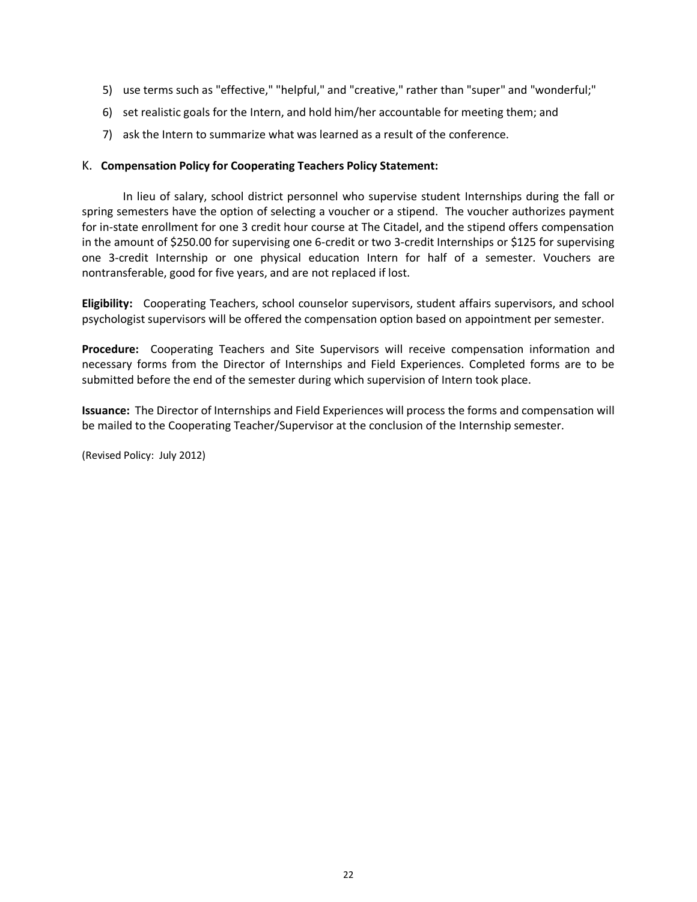- 5) use terms such as "effective," "helpful," and "creative," rather than "super" and "wonderful;"
- 6) set realistic goals for the Intern, and hold him/her accountable for meeting them; and
- 7) ask the Intern to summarize what was learned as a result of the conference.

## K. **Compensation Policy for Cooperating Teachers Policy Statement:**

In lieu of salary, school district personnel who supervise student Internships during the fall or spring semesters have the option of selecting a voucher or a stipend. The voucher authorizes payment for in-state enrollment for one 3 credit hour course at The Citadel, and the stipend offers compensation in the amount of \$250.00 for supervising one 6-credit or two 3-credit Internships or \$125 for supervising one 3-credit Internship or one physical education Intern for half of a semester. Vouchers are nontransferable, good for five years, and are not replaced if lost.

**Eligibility:** Cooperating Teachers, school counselor supervisors, student affairs supervisors, and school psychologist supervisors will be offered the compensation option based on appointment per semester.

**Procedure:** Cooperating Teachers and Site Supervisors will receive compensation information and necessary forms from the Director of Internships and Field Experiences. Completed forms are to be submitted before the end of the semester during which supervision of Intern took place.

**Issuance:** The Director of Internships and Field Experiences will process the forms and compensation will be mailed to the Cooperating Teacher/Supervisor at the conclusion of the Internship semester.

(Revised Policy: July 2012)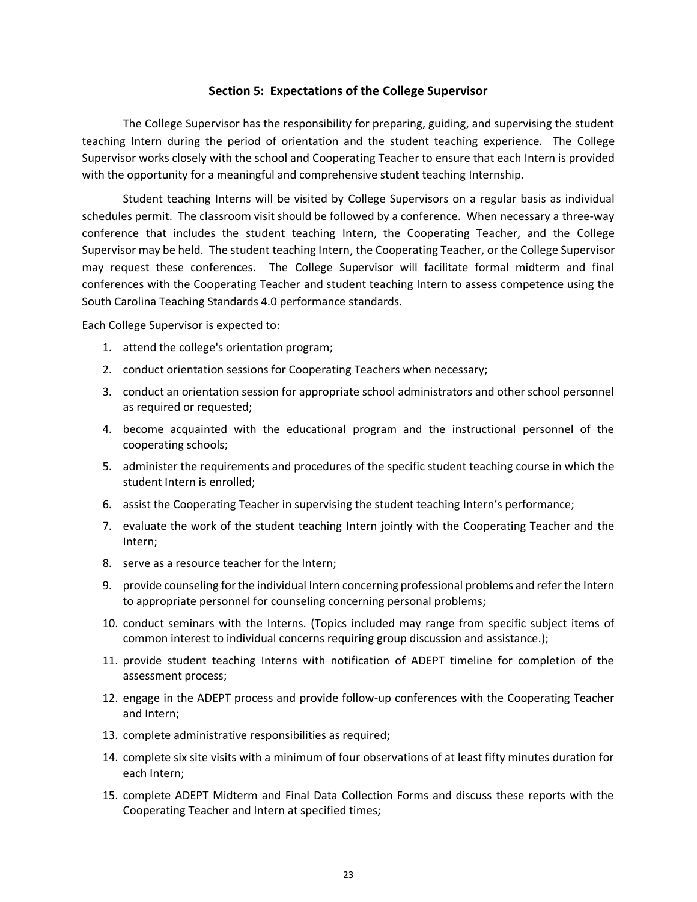#### **Section 5: Expectations of the College Supervisor**

The College Supervisor has the responsibility for preparing, guiding, and supervising the student teaching Intern during the period of orientation and the student teaching experience. The College Supervisor works closely with the school and Cooperating Teacher to ensure that each Intern is provided with the opportunity for a meaningful and comprehensive student teaching Internship.

Student teaching Interns will be visited by College Supervisors on a regular basis as individual schedules permit. The classroom visit should be followed by a conference. When necessary a three-way conference that includes the student teaching Intern, the Cooperating Teacher, and the College Supervisor may be held. The student teaching Intern, the Cooperating Teacher, or the College Supervisor may request these conferences. The College Supervisor will facilitate formal midterm and final conferences with the Cooperating Teacher and student teaching Intern to assess competence using the South Carolina Teaching Standards 4.0 performance standards.

Each College Supervisor is expected to:

- 1. attend the college's orientation program;
- 2. conduct orientation sessions for Cooperating Teachers when necessary;
- 3. conduct an orientation session for appropriate school administrators and other school personnel as required or requested;
- 4. become acquainted with the educational program and the instructional personnel of the cooperating schools;
- 5. administer the requirements and procedures of the specific student teaching course in which the student Intern is enrolled;
- 6. assist the Cooperating Teacher in supervising the student teaching Intern's performance;
- 7. evaluate the work of the student teaching Intern jointly with the Cooperating Teacher and the Intern;
- 8. serve as a resource teacher for the Intern;
- 9. provide counseling for the individual Intern concerning professional problems and refer the Intern to appropriate personnel for counseling concerning personal problems;
- 10. conduct seminars with the Interns. (Topics included may range from specific subject items of common interest to individual concerns requiring group discussion and assistance.);
- 11. provide student teaching Interns with notification of ADEPT timeline for completion of the assessment process;
- 12. engage in the ADEPT process and provide follow-up conferences with the Cooperating Teacher and Intern;
- 13. complete administrative responsibilities as required;
- 14. complete six site visits with a minimum of four observations of at least fifty minutes duration for each Intern;
- 15. complete ADEPT Midterm and Final Data Collection Forms and discuss these reports with the Cooperating Teacher and Intern at specified times;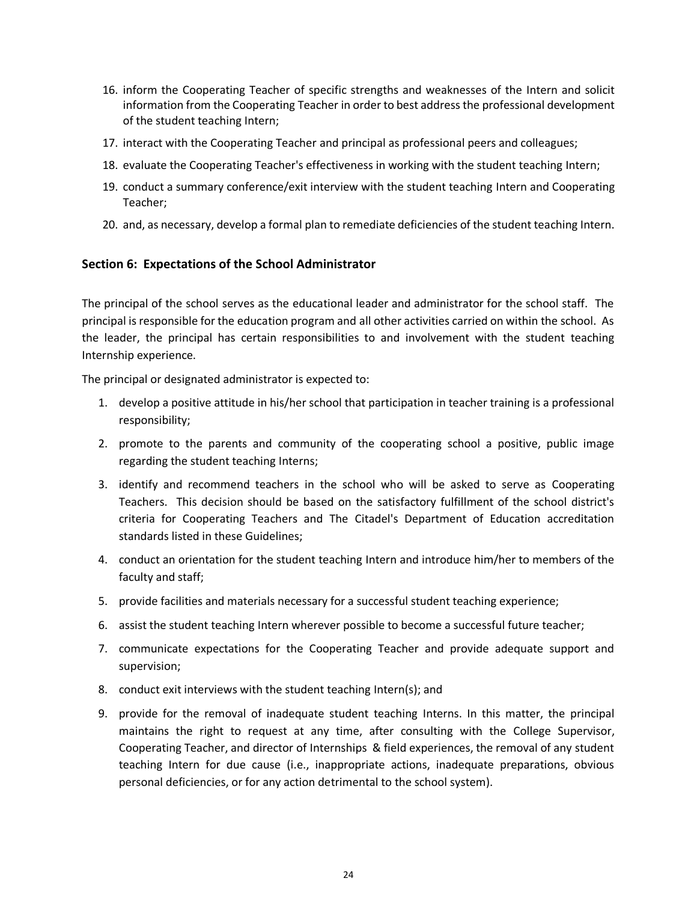- 16. inform the Cooperating Teacher of specific strengths and weaknesses of the Intern and solicit information from the Cooperating Teacher in order to best address the professional development of the student teaching Intern;
- 17. interact with the Cooperating Teacher and principal as professional peers and colleagues;
- 18. evaluate the Cooperating Teacher's effectiveness in working with the student teaching Intern;
- 19. conduct a summary conference/exit interview with the student teaching Intern and Cooperating Teacher;
- 20. and, as necessary, develop a formal plan to remediate deficiencies of the student teaching Intern.

## **Section 6: Expectations of the School Administrator**

The principal of the school serves as the educational leader and administrator for the school staff. The principal is responsible for the education program and all other activities carried on within the school. As the leader, the principal has certain responsibilities to and involvement with the student teaching Internship experience.

The principal or designated administrator is expected to:

- 1. develop a positive attitude in his/her school that participation in teacher training is a professional responsibility;
- 2. promote to the parents and community of the cooperating school a positive, public image regarding the student teaching Interns;
- 3. identify and recommend teachers in the school who will be asked to serve as Cooperating Teachers. This decision should be based on the satisfactory fulfillment of the school district's criteria for Cooperating Teachers and The Citadel's Department of Education accreditation standards listed in these Guidelines;
- 4. conduct an orientation for the student teaching Intern and introduce him/her to members of the faculty and staff;
- 5. provide facilities and materials necessary for a successful student teaching experience;
- 6. assist the student teaching Intern wherever possible to become a successful future teacher;
- 7. communicate expectations for the Cooperating Teacher and provide adequate support and supervision;
- 8. conduct exit interviews with the student teaching Intern(s); and
- 9. provide for the removal of inadequate student teaching Interns. In this matter, the principal maintains the right to request at any time, after consulting with the College Supervisor, Cooperating Teacher, and director of Internships & field experiences, the removal of any student teaching Intern for due cause (i.e., inappropriate actions, inadequate preparations, obvious personal deficiencies, or for any action detrimental to the school system).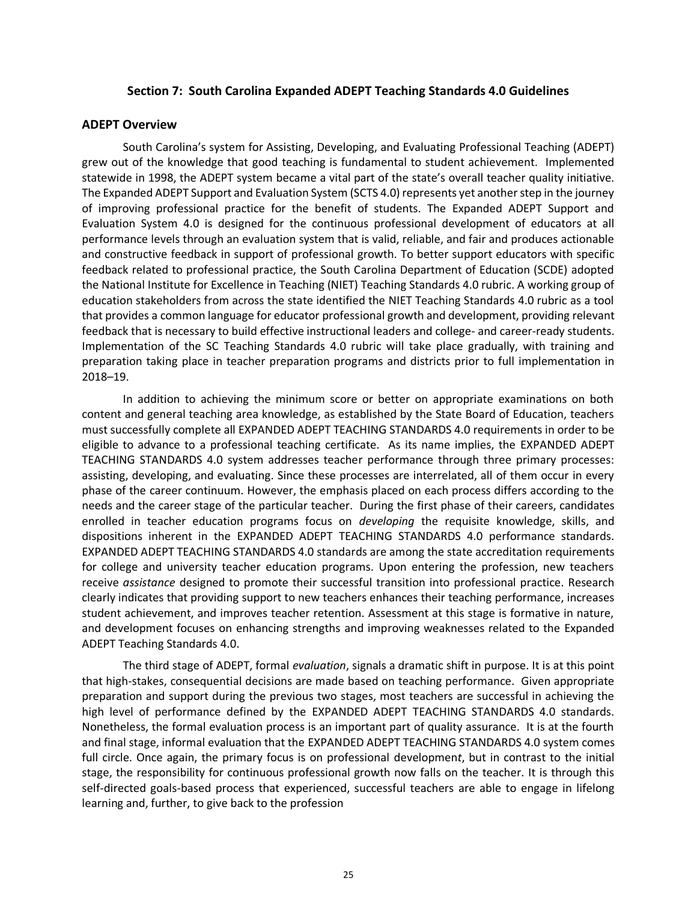#### **Section 7: South Carolina Expanded ADEPT Teaching Standards 4.0 Guidelines**

#### **ADEPT Overview**

South Carolina's system for Assisting, Developing, and Evaluating Professional Teaching (ADEPT) grew out of the knowledge that good teaching is fundamental to student achievement. Implemented statewide in 1998, the ADEPT system became a vital part of the state's overall teacher quality initiative. The Expanded ADEPT Support and Evaluation System (SCTS 4.0) represents yet another step in the journey of improving professional practice for the benefit of students. The Expanded ADEPT Support and Evaluation System 4.0 is designed for the continuous professional development of educators at all performance levels through an evaluation system that is valid, reliable, and fair and produces actionable and constructive feedback in support of professional growth. To better support educators with specific feedback related to professional practice, the South Carolina Department of Education (SCDE) adopted the National Institute for Excellence in Teaching (NIET) Teaching Standards 4.0 rubric. A working group of education stakeholders from across the state identified the NIET Teaching Standards 4.0 rubric as a tool that provides a common language for educator professional growth and development, providing relevant feedback that is necessary to build effective instructional leaders and college- and career-ready students. Implementation of the SC Teaching Standards 4.0 rubric will take place gradually, with training and preparation taking place in teacher preparation programs and districts prior to full implementation in 2018–19.

In addition to achieving the minimum score or better on appropriate examinations on both content and general teaching area knowledge, as established by the State Board of Education, teachers must successfully complete all EXPANDED ADEPT TEACHING STANDARDS 4.0 requirements in order to be eligible to advance to a professional teaching certificate. As its name implies, the EXPANDED ADEPT TEACHING STANDARDS 4.0 system addresses teacher performance through three primary processes: assisting, developing, and evaluating. Since these processes are interrelated, all of them occur in every phase of the career continuum. However, the emphasis placed on each process differs according to the needs and the career stage of the particular teacher. During the first phase of their careers, candidates enrolled in teacher education programs focus on *developing* the requisite knowledge, skills, and dispositions inherent in the EXPANDED ADEPT TEACHING STANDARDS 4.0 performance standards. EXPANDED ADEPT TEACHING STANDARDS 4.0 standards are among the state accreditation requirements for college and university teacher education programs. Upon entering the profession, new teachers receive *assistance* designed to promote their successful transition into professional practice. Research clearly indicates that providing support to new teachers enhances their teaching performance, increases student achievement, and improves teacher retention. Assessment at this stage is formative in nature, and development focuses on enhancing strengths and improving weaknesses related to the Expanded ADEPT Teaching Standards 4.0.

The third stage of ADEPT, formal *evaluation*, signals a dramatic shift in purpose. It is at this point that high-stakes, consequential decisions are made based on teaching performance. Given appropriate preparation and support during the previous two stages, most teachers are successful in achieving the high level of performance defined by the EXPANDED ADEPT TEACHING STANDARDS 4.0 standards. Nonetheless, the formal evaluation process is an important part of quality assurance. It is at the fourth and final stage, informal evaluation that the EXPANDED ADEPT TEACHING STANDARDS 4.0 system comes full circle. Once again, the primary focus is on professional developmen*t*, but in contrast to the initial stage, the responsibility for continuous professional growth now falls on the teacher. It is through this self-directed goals-based process that experienced, successful teachers are able to engage in lifelong learning and, further, to give back to the profession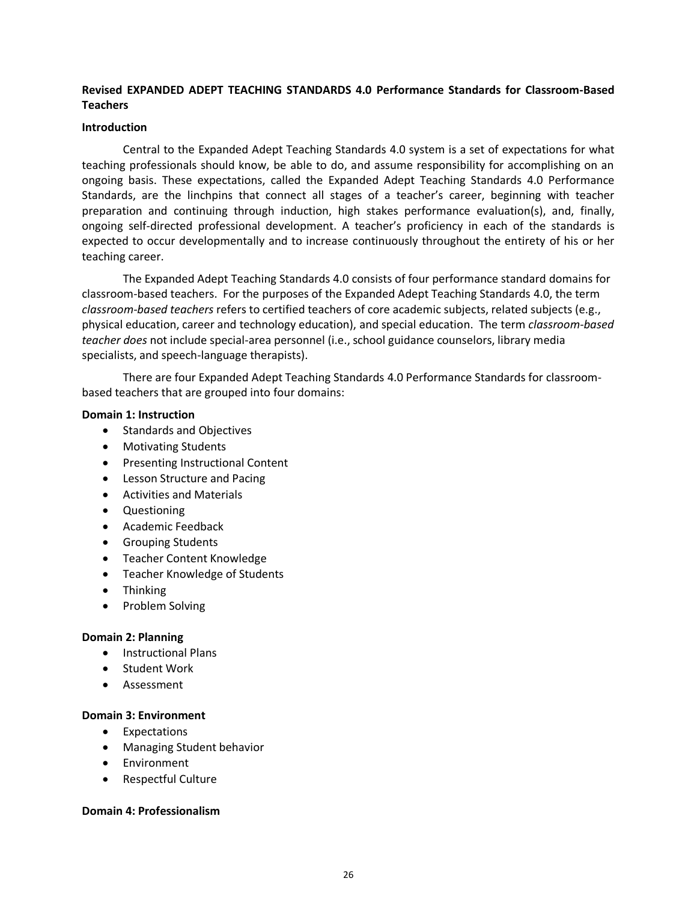# **Revised EXPANDED ADEPT TEACHING STANDARDS 4.0 Performance Standards for Classroom-Based Teachers**

#### **Introduction**

Central to the Expanded Adept Teaching Standards 4.0 system is a set of expectations for what teaching professionals should know, be able to do, and assume responsibility for accomplishing on an ongoing basis. These expectations, called the Expanded Adept Teaching Standards 4.0 Performance Standards, are the linchpins that connect all stages of a teacher's career, beginning with teacher preparation and continuing through induction, high stakes performance evaluation(s), and, finally, ongoing self-directed professional development. A teacher's proficiency in each of the standards is expected to occur developmentally and to increase continuously throughout the entirety of his or her teaching career.

The Expanded Adept Teaching Standards 4.0 consists of four performance standard domains for classroom-based teachers. For the purposes of the Expanded Adept Teaching Standards 4.0, the term *classroom-based teachers* refers to certified teachers of core academic subjects, related subjects (e.g., physical education, career and technology education), and special education. The term *classroom-based teacher does* not include special-area personnel (i.e., school guidance counselors, library media specialists, and speech-language therapists).

There are four Expanded Adept Teaching Standards 4.0 Performance Standards for classroombased teachers that are grouped into four domains:

#### **Domain 1: Instruction**

- Standards and Objectives
- Motivating Students
- Presenting Instructional Content
- Lesson Structure and Pacing
- Activities and Materials
- Questioning
- Academic Feedback
- Grouping Students
- Teacher Content Knowledge
- Teacher Knowledge of Students
- Thinking
- Problem Solving

## **Domain 2: Planning**

- Instructional Plans
- Student Work
- Assessment

## **Domain 3: Environment**

- Expectations
- Managing Student behavior
- Environment
- Respectful Culture

## **Domain 4: Professionalism**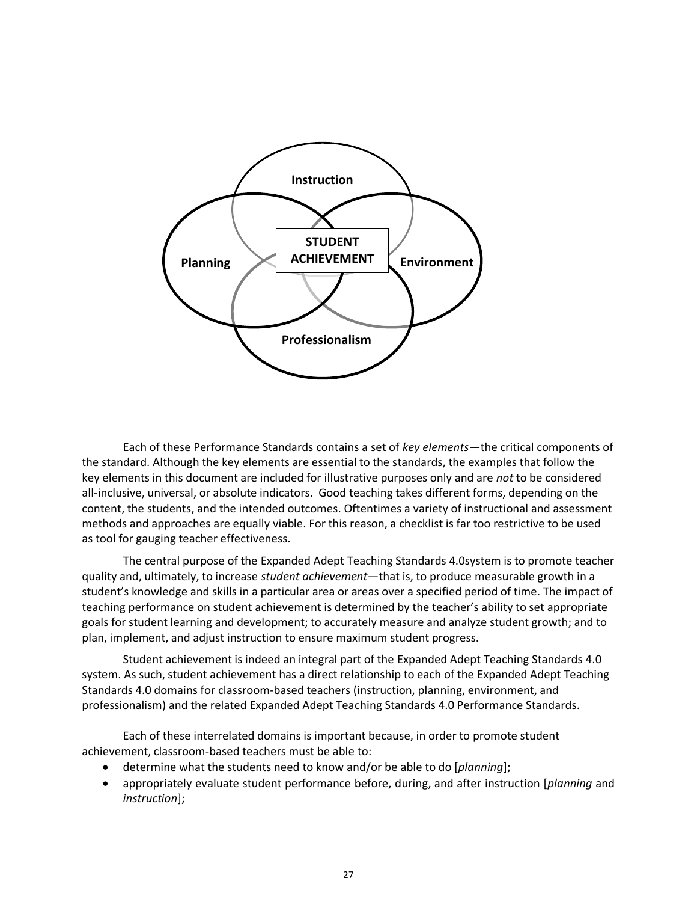

Each of these Performance Standards contains a set of *key elements*—the critical components of the standard. Although the key elements are essential to the standards, the examples that follow the key elements in this document are included for illustrative purposes only and are *not* to be considered all-inclusive, universal, or absolute indicators. Good teaching takes different forms, depending on the content, the students, and the intended outcomes. Oftentimes a variety of instructional and assessment methods and approaches are equally viable. For this reason, a checklist is far too restrictive to be used as tool for gauging teacher effectiveness.

The central purpose of the Expanded Adept Teaching Standards 4.0system is to promote teacher quality and, ultimately, to increase *student achievement*—that is, to produce measurable growth in a student's knowledge and skills in a particular area or areas over a specified period of time. The impact of teaching performance on student achievement is determined by the teacher's ability to set appropriate goals for student learning and development; to accurately measure and analyze student growth; and to plan, implement, and adjust instruction to ensure maximum student progress.

Student achievement is indeed an integral part of the Expanded Adept Teaching Standards 4.0 system. As such, student achievement has a direct relationship to each of the Expanded Adept Teaching Standards 4.0 domains for classroom-based teachers (instruction, planning, environment, and professionalism) and the related Expanded Adept Teaching Standards 4.0 Performance Standards.

Each of these interrelated domains is important because, in order to promote student achievement, classroom-based teachers must be able to:

- determine what the students need to know and/or be able to do [*planning*];
- appropriately evaluate student performance before, during, and after instruction [*planning* and *instruction*];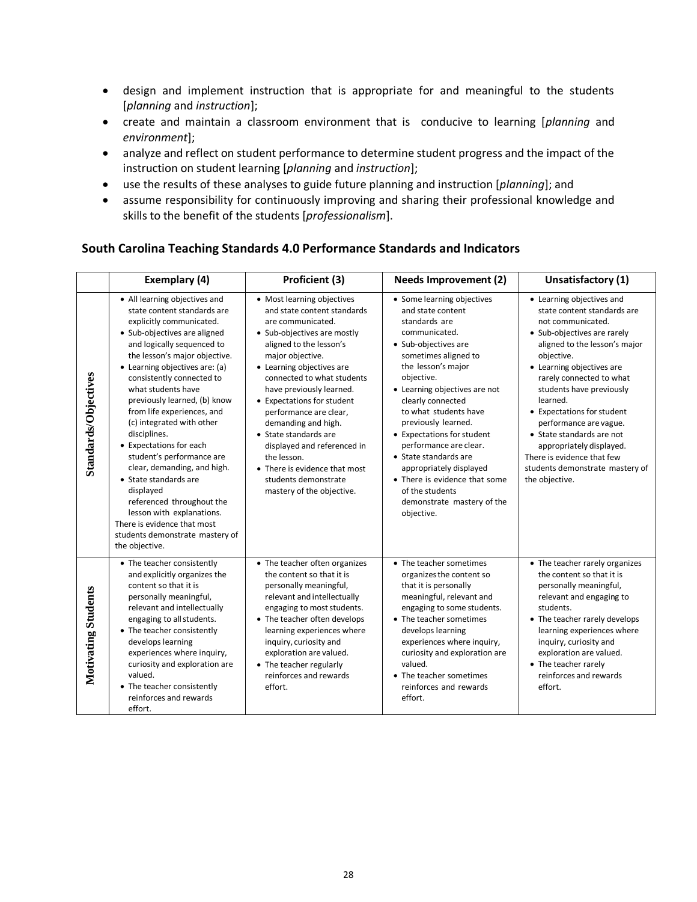- design and implement instruction that is appropriate for and meaningful to the students [*planning* and *instruction*];
- create and maintain a classroom environment that is conducive to learning [*planning* and *environment*];
- analyze and reflect on student performance to determine student progress and the impact of the instruction on student learning [*planning* and *instruction*];
- use the results of these analyses to guide future planning and instruction [*planning*]; and
- assume responsibility for continuously improving and sharing their professional knowledge and skills to the benefit of the students [*professionalism*].

## **South Carolina Teaching Standards 4.0 Performance Standards and Indicators**

|                            | Exemplary (4)<br>Proficient (3)                                                                                                                                                                                                                                                                                                                                                                                                                                                                                                                                                                                                                                    |                                                                                                                                                                                                                                                                                                                                                                                                                                                                                                 | <b>Needs Improvement (2)</b>                                                                                                                                                                                                                                                                                                                                                                                                                                                            | Unsatisfactory (1)                                                                                                                                                                                                                                                                                                                                                                                                                                               |
|----------------------------|--------------------------------------------------------------------------------------------------------------------------------------------------------------------------------------------------------------------------------------------------------------------------------------------------------------------------------------------------------------------------------------------------------------------------------------------------------------------------------------------------------------------------------------------------------------------------------------------------------------------------------------------------------------------|-------------------------------------------------------------------------------------------------------------------------------------------------------------------------------------------------------------------------------------------------------------------------------------------------------------------------------------------------------------------------------------------------------------------------------------------------------------------------------------------------|-----------------------------------------------------------------------------------------------------------------------------------------------------------------------------------------------------------------------------------------------------------------------------------------------------------------------------------------------------------------------------------------------------------------------------------------------------------------------------------------|------------------------------------------------------------------------------------------------------------------------------------------------------------------------------------------------------------------------------------------------------------------------------------------------------------------------------------------------------------------------------------------------------------------------------------------------------------------|
| Standards/Objectives       | • All learning objectives and<br>state content standards are<br>explicitly communicated.<br>• Sub-objectives are aligned<br>and logically sequenced to<br>the lesson's major objective.<br>• Learning objectives are: (a)<br>consistently connected to<br>what students have<br>previously learned, (b) know<br>from life experiences, and<br>(c) integrated with other<br>disciplines.<br>• Expectations for each<br>student's performance are<br>clear, demanding, and high.<br>• State standards are<br>displayed<br>referenced throughout the<br>lesson with explanations.<br>There is evidence that most<br>students demonstrate mastery of<br>the objective. | • Most learning objectives<br>and state content standards<br>are communicated.<br>• Sub-objectives are mostly<br>aligned to the lesson's<br>major objective.<br>• Learning objectives are<br>connected to what students<br>have previously learned.<br>• Expectations for student<br>performance are clear,<br>demanding and high.<br>• State standards are<br>displayed and referenced in<br>the lesson.<br>• There is evidence that most<br>students demonstrate<br>mastery of the objective. | • Some learning objectives<br>and state content<br>standards are<br>communicated.<br>• Sub-objectives are<br>sometimes aligned to<br>the lesson's major<br>objective.<br>• Learning objectives are not<br>clearly connected<br>to what students have<br>previously learned.<br>• Expectations for student<br>performance are clear.<br>• State standards are<br>appropriately displayed<br>• There is evidence that some<br>of the students<br>demonstrate mastery of the<br>objective. | • Learning objectives and<br>state content standards are<br>not communicated.<br>• Sub-objectives are rarely<br>aligned to the lesson's major<br>objective.<br>• Learning objectives are<br>rarely connected to what<br>students have previously<br>learned.<br>• Expectations for student<br>performance are vague.<br>• State standards are not<br>appropriately displayed.<br>There is evidence that few<br>students demonstrate mastery of<br>the objective. |
| <b>Motivating Students</b> | • The teacher consistently<br>and explicitly organizes the<br>content so that it is<br>personally meaningful,<br>relevant and intellectually<br>engaging to all students.<br>• The teacher consistently<br>develops learning<br>experiences where inquiry,<br>curiosity and exploration are<br>valued.<br>• The teacher consistently<br>reinforces and rewards<br>effort.                                                                                                                                                                                                                                                                                          | • The teacher often organizes<br>the content so that it is<br>personally meaningful,<br>relevant and intellectually<br>engaging to most students.<br>• The teacher often develops<br>learning experiences where<br>inquiry, curiosity and<br>exploration are valued.<br>• The teacher regularly<br>reinforces and rewards<br>effort.                                                                                                                                                            | • The teacher sometimes<br>organizes the content so<br>that it is personally<br>meaningful, relevant and<br>engaging to some students.<br>• The teacher sometimes<br>develops learning<br>experiences where inquiry,<br>curiosity and exploration are<br>valued.<br>• The teacher sometimes<br>reinforces and rewards<br>effort.                                                                                                                                                        | • The teacher rarely organizes<br>the content so that it is<br>personally meaningful,<br>relevant and engaging to<br>students.<br>• The teacher rarely develops<br>learning experiences where<br>inquiry, curiosity and<br>exploration are valued.<br>• The teacher rarely<br>reinforces and rewards<br>effort.                                                                                                                                                  |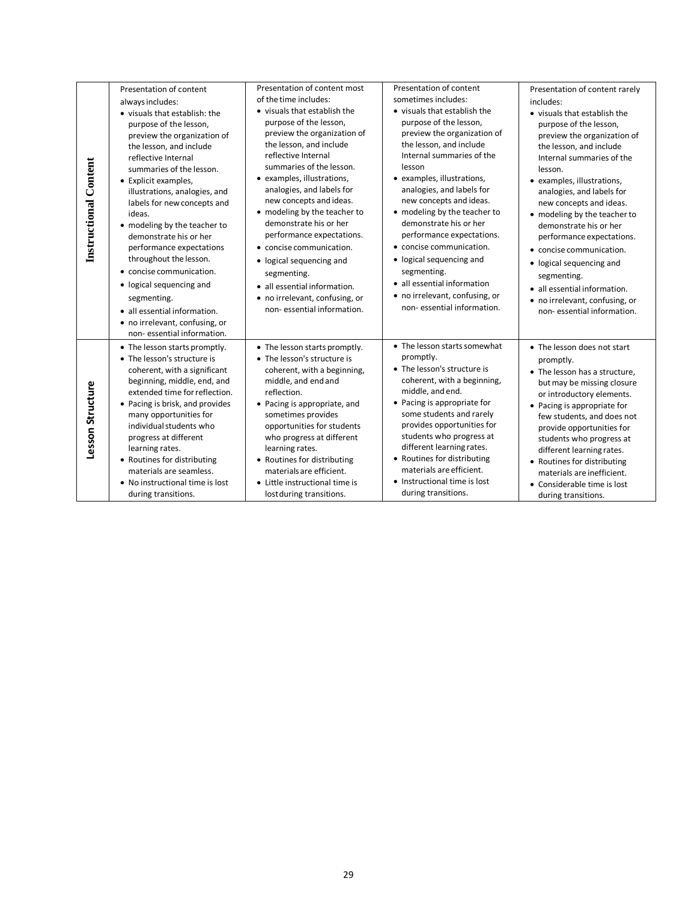| <b>Instructional Content</b> | Presentation of content<br>always includes:<br>• visuals that establish: the<br>purpose of the lesson,<br>preview the organization of<br>the lesson, and include<br>reflective Internal<br>summaries of the lesson.<br>• Explicit examples,<br>illustrations, analogies, and<br>labels for new concepts and<br>ideas.<br>• modeling by the teacher to<br>demonstrate his or her<br>performance expectations<br>throughout the lesson.<br>• concise communication.<br>• logical sequencing and<br>segmenting.<br>• all essential information.<br>• no irrelevant, confusing, or<br>non-essential information. | Presentation of content most<br>of the time includes:<br>• visuals that establish the<br>purpose of the lesson,<br>preview the organization of<br>the lesson, and include<br>reflective Internal<br>summaries of the lesson.<br>• examples, illustrations,<br>analogies, and labels for<br>new concepts and ideas.<br>• modeling by the teacher to<br>demonstrate his or her<br>performance expectations.<br>• concise communication.<br>• logical sequencing and<br>segmenting.<br>• all essential information.<br>• no irrelevant, confusing, or<br>non-essential information. | Presentation of content<br>sometimes includes:<br>• visuals that establish the<br>purpose of the lesson,<br>preview the organization of<br>the lesson, and include<br>Internal summaries of the<br>lesson<br>• examples, illustrations,<br>analogies, and labels for<br>new concepts and ideas.<br>• modeling by the teacher to<br>demonstrate his or her<br>performance expectations.<br>• concise communication.<br>• logical sequencing and<br>segmenting.<br>• all essential information<br>• no irrelevant, confusing, or<br>non-essential information. | Presentation of content rarely<br>includes:<br>• visuals that establish the<br>purpose of the lesson,<br>preview the organization of<br>the lesson, and include<br>Internal summaries of the<br>lesson.<br>• examples, illustrations,<br>analogies, and labels for<br>new concepts and ideas.<br>• modeling by the teacher to<br>demonstrate his or her<br>performance expectations.<br>• concise communication.<br>• logical sequencing and<br>segmenting.<br>• all essential information.<br>• no irrelevant, confusing, or<br>non-essential information. |
|------------------------------|--------------------------------------------------------------------------------------------------------------------------------------------------------------------------------------------------------------------------------------------------------------------------------------------------------------------------------------------------------------------------------------------------------------------------------------------------------------------------------------------------------------------------------------------------------------------------------------------------------------|----------------------------------------------------------------------------------------------------------------------------------------------------------------------------------------------------------------------------------------------------------------------------------------------------------------------------------------------------------------------------------------------------------------------------------------------------------------------------------------------------------------------------------------------------------------------------------|--------------------------------------------------------------------------------------------------------------------------------------------------------------------------------------------------------------------------------------------------------------------------------------------------------------------------------------------------------------------------------------------------------------------------------------------------------------------------------------------------------------------------------------------------------------|-------------------------------------------------------------------------------------------------------------------------------------------------------------------------------------------------------------------------------------------------------------------------------------------------------------------------------------------------------------------------------------------------------------------------------------------------------------------------------------------------------------------------------------------------------------|
| Lesson Structure             | • The lesson starts promptly.<br>• The lesson's structure is<br>coherent, with a significant<br>beginning, middle, end, and<br>extended time for reflection.<br>• Pacing is brisk, and provides<br>many opportunities for<br>individual students who<br>progress at different<br>learning rates.<br>• Routines for distributing<br>materials are seamless.<br>• No instructional time is lost<br>during transitions.                                                                                                                                                                                         | • The lesson starts promptly.<br>• The lesson's structure is<br>coherent, with a beginning,<br>middle, and end and<br>reflection.<br>• Pacing is appropriate, and<br>sometimes provides<br>opportunities for students<br>who progress at different<br>learning rates.<br>• Routines for distributing<br>materials are efficient.<br>• Little instructional time is<br>lost during transitions.                                                                                                                                                                                   | • The lesson starts somewhat<br>promptly.<br>• The lesson's structure is<br>coherent, with a beginning,<br>middle, and end.<br>• Pacing is appropriate for<br>some students and rarely<br>provides opportunities for<br>students who progress at<br>different learning rates.<br>• Routines for distributing<br>materials are efficient.<br>• Instructional time is lost<br>during transitions.                                                                                                                                                              | • The lesson does not start<br>promptly.<br>• The lesson has a structure,<br>but may be missing closure<br>or introductory elements.<br>• Pacing is appropriate for<br>few students, and does not<br>provide opportunities for<br>students who progress at<br>different learning rates.<br>• Routines for distributing<br>materials are inefficient.<br>• Considerable time is lost<br>during transitions.                                                                                                                                                  |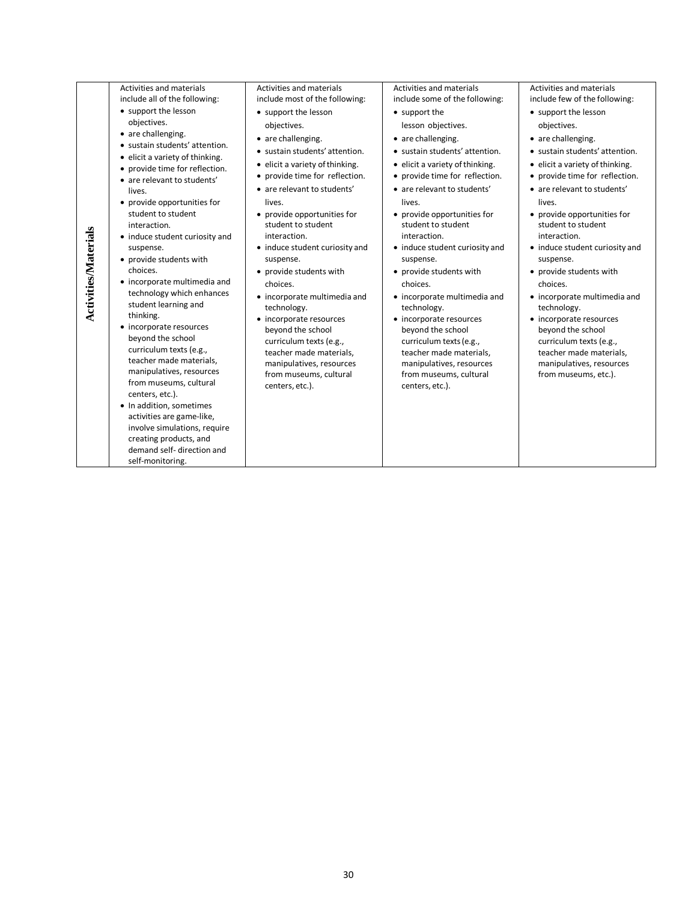| <b>Activities/Materials</b> | <b>Activities and materials</b><br>include all of the following:<br>• support the lesson<br>objectives.<br>• are challenging.<br>• sustain students' attention.<br>• elicit a variety of thinking.<br>• provide time for reflection.<br>• are relevant to students'<br>lives.<br>• provide opportunities for<br>student to student<br>interaction.<br>• induce student curiosity and<br>suspense.<br>• provide students with<br>choices.<br>• incorporate multimedia and<br>technology which enhances<br>student learning and<br>thinking.<br>• incorporate resources<br>beyond the school<br>curriculum texts (e.g.,<br>teacher made materials,<br>manipulatives, resources<br>from museums, cultural<br>centers, etc.).<br>• In addition, sometimes<br>activities are game-like,<br>involve simulations, require | <b>Activities and materials</b><br>include most of the following:<br>• support the lesson<br>objectives.<br>• are challenging.<br>• sustain students' attention.<br>• elicit a variety of thinking.<br>• provide time for reflection.<br>• are relevant to students'<br>lives.<br>• provide opportunities for<br>student to student<br>interaction.<br>• induce student curiosity and<br>suspense.<br>• provide students with<br>choices.<br>• incorporate multimedia and<br>technology.<br>• incorporate resources<br>beyond the school<br>curriculum texts (e.g.,<br>teacher made materials,<br>manipulatives, resources<br>from museums, cultural<br>centers, etc.). | <b>Activities and materials</b><br>include some of the following:<br>• support the<br>lesson objectives.<br>• are challenging.<br>• sustain students' attention.<br>• elicit a variety of thinking.<br>• provide time for reflection.<br>• are relevant to students'<br>lives.<br>• provide opportunities for<br>student to student<br>interaction.<br>• induce student curiosity and<br>suspense.<br>• provide students with<br>choices.<br>• incorporate multimedia and<br>technology.<br>• incorporate resources<br>beyond the school<br>curriculum texts (e.g.,<br>teacher made materials,<br>manipulatives, resources<br>from museums, cultural<br>centers, etc.). | Activities and materials<br>include few of the following:<br>• support the lesson<br>obiectives.<br>• are challenging.<br>• sustain students' attention.<br>• elicit a variety of thinking.<br>• provide time for reflection.<br>• are relevant to students'<br>lives.<br>• provide opportunities for<br>student to student<br>interaction.<br>• induce student curiosity and<br>suspense.<br>• provide students with<br>choices.<br>• incorporate multimedia and<br>technology.<br>• incorporate resources<br>beyond the school<br>curriculum texts (e.g.,<br>teacher made materials,<br>manipulatives, resources<br>from museums, etc.). |
|-----------------------------|--------------------------------------------------------------------------------------------------------------------------------------------------------------------------------------------------------------------------------------------------------------------------------------------------------------------------------------------------------------------------------------------------------------------------------------------------------------------------------------------------------------------------------------------------------------------------------------------------------------------------------------------------------------------------------------------------------------------------------------------------------------------------------------------------------------------|-------------------------------------------------------------------------------------------------------------------------------------------------------------------------------------------------------------------------------------------------------------------------------------------------------------------------------------------------------------------------------------------------------------------------------------------------------------------------------------------------------------------------------------------------------------------------------------------------------------------------------------------------------------------------|-------------------------------------------------------------------------------------------------------------------------------------------------------------------------------------------------------------------------------------------------------------------------------------------------------------------------------------------------------------------------------------------------------------------------------------------------------------------------------------------------------------------------------------------------------------------------------------------------------------------------------------------------------------------------|--------------------------------------------------------------------------------------------------------------------------------------------------------------------------------------------------------------------------------------------------------------------------------------------------------------------------------------------------------------------------------------------------------------------------------------------------------------------------------------------------------------------------------------------------------------------------------------------------------------------------------------------|
|                             | creating products, and<br>demand self- direction and<br>self-monitoring.                                                                                                                                                                                                                                                                                                                                                                                                                                                                                                                                                                                                                                                                                                                                           |                                                                                                                                                                                                                                                                                                                                                                                                                                                                                                                                                                                                                                                                         |                                                                                                                                                                                                                                                                                                                                                                                                                                                                                                                                                                                                                                                                         |                                                                                                                                                                                                                                                                                                                                                                                                                                                                                                                                                                                                                                            |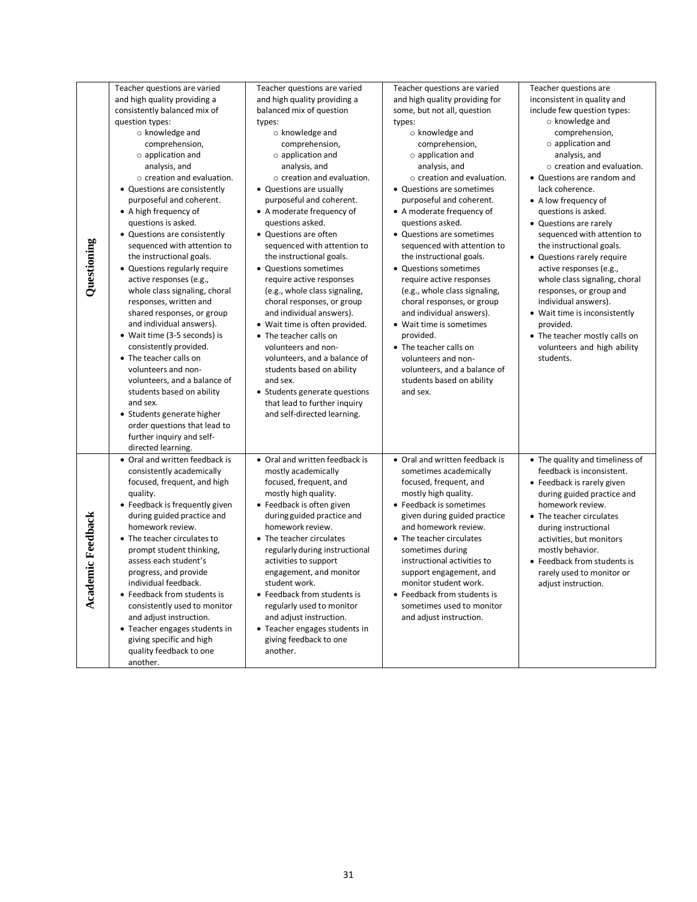| Questioning              | Teacher questions are varied<br>and high quality providing a<br>consistently balanced mix of<br>question types:<br>o knowledge and<br>comprehension,<br>$\circ$ application and<br>analysis, and<br>$\circ$ creation and evaluation.<br>• Questions are consistently<br>purposeful and coherent.<br>• A high frequency of<br>questions is asked.<br>• Questions are consistently<br>sequenced with attention to<br>the instructional goals.<br>• Questions regularly require<br>active responses (e.g.,<br>whole class signaling, choral<br>responses, written and<br>shared responses, or group<br>and individual answers).<br>• Wait time (3-5 seconds) is<br>consistently provided.<br>• The teacher calls on<br>volunteers and non-<br>volunteers, and a balance of<br>students based on ability<br>and sex.<br>• Students generate higher<br>order questions that lead to<br>further inquiry and self-<br>directed learning. | Teacher questions are varied<br>and high quality providing a<br>balanced mix of question<br>types:<br>$\circ$ knowledge and<br>comprehension,<br>$\circ$ application and<br>analysis, and<br>$\circ$ creation and evaluation.<br>• Questions are usually<br>purposeful and coherent.<br>• A moderate frequency of<br>questions asked.<br>• Questions are often<br>sequenced with attention to<br>the instructional goals.<br>• Questions sometimes<br>require active responses<br>(e.g., whole class signaling,<br>choral responses, or group<br>and individual answers).<br>• Wait time is often provided.<br>• The teacher calls on<br>volunteers and non-<br>volunteers, and a balance of<br>students based on ability<br>and sex.<br>• Students generate questions<br>that lead to further inquiry<br>and self-directed learning. | Teacher questions are varied<br>and high quality providing for<br>some, but not all, question<br>types:<br>$\circ$ knowledge and<br>comprehension,<br>$\circ$ application and<br>analysis, and<br>$\circ$ creation and evaluation.<br>• Questions are sometimes<br>purposeful and coherent.<br>• A moderate frequency of<br>questions asked.<br>• Questions are sometimes<br>sequenced with attention to<br>the instructional goals.<br>• Questions sometimes<br>require active responses<br>(e.g., whole class signaling,<br>choral responses, or group<br>and individual answers).<br>• Wait time is sometimes<br>provided.<br>• The teacher calls on<br>volunteers and non-<br>volunteers, and a balance of<br>students based on ability<br>and sex. | Teacher questions are<br>inconsistent in quality and<br>include few question types:<br>$\circ$ knowledge and<br>comprehension,<br>$\circ$ application and<br>analysis, and<br>$\circ$ creation and evaluation.<br>• Questions are random and<br>lack coherence.<br>• A low frequency of<br>questions is asked.<br>• Questions are rarely<br>sequenced with attention to<br>the instructional goals.<br>• Questions rarely require<br>active responses (e.g.,<br>whole class signaling, choral<br>responses, or group and<br>individual answers).<br>• Wait time is inconsistently<br>provided.<br>• The teacher mostly calls on<br>volunteers and high ability<br>students. |
|--------------------------|-----------------------------------------------------------------------------------------------------------------------------------------------------------------------------------------------------------------------------------------------------------------------------------------------------------------------------------------------------------------------------------------------------------------------------------------------------------------------------------------------------------------------------------------------------------------------------------------------------------------------------------------------------------------------------------------------------------------------------------------------------------------------------------------------------------------------------------------------------------------------------------------------------------------------------------|---------------------------------------------------------------------------------------------------------------------------------------------------------------------------------------------------------------------------------------------------------------------------------------------------------------------------------------------------------------------------------------------------------------------------------------------------------------------------------------------------------------------------------------------------------------------------------------------------------------------------------------------------------------------------------------------------------------------------------------------------------------------------------------------------------------------------------------|---------------------------------------------------------------------------------------------------------------------------------------------------------------------------------------------------------------------------------------------------------------------------------------------------------------------------------------------------------------------------------------------------------------------------------------------------------------------------------------------------------------------------------------------------------------------------------------------------------------------------------------------------------------------------------------------------------------------------------------------------------|-----------------------------------------------------------------------------------------------------------------------------------------------------------------------------------------------------------------------------------------------------------------------------------------------------------------------------------------------------------------------------------------------------------------------------------------------------------------------------------------------------------------------------------------------------------------------------------------------------------------------------------------------------------------------------|
| <b>Academic Feedback</b> | • Oral and written feedback is<br>consistently academically<br>focused, frequent, and high<br>quality.<br>• Feedback is frequently given<br>during guided practice and<br>homework review.<br>• The teacher circulates to<br>prompt student thinking,<br>assess each student's<br>progress, and provide<br>individual feedback.<br>• Feedback from students is<br>consistently used to monitor<br>and adjust instruction.<br>• Teacher engages students in<br>giving specific and high<br>quality feedback to one<br>another.                                                                                                                                                                                                                                                                                                                                                                                                     | • Oral and written feedback is<br>mostly academically<br>focused, frequent, and<br>mostly high quality.<br>• Feedback is often given<br>during guided practice and<br>homework review.<br>• The teacher circulates<br>regularly during instructional<br>activities to support<br>engagement, and monitor<br>student work.<br>• Feedback from students is<br>regularly used to monitor<br>and adjust instruction.<br>• Teacher engages students in<br>giving feedback to one<br>another.                                                                                                                                                                                                                                                                                                                                               | • Oral and written feedback is<br>sometimes academically<br>focused, frequent, and<br>mostly high quality.<br>• Feedback is sometimes<br>given during guided practice<br>and homework review.<br>• The teacher circulates<br>sometimes during<br>instructional activities to<br>support engagement, and<br>monitor student work.<br>• Feedback from students is<br>sometimes used to monitor<br>and adjust instruction.                                                                                                                                                                                                                                                                                                                                 | • The quality and timeliness of<br>feedback is inconsistent.<br>• Feedback is rarely given<br>during guided practice and<br>homework review.<br>• The teacher circulates<br>during instructional<br>activities, but monitors<br>mostly behavior.<br>• Feedback from students is<br>rarely used to monitor or<br>adjust instruction.                                                                                                                                                                                                                                                                                                                                         |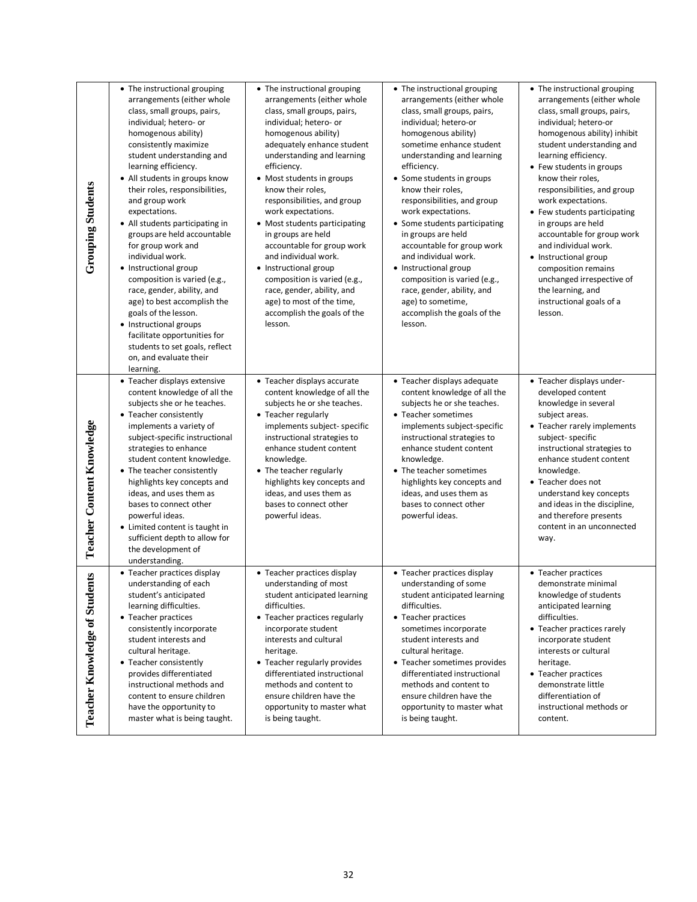| <b>Grouping Students</b>                 | • The instructional grouping<br>arrangements (either whole<br>class, small groups, pairs,<br>individual; hetero- or<br>homogenous ability)<br>consistently maximize<br>student understanding and<br>learning efficiency.<br>• All students in groups know<br>their roles, responsibilities,<br>and group work<br>expectations.<br>• All students participating in<br>groups are held accountable<br>for group work and<br>individual work.<br>• Instructional group<br>composition is varied (e.g.,<br>race, gender, ability, and<br>age) to best accomplish the<br>goals of the lesson.<br>• Instructional groups<br>facilitate opportunities for<br>students to set goals, reflect<br>on, and evaluate their<br>learning. | • The instructional grouping<br>arrangements (either whole<br>class, small groups, pairs,<br>individual; hetero- or<br>homogenous ability)<br>adequately enhance student<br>understanding and learning<br>efficiency.<br>• Most students in groups<br>know their roles,<br>responsibilities, and group<br>work expectations.<br>• Most students participating<br>in groups are held<br>accountable for group work<br>and individual work.<br>• Instructional group<br>composition is varied (e.g.,<br>race, gender, ability, and<br>age) to most of the time,<br>accomplish the goals of the<br>lesson. | • The instructional grouping<br>arrangements (either whole<br>class, small groups, pairs,<br>individual; hetero-or<br>homogenous ability)<br>sometime enhance student<br>understanding and learning<br>efficiency.<br>• Some students in groups<br>know their roles,<br>responsibilities, and group<br>work expectations.<br>• Some students participating<br>in groups are held<br>accountable for group work<br>and individual work.<br>• Instructional group<br>composition is varied (e.g.,<br>race, gender, ability, and<br>age) to sometime,<br>accomplish the goals of the<br>lesson. | • The instructional grouping<br>arrangements (either whole<br>class, small groups, pairs,<br>individual; hetero-or<br>homogenous ability) inhibit<br>student understanding and<br>learning efficiency.<br>• Few students in groups<br>know their roles,<br>responsibilities, and group<br>work expectations.<br>• Few students participating<br>in groups are held<br>accountable for group work<br>and individual work.<br>• Instructional group<br>composition remains<br>unchanged irrespective of<br>the learning, and<br>instructional goals of a<br>lesson. |
|------------------------------------------|-----------------------------------------------------------------------------------------------------------------------------------------------------------------------------------------------------------------------------------------------------------------------------------------------------------------------------------------------------------------------------------------------------------------------------------------------------------------------------------------------------------------------------------------------------------------------------------------------------------------------------------------------------------------------------------------------------------------------------|---------------------------------------------------------------------------------------------------------------------------------------------------------------------------------------------------------------------------------------------------------------------------------------------------------------------------------------------------------------------------------------------------------------------------------------------------------------------------------------------------------------------------------------------------------------------------------------------------------|----------------------------------------------------------------------------------------------------------------------------------------------------------------------------------------------------------------------------------------------------------------------------------------------------------------------------------------------------------------------------------------------------------------------------------------------------------------------------------------------------------------------------------------------------------------------------------------------|-------------------------------------------------------------------------------------------------------------------------------------------------------------------------------------------------------------------------------------------------------------------------------------------------------------------------------------------------------------------------------------------------------------------------------------------------------------------------------------------------------------------------------------------------------------------|
| Teacher Content Knowledge                | • Teacher displays extensive<br>content knowledge of all the<br>subjects she or he teaches.<br>• Teacher consistently<br>implements a variety of<br>subject-specific instructional<br>strategies to enhance<br>student content knowledge.<br>• The teacher consistently<br>highlights key concepts and<br>ideas, and uses them as<br>bases to connect other<br>powerful ideas.<br>• Limited content is taught in<br>sufficient depth to allow for<br>the development of<br>understanding.                                                                                                                                                                                                                                   | • Teacher displays accurate<br>content knowledge of all the<br>subjects he or she teaches.<br>• Teacher regularly<br>implements subject- specific<br>instructional strategies to<br>enhance student content<br>knowledge.<br>• The teacher regularly<br>highlights key concepts and<br>ideas, and uses them as<br>bases to connect other<br>powerful ideas.                                                                                                                                                                                                                                             | • Teacher displays adequate<br>content knowledge of all the<br>subjects he or she teaches.<br>• Teacher sometimes<br>implements subject-specific<br>instructional strategies to<br>enhance student content<br>knowledge.<br>• The teacher sometimes<br>highlights key concepts and<br>ideas, and uses them as<br>bases to connect other<br>powerful ideas.                                                                                                                                                                                                                                   | • Teacher displays under-<br>developed content<br>knowledge in several<br>subject areas.<br>• Teacher rarely implements<br>subject-specific<br>instructional strategies to<br>enhance student content<br>knowledge.<br>• Teacher does not<br>understand key concepts<br>and ideas in the discipline,<br>and therefore presents<br>content in an unconnected<br>way.                                                                                                                                                                                               |
| ents<br><b>Teacher Knowledge of Stud</b> | • Teacher practices display<br>understanding of each<br>student's anticipated<br>learning difficulties.<br>• Teacher practices<br>consistently incorporate<br>student interests and<br>cultural heritage.<br>• Teacher consistently<br>provides differentiated<br>instructional methods and<br>content to ensure children<br>have the opportunity to<br>master what is being taught.                                                                                                                                                                                                                                                                                                                                        | • Teacher practices display<br>understanding of most<br>student anticipated learning<br>difficulties.<br>• Teacher practices regularly<br>incorporate student<br>interests and cultural<br>heritage.<br>• Teacher regularly provides<br>differentiated instructional<br>methods and content to<br>ensure children have the<br>opportunity to master what<br>is being taught.                                                                                                                                                                                                                            | • Teacher practices display<br>understanding of some<br>student anticipated learning<br>difficulties.<br>• Teacher practices<br>sometimes incorporate<br>student interests and<br>cultural heritage.<br>• Teacher sometimes provides<br>differentiated instructional<br>methods and content to<br>ensure children have the<br>opportunity to master what<br>is being taught.                                                                                                                                                                                                                 | • Teacher practices<br>demonstrate minimal<br>knowledge of students<br>anticipated learning<br>difficulties.<br>• Teacher practices rarely<br>incorporate student<br>interests or cultural<br>heritage.<br>• Teacher practices<br>demonstrate little<br>differentiation of<br>instructional methods or<br>content.                                                                                                                                                                                                                                                |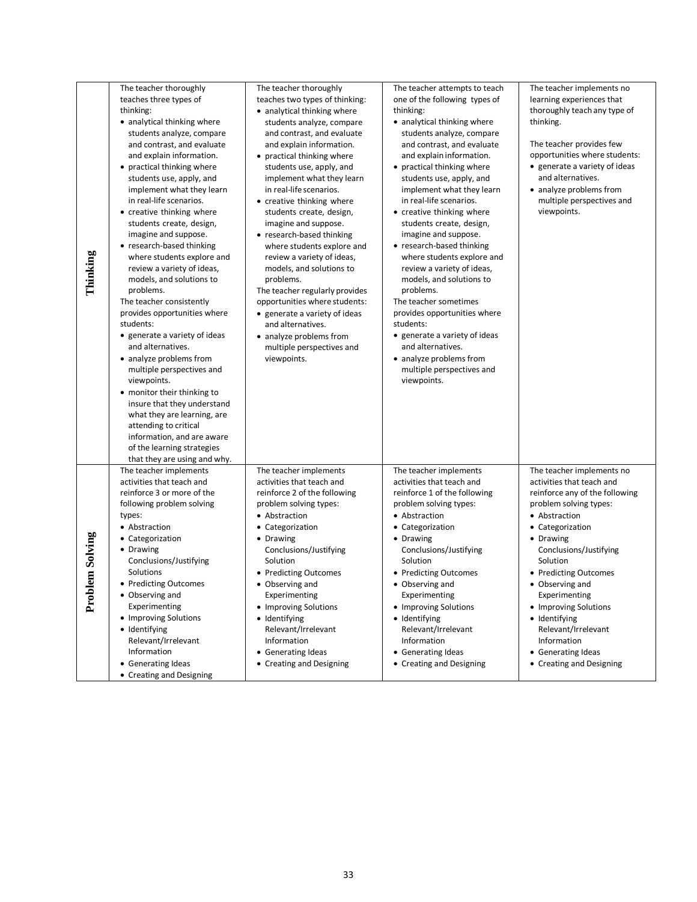|                     | The teacher thoroughly<br>teaches three types of                                                                                                                                                                                                                                                                                                                                                                                                                                                                                                                                                                                                                                                                                                          | The teacher thoroughly<br>teaches two types of thinking:                                                                                                                                                                                                                                                                                                                                                                                                                                            | The teacher attempts to teach<br>one of the following types of                                                                                                                                                                                                                                                                                                                                                                                                                                                                       | The teacher implements no<br>learning experiences that                                                                                                                                                                                                                                                                                                                                                    |
|---------------------|-----------------------------------------------------------------------------------------------------------------------------------------------------------------------------------------------------------------------------------------------------------------------------------------------------------------------------------------------------------------------------------------------------------------------------------------------------------------------------------------------------------------------------------------------------------------------------------------------------------------------------------------------------------------------------------------------------------------------------------------------------------|-----------------------------------------------------------------------------------------------------------------------------------------------------------------------------------------------------------------------------------------------------------------------------------------------------------------------------------------------------------------------------------------------------------------------------------------------------------------------------------------------------|--------------------------------------------------------------------------------------------------------------------------------------------------------------------------------------------------------------------------------------------------------------------------------------------------------------------------------------------------------------------------------------------------------------------------------------------------------------------------------------------------------------------------------------|-----------------------------------------------------------------------------------------------------------------------------------------------------------------------------------------------------------------------------------------------------------------------------------------------------------------------------------------------------------------------------------------------------------|
|                     | thinking:<br>• analytical thinking where<br>students analyze, compare<br>and contrast, and evaluate<br>and explain information.                                                                                                                                                                                                                                                                                                                                                                                                                                                                                                                                                                                                                           | • analytical thinking where<br>students analyze, compare<br>and contrast, and evaluate<br>and explain information.<br>• practical thinking where                                                                                                                                                                                                                                                                                                                                                    | thinking:<br>• analytical thinking where<br>students analyze, compare<br>and contrast, and evaluate<br>and explain information.                                                                                                                                                                                                                                                                                                                                                                                                      | thoroughly teach any type of<br>thinking.<br>The teacher provides few<br>opportunities where students:                                                                                                                                                                                                                                                                                                    |
| Thinking            | • practical thinking where<br>students use, apply, and<br>implement what they learn<br>in real-life scenarios.<br>• creative thinking where<br>students create, design,<br>imagine and suppose.<br>• research-based thinking<br>where students explore and<br>review a variety of ideas,<br>models, and solutions to<br>problems.<br>The teacher consistently<br>provides opportunities where<br>students:<br>• generate a variety of ideas<br>and alternatives.<br>• analyze problems from<br>multiple perspectives and<br>viewpoints.<br>• monitor their thinking to<br>insure that they understand<br>what they are learning, are<br>attending to critical<br>information, and are aware<br>of the learning strategies<br>that they are using and why. | students use, apply, and<br>implement what they learn<br>in real-life scenarios.<br>• creative thinking where<br>students create, design,<br>imagine and suppose.<br>• research-based thinking<br>where students explore and<br>review a variety of ideas,<br>models, and solutions to<br>problems.<br>The teacher regularly provides<br>opportunities where students:<br>• generate a variety of ideas<br>and alternatives.<br>• analyze problems from<br>multiple perspectives and<br>viewpoints. | • practical thinking where<br>students use, apply, and<br>implement what they learn<br>in real-life scenarios.<br>• creative thinking where<br>students create, design,<br>imagine and suppose.<br>• research-based thinking<br>where students explore and<br>review a variety of ideas,<br>models, and solutions to<br>problems.<br>The teacher sometimes<br>provides opportunities where<br>students:<br>• generate a variety of ideas<br>and alternatives.<br>• analyze problems from<br>multiple perspectives and<br>viewpoints. | • generate a variety of ideas<br>and alternatives.<br>• analyze problems from<br>multiple perspectives and<br>viewpoints.                                                                                                                                                                                                                                                                                 |
| lem Solving<br>Prob | The teacher implements<br>activities that teach and<br>reinforce 3 or more of the<br>following problem solving<br>types:<br>• Abstraction<br>• Categorization<br>• Drawing<br>Conclusions/Justifying<br>Solutions<br>• Predicting Outcomes<br>• Observing and<br>Experimenting<br>• Improving Solutions<br>• Identifying<br>Relevant/Irrelevant<br>Information<br>• Generating Ideas<br>• Creating and Designing                                                                                                                                                                                                                                                                                                                                          | The teacher implements<br>activities that teach and<br>reinforce 2 of the following<br>problem solving types:<br>• Abstraction<br>• Categorization<br>• Drawing<br>Conclusions/Justifying<br>Solution<br>• Predicting Outcomes<br>• Observing and<br>Experimenting<br>• Improving Solutions<br>• Identifying<br>Relevant/Irrelevant<br>Information<br>• Generating Ideas<br>• Creating and Designing                                                                                                | The teacher implements<br>activities that teach and<br>reinforce 1 of the following<br>problem solving types:<br>• Abstraction<br>• Categorization<br>• Drawing<br>Conclusions/Justifying<br>Solution<br>• Predicting Outcomes<br>• Observing and<br>Experimenting<br>• Improving Solutions<br>• Identifying<br>Relevant/Irrelevant<br>Information<br>• Generating Ideas<br>• Creating and Designing                                                                                                                                 | The teacher implements no<br>activities that teach and<br>reinforce any of the following<br>problem solving types:<br>• Abstraction<br>• Categorization<br>• Drawing<br>Conclusions/Justifying<br>Solution<br>• Predicting Outcomes<br>• Observing and<br>Experimenting<br>• Improving Solutions<br>• Identifying<br>Relevant/Irrelevant<br>Information<br>• Generating Ideas<br>• Creating and Designing |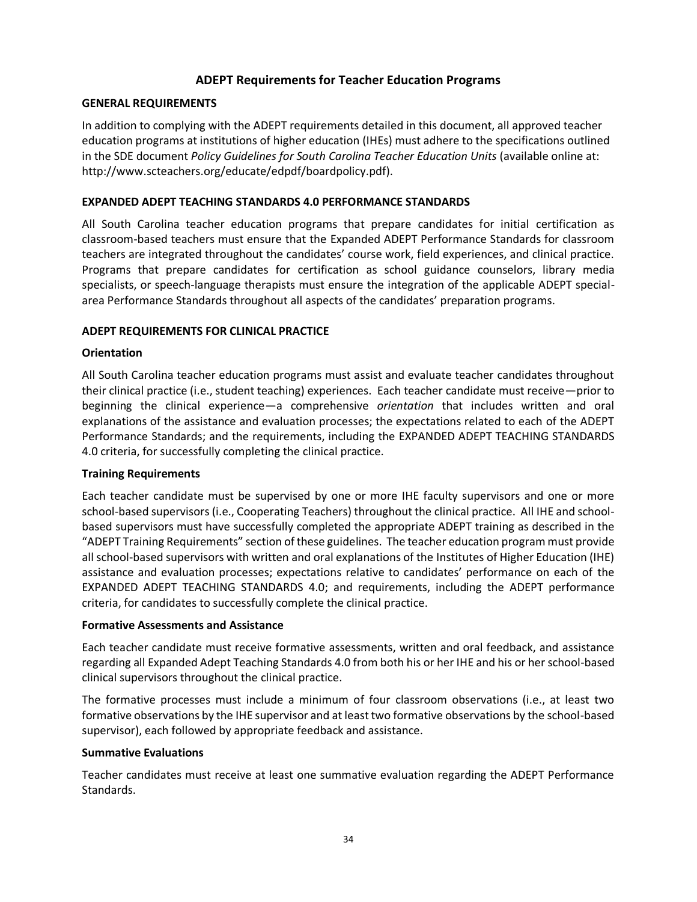# **ADEPT Requirements for Teacher Education Programs**

#### **GENERAL REQUIREMENTS**

In addition to complying with the ADEPT requirements detailed in this document, all approved teacher education programs at institutions of higher education (IHEs) must adhere to the specifications outlined in the SDE document *Policy Guidelines for South Carolina Teacher Education Units* (available online at: http://www.scteachers.org/educate/edpdf/boardpolicy.pdf).

#### **EXPANDED ADEPT TEACHING STANDARDS 4.0 PERFORMANCE STANDARDS**

All South Carolina teacher education programs that prepare candidates for initial certification as classroom-based teachers must ensure that the Expanded ADEPT Performance Standards for classroom teachers are integrated throughout the candidates' course work, field experiences, and clinical practice. Programs that prepare candidates for certification as school guidance counselors, library media specialists, or speech-language therapists must ensure the integration of the applicable ADEPT specialarea Performance Standards throughout all aspects of the candidates' preparation programs.

#### **ADEPT REQUIREMENTS FOR CLINICAL PRACTICE**

#### **Orientation**

All South Carolina teacher education programs must assist and evaluate teacher candidates throughout their clinical practice (i.e., student teaching) experiences. Each teacher candidate must receive—prior to beginning the clinical experience—a comprehensive *orientation* that includes written and oral explanations of the assistance and evaluation processes; the expectations related to each of the ADEPT Performance Standards; and the requirements, including the EXPANDED ADEPT TEACHING STANDARDS 4.0 criteria, for successfully completing the clinical practice.

#### **Training Requirements**

Each teacher candidate must be supervised by one or more IHE faculty supervisors and one or more school-based supervisors (i.e., Cooperating Teachers) throughout the clinical practice. All IHE and schoolbased supervisors must have successfully completed the appropriate ADEPT training as described in the "ADEPT Training Requirements" section of these guidelines. The teacher education program must provide all school-based supervisors with written and oral explanations of the Institutes of Higher Education (IHE) assistance and evaluation processes; expectations relative to candidates' performance on each of the EXPANDED ADEPT TEACHING STANDARDS 4.0; and requirements, including the ADEPT performance criteria, for candidates to successfully complete the clinical practice.

#### **Formative Assessments and Assistance**

Each teacher candidate must receive formative assessments, written and oral feedback, and assistance regarding all Expanded Adept Teaching Standards 4.0 from both his or her IHE and his or her school-based clinical supervisors throughout the clinical practice.

The formative processes must include a minimum of four classroom observations (i.e., at least two formative observations by the IHE supervisor and at least two formative observations by the school-based supervisor), each followed by appropriate feedback and assistance.

#### **Summative Evaluations**

Teacher candidates must receive at least one summative evaluation regarding the ADEPT Performance Standards.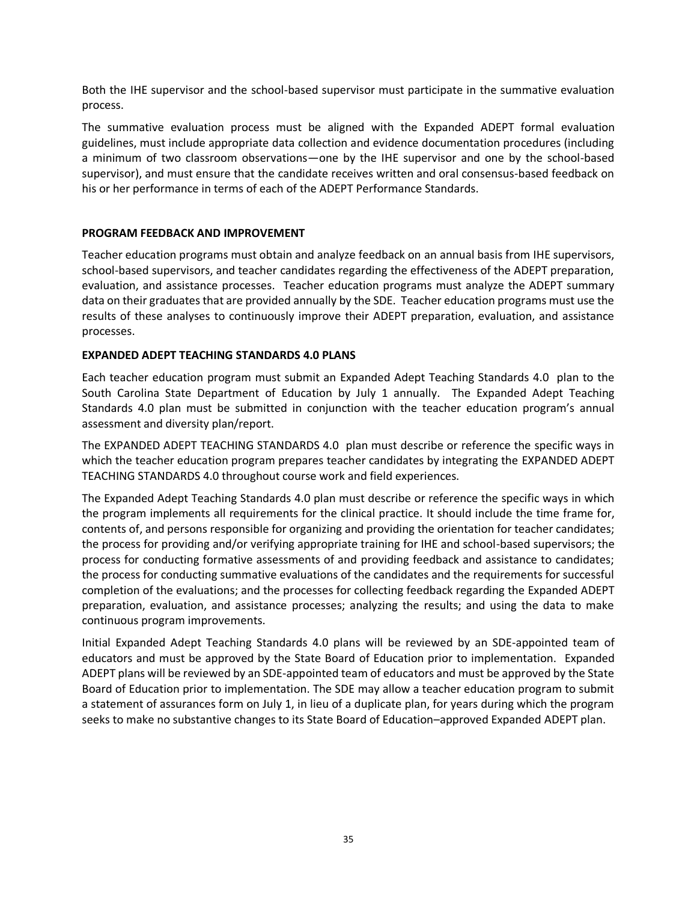Both the IHE supervisor and the school-based supervisor must participate in the summative evaluation process.

The summative evaluation process must be aligned with the Expanded ADEPT formal evaluation guidelines, must include appropriate data collection and evidence documentation procedures (including a minimum of two classroom observations—one by the IHE supervisor and one by the school-based supervisor), and must ensure that the candidate receives written and oral consensus-based feedback on his or her performance in terms of each of the ADEPT Performance Standards.

## **PROGRAM FEEDBACK AND IMPROVEMENT**

Teacher education programs must obtain and analyze feedback on an annual basis from IHE supervisors, school-based supervisors, and teacher candidates regarding the effectiveness of the ADEPT preparation, evaluation, and assistance processes. Teacher education programs must analyze the ADEPT summary data on their graduates that are provided annually by the SDE. Teacher education programs must use the results of these analyses to continuously improve their ADEPT preparation, evaluation, and assistance processes.

# **EXPANDED ADEPT TEACHING STANDARDS 4.0 PLANS**

Each teacher education program must submit an Expanded Adept Teaching Standards 4.0 plan to the South Carolina State Department of Education by July 1 annually. The Expanded Adept Teaching Standards 4.0 plan must be submitted in conjunction with the teacher education program's annual assessment and diversity plan/report.

The EXPANDED ADEPT TEACHING STANDARDS 4.0 plan must describe or reference the specific ways in which the teacher education program prepares teacher candidates by integrating the EXPANDED ADEPT TEACHING STANDARDS 4.0 throughout course work and field experiences.

The Expanded Adept Teaching Standards 4.0 plan must describe or reference the specific ways in which the program implements all requirements for the clinical practice. It should include the time frame for, contents of, and persons responsible for organizing and providing the orientation for teacher candidates; the process for providing and/or verifying appropriate training for IHE and school-based supervisors; the process for conducting formative assessments of and providing feedback and assistance to candidates; the process for conducting summative evaluations of the candidates and the requirements for successful completion of the evaluations; and the processes for collecting feedback regarding the Expanded ADEPT preparation, evaluation, and assistance processes; analyzing the results; and using the data to make continuous program improvements.

Initial Expanded Adept Teaching Standards 4.0 plans will be reviewed by an SDE-appointed team of educators and must be approved by the State Board of Education prior to implementation. Expanded ADEPT plans will be reviewed by an SDE-appointed team of educators and must be approved by the State Board of Education prior to implementation. The SDE may allow a teacher education program to submit a statement of assurances form on July 1, in lieu of a duplicate plan, for years during which the program seeks to make no substantive changes to its State Board of Education–approved Expanded ADEPT plan.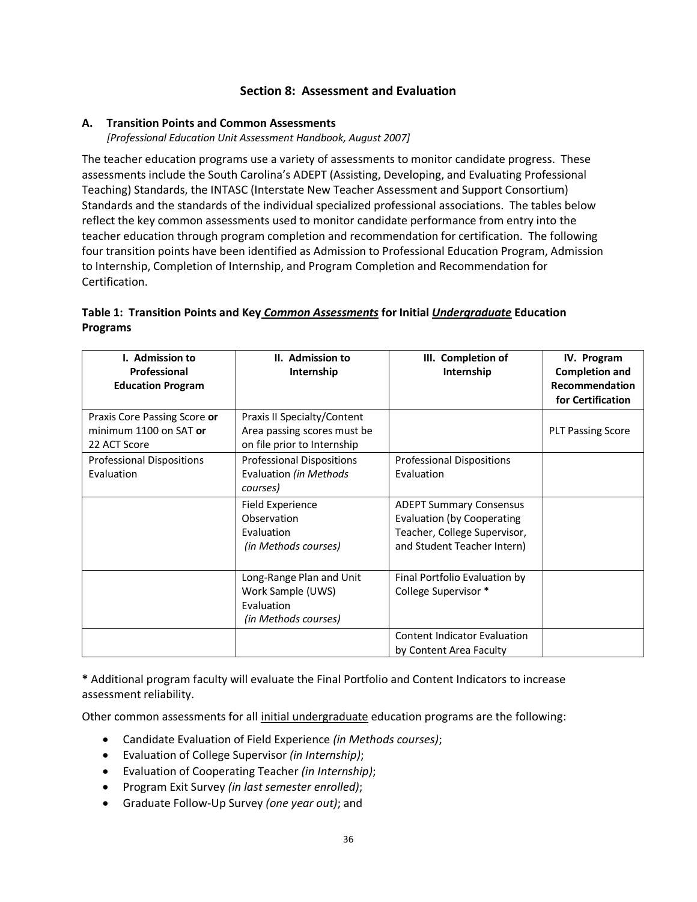# **Section 8: Assessment and Evaluation**

## **A. Transition Points and Common Assessments**

*[Professional Education Unit Assessment Handbook, August 2007]*

The teacher education programs use a variety of assessments to monitor candidate progress. These assessments include the South Carolina's ADEPT (Assisting, Developing, and Evaluating Professional Teaching) Standards, the INTASC (Interstate New Teacher Assessment and Support Consortium) Standards and the standards of the individual specialized professional associations. The tables below reflect the key common assessments used to monitor candidate performance from entry into the teacher education through program completion and recommendation for certification. The following four transition points have been identified as Admission to Professional Education Program, Admission to Internship, Completion of Internship, and Program Completion and Recommendation for Certification.

# **Table 1: Transition Points and Key** *Common Assessments* **for Initial** *Undergraduate* **Education Programs**

| <b>I.</b> Admission to<br>Professional<br><b>Education Program</b>     | II. Admission to<br>Internship                                                            | III. Completion of<br>Internship                                                                                            | IV. Program<br><b>Completion and</b><br>Recommendation<br>for Certification |
|------------------------------------------------------------------------|-------------------------------------------------------------------------------------------|-----------------------------------------------------------------------------------------------------------------------------|-----------------------------------------------------------------------------|
| Praxis Core Passing Score or<br>minimum 1100 on SAT or<br>22 ACT Score | Praxis II Specialty/Content<br>Area passing scores must be<br>on file prior to Internship |                                                                                                                             | <b>PLT Passing Score</b>                                                    |
| <b>Professional Dispositions</b><br>Evaluation                         | <b>Professional Dispositions</b><br>Evaluation (in Methods<br>courses)                    | <b>Professional Dispositions</b><br>Evaluation                                                                              |                                                                             |
|                                                                        | <b>Field Experience</b><br>Observation<br>Evaluation<br>(in Methods courses)              | <b>ADEPT Summary Consensus</b><br>Evaluation (by Cooperating<br>Teacher, College Supervisor,<br>and Student Teacher Intern) |                                                                             |
|                                                                        | Long-Range Plan and Unit<br>Work Sample (UWS)<br>Evaluation<br>(in Methods courses)       | Final Portfolio Evaluation by<br>College Supervisor *                                                                       |                                                                             |
|                                                                        |                                                                                           | <b>Content Indicator Evaluation</b><br>by Content Area Faculty                                                              |                                                                             |

**\*** Additional program faculty will evaluate the Final Portfolio and Content Indicators to increase assessment reliability.

Other common assessments for all initial undergraduate education programs are the following:

- Candidate Evaluation of Field Experience *(in Methods courses)*;
- Evaluation of College Supervisor *(in Internship)*;
- Evaluation of Cooperating Teacher *(in Internship)*;
- Program Exit Survey *(in last semester enrolled)*;
- Graduate Follow-Up Survey *(one year out)*; and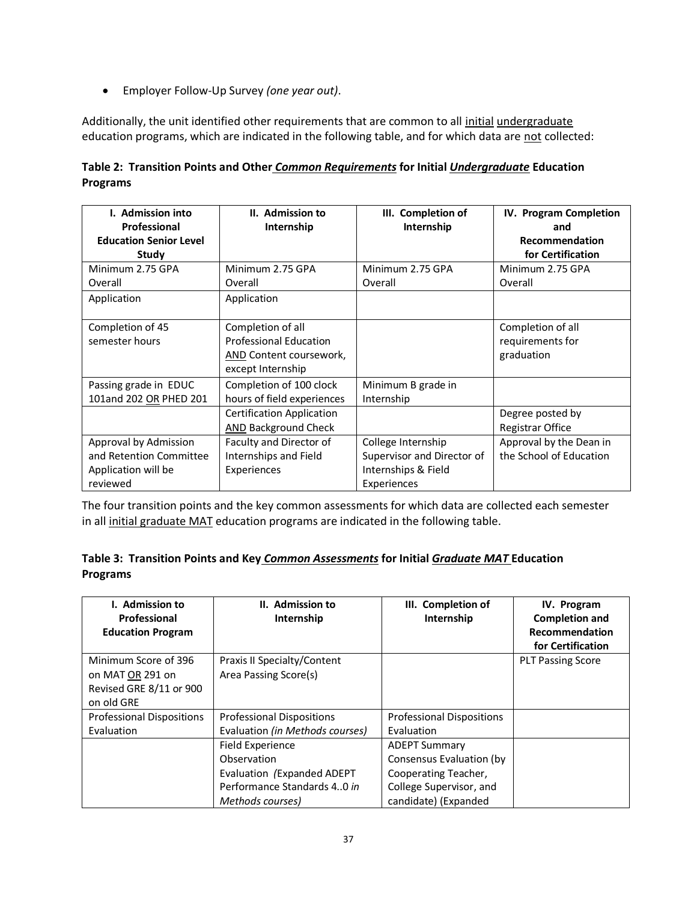• Employer Follow-Up Survey *(one year out)*.

Additionally, the unit identified other requirements that are common to all initial undergraduate education programs, which are indicated in the following table, and for which data are not collected:

| Table 2: Transition Points and Other Common Requirements for Initial Undergraduate Education |  |  |  |
|----------------------------------------------------------------------------------------------|--|--|--|
| <b>Programs</b>                                                                              |  |  |  |

| <b>I.</b> Admission into<br>Professional<br><b>Education Senior Level</b><br>Study | II. Admission to<br>Internship   | III. Completion of<br>Internship | IV. Program Completion<br>and<br><b>Recommendation</b><br>for Certification |
|------------------------------------------------------------------------------------|----------------------------------|----------------------------------|-----------------------------------------------------------------------------|
| Minimum 2.75 GPA                                                                   | Minimum 2.75 GPA                 | Minimum 2.75 GPA                 | Minimum 2.75 GPA                                                            |
| Overall                                                                            | Overall                          | Overall                          | Overall                                                                     |
| Application                                                                        | Application                      |                                  |                                                                             |
| Completion of 45                                                                   | Completion of all                |                                  | Completion of all                                                           |
| semester hours                                                                     | <b>Professional Education</b>    |                                  | requirements for                                                            |
|                                                                                    | AND Content coursework,          |                                  | graduation                                                                  |
|                                                                                    | except Internship                |                                  |                                                                             |
| Passing grade in EDUC                                                              | Completion of 100 clock          | Minimum B grade in               |                                                                             |
| 101and 202 OR PHED 201                                                             | hours of field experiences       | Internship                       |                                                                             |
|                                                                                    | <b>Certification Application</b> |                                  | Degree posted by                                                            |
|                                                                                    | AND Background Check             |                                  | Registrar Office                                                            |
| Approval by Admission                                                              | Faculty and Director of          | College Internship               | Approval by the Dean in                                                     |
| and Retention Committee                                                            | Internships and Field            | Supervisor and Director of       | the School of Education                                                     |
| Application will be                                                                | Experiences                      | Internships & Field              |                                                                             |
| reviewed                                                                           |                                  | Experiences                      |                                                                             |

The four transition points and the key common assessments for which data are collected each semester in all initial graduate MAT education programs are indicated in the following table.

|                 | Table 3: Transition Points and Key Common Assessments for Initial Graduate MAT Education |  |  |
|-----------------|------------------------------------------------------------------------------------------|--|--|
| <b>Programs</b> |                                                                                          |  |  |

| <b>I.</b> Admission to<br>Professional<br><b>Education Program</b>                | II. Admission to<br>Internship                                                                                   | III. Completion of<br>Internship                                                                                            | IV. Program<br><b>Completion and</b><br>Recommendation<br>for Certification |
|-----------------------------------------------------------------------------------|------------------------------------------------------------------------------------------------------------------|-----------------------------------------------------------------------------------------------------------------------------|-----------------------------------------------------------------------------|
| Minimum Score of 396<br>on MAT OR 291 on<br>Revised GRE 8/11 or 900<br>on old GRE | Praxis II Specialty/Content<br>Area Passing Score(s)                                                             |                                                                                                                             | <b>PLT Passing Score</b>                                                    |
| <b>Professional Dispositions</b><br>Evaluation                                    | <b>Professional Dispositions</b><br>Evaluation (in Methods courses)                                              | <b>Professional Dispositions</b><br>Evaluation                                                                              |                                                                             |
|                                                                                   | Field Experience<br>Observation<br>Evaluation (Expanded ADEPT<br>Performance Standards 40 in<br>Methods courses) | <b>ADEPT Summary</b><br>Consensus Evaluation (by<br>Cooperating Teacher,<br>College Supervisor, and<br>candidate) (Expanded |                                                                             |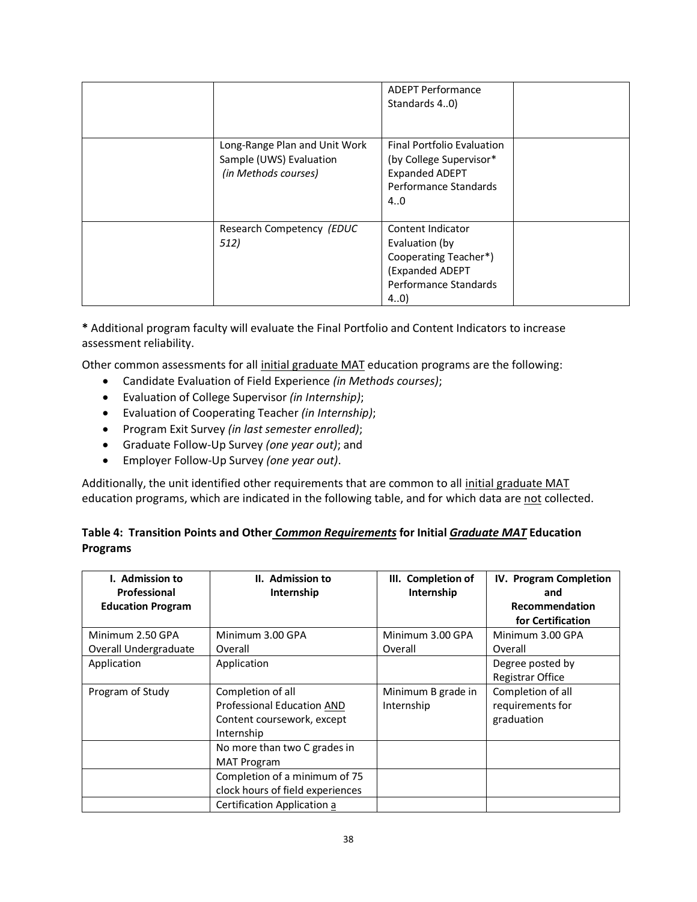|                                                                                  | <b>ADEPT Performance</b><br>Standards 40)                                                                             |  |
|----------------------------------------------------------------------------------|-----------------------------------------------------------------------------------------------------------------------|--|
| Long-Range Plan and Unit Work<br>Sample (UWS) Evaluation<br>(in Methods courses) | <b>Final Portfolio Evaluation</b><br>(by College Supervisor*<br><b>Expanded ADEPT</b><br>Performance Standards<br>4.0 |  |
| Research Competency (EDUC<br>512)                                                | Content Indicator<br>Evaluation (by<br>Cooperating Teacher*)<br>(Expanded ADEPT<br>Performance Standards<br>(4.0)     |  |

**\*** Additional program faculty will evaluate the Final Portfolio and Content Indicators to increase assessment reliability.

Other common assessments for all initial graduate MAT education programs are the following:

- Candidate Evaluation of Field Experience *(in Methods courses)*;
- Evaluation of College Supervisor *(in Internship)*;
- Evaluation of Cooperating Teacher *(in Internship)*;
- Program Exit Survey *(in last semester enrolled)*;
- Graduate Follow-Up Survey *(one year out)*; and
- Employer Follow-Up Survey *(one year out)*.

Additionally, the unit identified other requirements that are common to all initial graduate MAT education programs, which are indicated in the following table, and for which data are not collected.

# **Table 4: Transition Points and Other** *Common Requirements* **for Initial** *Graduate MAT* **Education Programs**

| I. Admission to<br>Professional | II. Admission to<br>Internship                                                                                              | III. Completion of<br>Internship | IV. Program Completion<br>and                       |
|---------------------------------|-----------------------------------------------------------------------------------------------------------------------------|----------------------------------|-----------------------------------------------------|
| <b>Education Program</b>        |                                                                                                                             |                                  | Recommendation<br>for Certification                 |
| Minimum 2.50 GPA                | Minimum 3.00 GPA                                                                                                            | Minimum 3.00 GPA                 | Minimum 3.00 GPA                                    |
| Overall Undergraduate           | Overall                                                                                                                     | Overall                          | Overall                                             |
| Application                     | Application                                                                                                                 |                                  | Degree posted by<br>Registrar Office                |
| Program of Study                | Completion of all<br>Professional Education AND<br>Content coursework, except<br>Internship<br>No more than two C grades in | Minimum B grade in<br>Internship | Completion of all<br>requirements for<br>graduation |
|                                 | <b>MAT Program</b><br>Completion of a minimum of 75<br>clock hours of field experiences<br>Certification Application a      |                                  |                                                     |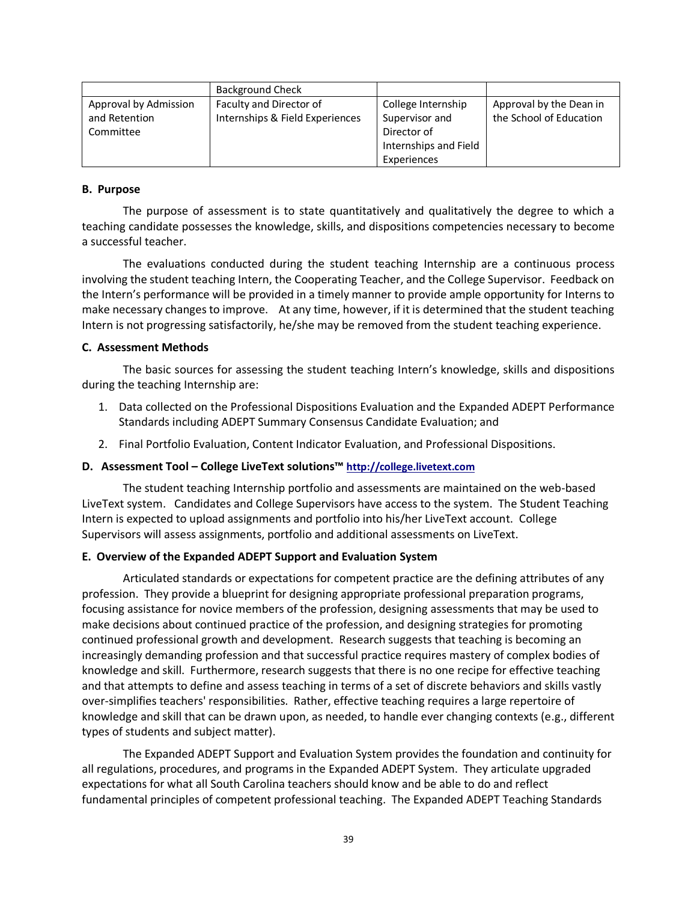|                       | <b>Background Check</b>         |                       |                         |
|-----------------------|---------------------------------|-----------------------|-------------------------|
| Approval by Admission | Faculty and Director of         | College Internship    | Approval by the Dean in |
| and Retention         | Internships & Field Experiences | Supervisor and        | the School of Education |
| Committee             |                                 | Director of           |                         |
|                       |                                 | Internships and Field |                         |
|                       |                                 | Experiences           |                         |

#### **B. Purpose**

The purpose of assessment is to state quantitatively and qualitatively the degree to which a teaching candidate possesses the knowledge, skills, and dispositions competencies necessary to become a successful teacher.

The evaluations conducted during the student teaching Internship are a continuous process involving the student teaching Intern, the Cooperating Teacher, and the College Supervisor. Feedback on the Intern's performance will be provided in a timely manner to provide ample opportunity for Interns to make necessary changes to improve. At any time, however, if it is determined that the student teaching Intern is not progressing satisfactorily, he/she may be removed from the student teaching experience.

#### **C. Assessment Methods**

The basic sources for assessing the student teaching Intern's knowledge, skills and dispositions during the teaching Internship are:

- 1. Data collected on the Professional Dispositions Evaluation and the Expanded ADEPT Performance Standards including ADEPT Summary Consensus Candidate Evaluation; and
- 2. Final Portfolio Evaluation, Content Indicator Evaluation, and Professional Dispositions.

## **D. Assessment Tool – College LiveText solutions™ [http://college.livetext.com](http://college.livetext.com/)**

The student teaching Internship portfolio and assessments are maintained on the web-based LiveText system. Candidates and College Supervisors have access to the system. The Student Teaching Intern is expected to upload assignments and portfolio into his/her LiveText account. College Supervisors will assess assignments, portfolio and additional assessments on LiveText.

## **E. Overview of the Expanded ADEPT Support and Evaluation System**

Articulated standards or expectations for competent practice are the defining attributes of any profession. They provide a blueprint for designing appropriate professional preparation programs, focusing assistance for novice members of the profession, designing assessments that may be used to make decisions about continued practice of the profession, and designing strategies for promoting continued professional growth and development. Research suggests that teaching is becoming an increasingly demanding profession and that successful practice requires mastery of complex bodies of knowledge and skill. Furthermore, research suggests that there is no one recipe for effective teaching and that attempts to define and assess teaching in terms of a set of discrete behaviors and skills vastly over-simplifies teachers' responsibilities. Rather, effective teaching requires a large repertoire of knowledge and skill that can be drawn upon, as needed, to handle ever changing contexts (e.g., different types of students and subject matter).

The Expanded ADEPT Support and Evaluation System provides the foundation and continuity for all regulations, procedures, and programs in the Expanded ADEPT System. They articulate upgraded expectations for what all South Carolina teachers should know and be able to do and reflect fundamental principles of competent professional teaching. The Expanded ADEPT Teaching Standards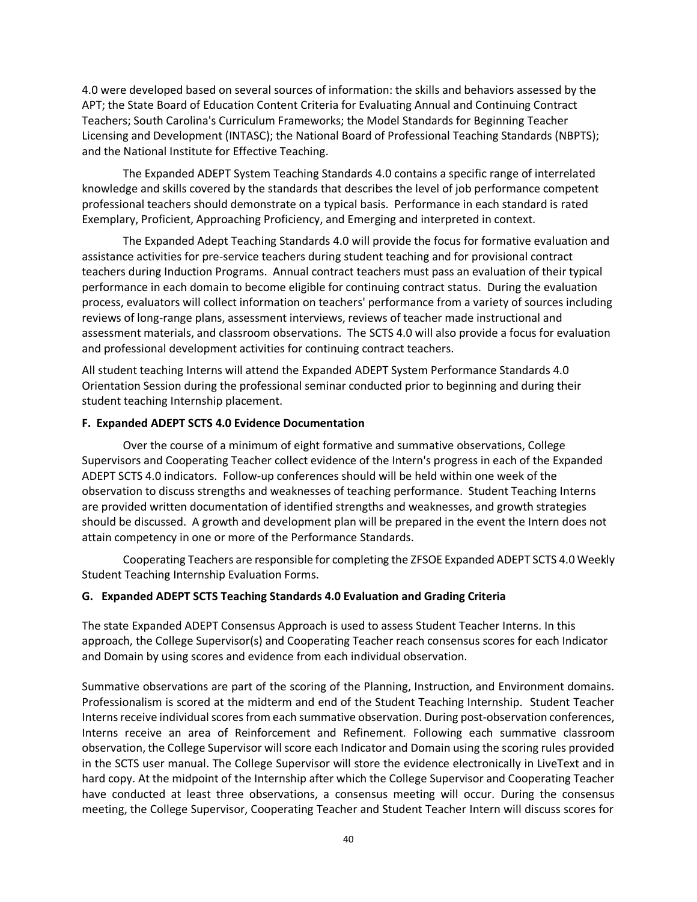4.0 were developed based on several sources of information: the skills and behaviors assessed by the APT; the State Board of Education Content Criteria for Evaluating Annual and Continuing Contract Teachers; South Carolina's Curriculum Frameworks; the Model Standards for Beginning Teacher Licensing and Development (INTASC); the National Board of Professional Teaching Standards (NBPTS); and the National Institute for Effective Teaching.

The Expanded ADEPT System Teaching Standards 4.0 contains a specific range of interrelated knowledge and skills covered by the standards that describes the level of job performance competent professional teachers should demonstrate on a typical basis. Performance in each standard is rated Exemplary, Proficient, Approaching Proficiency, and Emerging and interpreted in context.

The Expanded Adept Teaching Standards 4.0 will provide the focus for formative evaluation and assistance activities for pre-service teachers during student teaching and for provisional contract teachers during Induction Programs. Annual contract teachers must pass an evaluation of their typical performance in each domain to become eligible for continuing contract status. During the evaluation process, evaluators will collect information on teachers' performance from a variety of sources including reviews of long-range plans, assessment interviews, reviews of teacher made instructional and assessment materials, and classroom observations. The SCTS 4.0 will also provide a focus for evaluation and professional development activities for continuing contract teachers.

All student teaching Interns will attend the Expanded ADEPT System Performance Standards 4.0 Orientation Session during the professional seminar conducted prior to beginning and during their student teaching Internship placement.

## **F. Expanded ADEPT SCTS 4.0 Evidence Documentation**

Over the course of a minimum of eight formative and summative observations, College Supervisors and Cooperating Teacher collect evidence of the Intern's progress in each of the Expanded ADEPT SCTS 4.0 indicators. Follow-up conferences should will be held within one week of the observation to discuss strengths and weaknesses of teaching performance. Student Teaching Interns are provided written documentation of identified strengths and weaknesses, and growth strategies should be discussed. A growth and development plan will be prepared in the event the Intern does not attain competency in one or more of the Performance Standards.

Cooperating Teachers are responsible for completing the ZFSOE Expanded ADEPT SCTS 4.0 Weekly Student Teaching Internship Evaluation Forms.

#### **G. Expanded ADEPT SCTS Teaching Standards 4.0 Evaluation and Grading Criteria**

The state Expanded ADEPT Consensus Approach is used to assess Student Teacher Interns. In this approach, the College Supervisor(s) and Cooperating Teacher reach consensus scores for each Indicator and Domain by using scores and evidence from each individual observation.

Summative observations are part of the scoring of the Planning, Instruction, and Environment domains. Professionalism is scored at the midterm and end of the Student Teaching Internship. Student Teacher Interns receive individual scores from each summative observation. During post-observation conferences, Interns receive an area of Reinforcement and Refinement. Following each summative classroom observation, the College Supervisor will score each Indicator and Domain using the scoring rules provided in the SCTS user manual. The College Supervisor will store the evidence electronically in LiveText and in hard copy. At the midpoint of the Internship after which the College Supervisor and Cooperating Teacher have conducted at least three observations, a consensus meeting will occur. During the consensus meeting, the College Supervisor, Cooperating Teacher and Student Teacher Intern will discuss scores for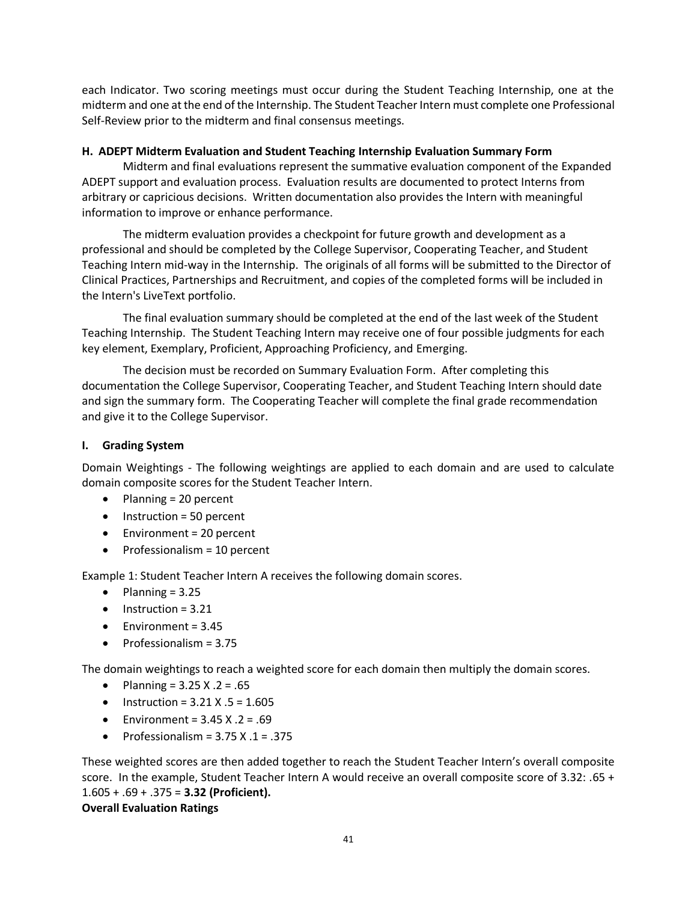each Indicator. Two scoring meetings must occur during the Student Teaching Internship, one at the midterm and one at the end of the Internship. The Student Teacher Intern must complete one Professional Self-Review prior to the midterm and final consensus meetings.

#### **H. ADEPT Midterm Evaluation and Student Teaching Internship Evaluation Summary Form**

Midterm and final evaluations represent the summative evaluation component of the Expanded ADEPT support and evaluation process. Evaluation results are documented to protect Interns from arbitrary or capricious decisions. Written documentation also provides the Intern with meaningful information to improve or enhance performance.

The midterm evaluation provides a checkpoint for future growth and development as a professional and should be completed by the College Supervisor, Cooperating Teacher, and Student Teaching Intern mid-way in the Internship. The originals of all forms will be submitted to the Director of Clinical Practices, Partnerships and Recruitment, and copies of the completed forms will be included in the Intern's LiveText portfolio.

The final evaluation summary should be completed at the end of the last week of the Student Teaching Internship. The Student Teaching Intern may receive one of four possible judgments for each key element, Exemplary, Proficient, Approaching Proficiency, and Emerging.

The decision must be recorded on Summary Evaluation Form. After completing this documentation the College Supervisor, Cooperating Teacher, and Student Teaching Intern should date and sign the summary form. The Cooperating Teacher will complete the final grade recommendation and give it to the College Supervisor.

## **I. Grading System**

Domain Weightings - The following weightings are applied to each domain and are used to calculate domain composite scores for the Student Teacher Intern.

- Planning = 20 percent
- Instruction = 50 percent
- Environment = 20 percent
- Professionalism = 10 percent

Example 1: Student Teacher Intern A receives the following domain scores.

- Planning  $= 3.25$
- $\bullet$  Instruction = 3.21
- Environment = 3.45
- Professionalism = 3.75

The domain weightings to reach a weighted score for each domain then multiply the domain scores.

- Planning =  $3.25 X .2 = .65$
- Instruction =  $3.21$  X  $.5$  =  $1.605$
- Environment =  $3.45$  X  $.2$  =  $.69$
- Professionalism =  $3.75$  X  $.1$  =  $.375$

These weighted scores are then added together to reach the Student Teacher Intern's overall composite score. In the example, Student Teacher Intern A would receive an overall composite score of 3.32: .65 + 1.605 + .69 + .375 = **3.32 (Proficient). Overall Evaluation Ratings**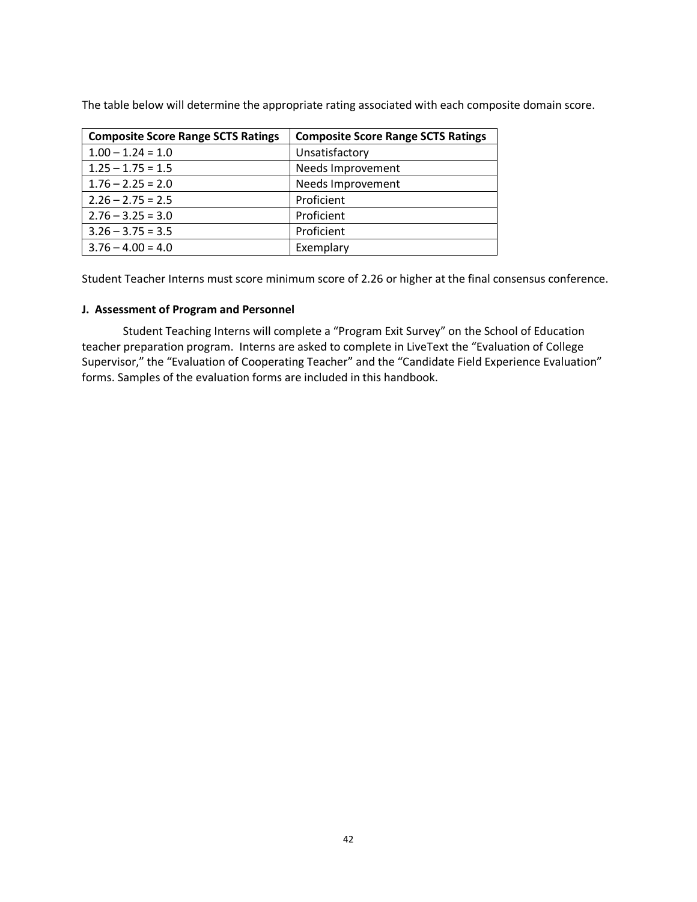The table below will determine the appropriate rating associated with each composite domain score.

| <b>Composite Score Range SCTS Ratings</b> | <b>Composite Score Range SCTS Ratings</b> |
|-------------------------------------------|-------------------------------------------|
| $1.00 - 1.24 = 1.0$                       | Unsatisfactory                            |
| $1.25 - 1.75 = 1.5$                       | Needs Improvement                         |
| $1.76 - 2.25 = 2.0$                       | Needs Improvement                         |
| $2.26 - 2.75 = 2.5$                       | Proficient                                |
| $2.76 - 3.25 = 3.0$                       | Proficient                                |
| $3.26 - 3.75 = 3.5$                       | Proficient                                |
| $3.76 - 4.00 = 4.0$                       | Exemplary                                 |

Student Teacher Interns must score minimum score of 2.26 or higher at the final consensus conference.

#### **J. Assessment of Program and Personnel**

Student Teaching Interns will complete a "Program Exit Survey" on the School of Education teacher preparation program. Interns are asked to complete in LiveText the "Evaluation of College Supervisor," the "Evaluation of Cooperating Teacher" and the "Candidate Field Experience Evaluation" forms. Samples of the evaluation forms are included in this handbook.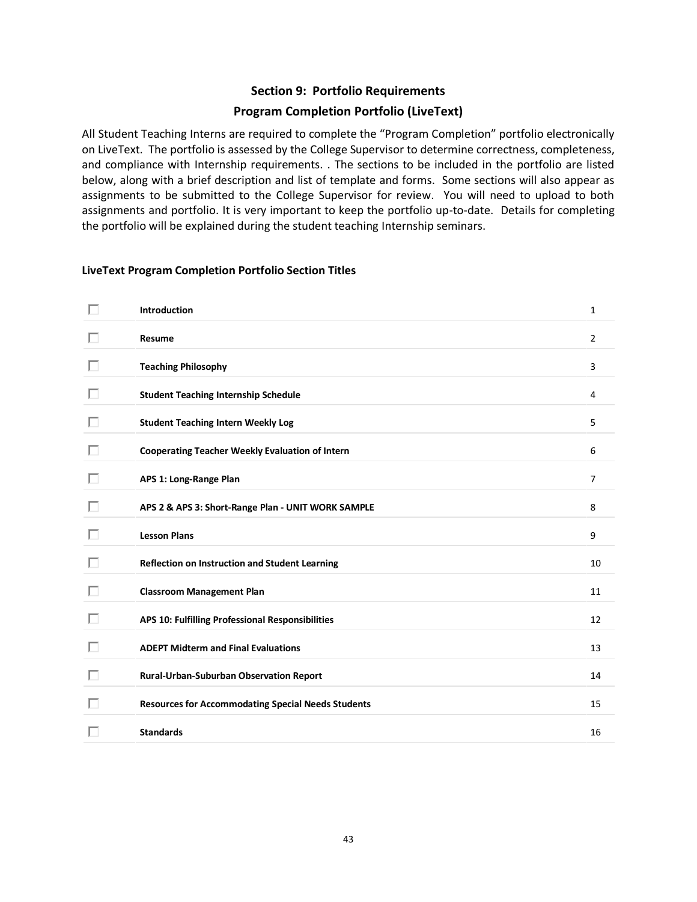# **Section 9: Portfolio Requirements**

## **Program Completion Portfolio (LiveText)**

All Student Teaching Interns are required to complete the "Program Completion" portfolio electronically on LiveText. The portfolio is assessed by the College Supervisor to determine correctness, completeness, and compliance with Internship requirements. . The sections to be included in the portfolio are listed below, along with a brief description and list of template and forms. Some sections will also appear as assignments to be submitted to the College Supervisor for review. You will need to upload to both assignments and portfolio. It is very important to keep the portfolio up-to-date. Details for completing the portfolio will be explained during the student teaching Internship seminars.

#### **LiveText Program Completion Portfolio Section Titles**

| П | Introduction                                              | 1              |
|---|-----------------------------------------------------------|----------------|
| ш | Resume                                                    | $\overline{2}$ |
| U | <b>Teaching Philosophy</b>                                | 3              |
| ш | <b>Student Teaching Internship Schedule</b>               | 4              |
| ш | <b>Student Teaching Intern Weekly Log</b>                 | 5              |
| ш | <b>Cooperating Teacher Weekly Evaluation of Intern</b>    | 6              |
| п | APS 1: Long-Range Plan                                    | $\overline{7}$ |
| U | APS 2 & APS 3: Short-Range Plan - UNIT WORK SAMPLE        | 8              |
| ш | <b>Lesson Plans</b>                                       | 9              |
| ш | Reflection on Instruction and Student Learning            | 10             |
| U | <b>Classroom Management Plan</b>                          | 11             |
| ш | APS 10: Fulfilling Professional Responsibilities          | 12             |
| ш | <b>ADEPT Midterm and Final Evaluations</b>                | 13             |
| ш | Rural-Urban-Suburban Observation Report                   | 14             |
| п | <b>Resources for Accommodating Special Needs Students</b> | 15             |
|   |                                                           |                |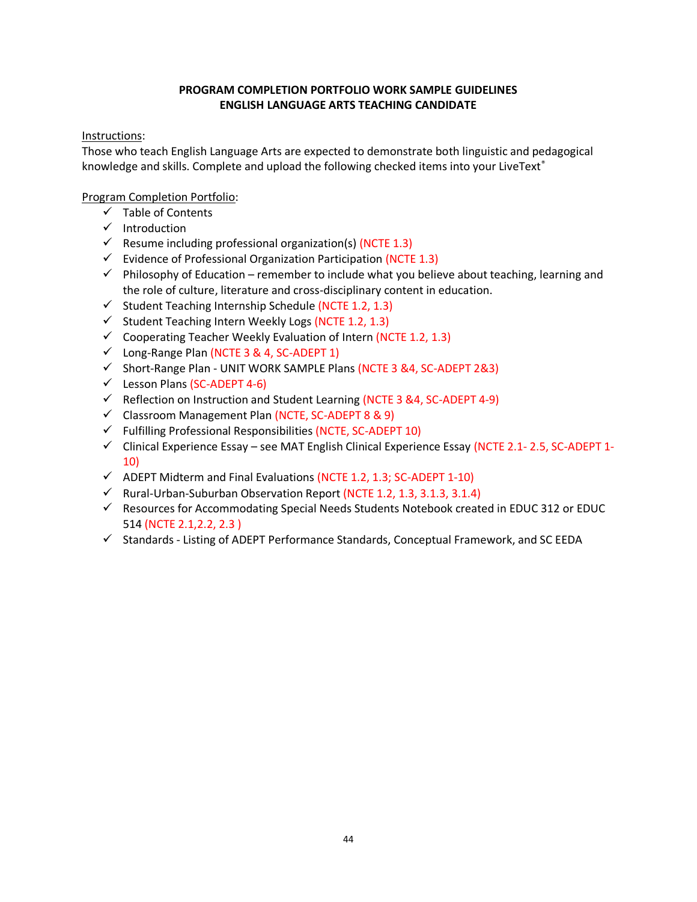# **PROGRAM COMPLETION PORTFOLIO WORK SAMPLE GUIDELINES ENGLISH LANGUAGE ARTS TEACHING CANDIDATE**

## Instructions:

Those who teach English Language Arts are expected to demonstrate both linguistic and pedagogical knowledge and skills. Complete and upload the following checked items into your LiveText®

- ✓ Table of Contents
- ✓ Introduction
- $\checkmark$  Resume including professional organization(s) (NCTE 1.3)
- $\checkmark$  Evidence of Professional Organization Participation (NCTE 1.3)
- $\checkmark$  Philosophy of Education remember to include what you believe about teaching, learning and the role of culture, literature and cross-disciplinary content in education.
- $\checkmark$  Student Teaching Internship Schedule (NCTE 1.2, 1.3)
- $\checkmark$  Student Teaching Intern Weekly Logs (NCTE 1.2, 1.3)
- $\checkmark$  Cooperating Teacher Weekly Evaluation of Intern (NCTE 1.2, 1.3)
- $\checkmark$  Long-Range Plan (NCTE 3 & 4, SC-ADEPT 1)
- ✓ Short-Range Plan UNIT WORK SAMPLE Plans (NCTE 3 &4, SC-ADEPT 2&3)
- $\checkmark$  Lesson Plans (SC-ADEPT 4-6)
- $\checkmark$  Reflection on Instruction and Student Learning (NCTE 3 & 4, SC-ADEPT 4-9)
- ✓ Classroom Management Plan (NCTE, SC-ADEPT 8 & 9)
- ✓ Fulfilling Professional Responsibilities (NCTE, SC-ADEPT 10)
- $\checkmark$  Clinical Experience Essay see MAT English Clinical Experience Essay (NCTE 2.1- 2.5, SC-ADEPT 1-10)
- $\checkmark$  ADEPT Midterm and Final Evaluations (NCTE 1.2, 1.3; SC-ADEPT 1-10)
- $\checkmark$  Rural-Urban-Suburban Observation Report (NCTE 1.2, 1.3, 3.1.3, 3.1.4)
- $\checkmark$  Resources for Accommodating Special Needs Students Notebook created in EDUC 312 or EDUC 514 (NCTE 2.1,2.2, 2.3 )
- ✓ Standards Listing of ADEPT Performance Standards, Conceptual Framework, and SC EEDA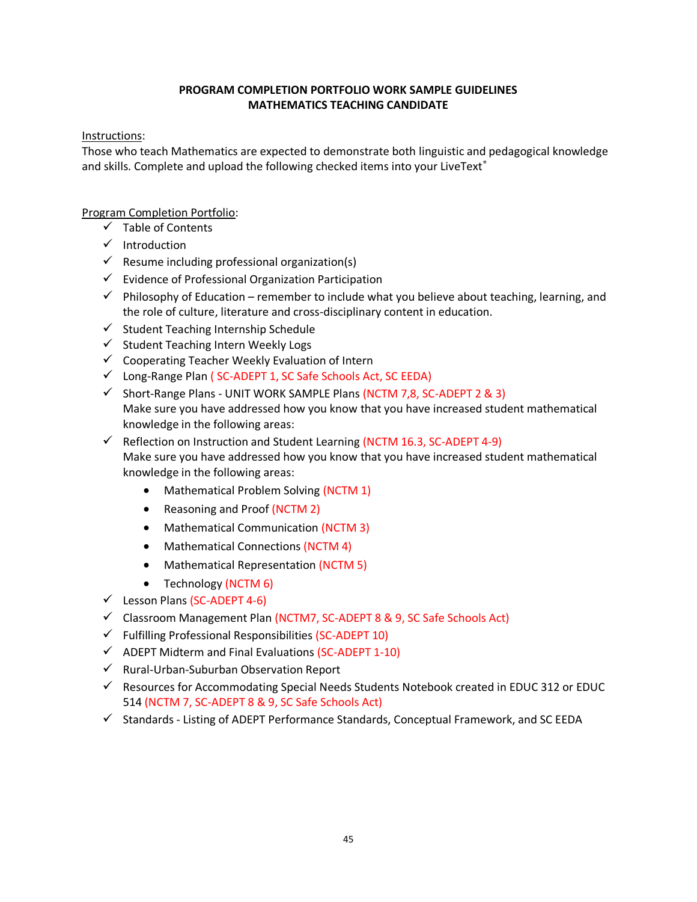# **PROGRAM COMPLETION PORTFOLIO WORK SAMPLE GUIDELINES MATHEMATICS TEACHING CANDIDATE**

## Instructions:

Those who teach Mathematics are expected to demonstrate both linguistic and pedagogical knowledge and skills. Complete and upload the following checked items into your LiveText®

- ✓ Table of Contents
- ✓ Introduction
- $\checkmark$  Resume including professional organization(s)
- ✓ Evidence of Professional Organization Participation
- $\checkmark$  Philosophy of Education remember to include what you believe about teaching, learning, and the role of culture, literature and cross-disciplinary content in education.
- $\checkmark$  Student Teaching Internship Schedule
- ✓ Student Teaching Intern Weekly Logs
- ✓ Cooperating Teacher Weekly Evaluation of Intern
- ✓ Long-Range Plan ( SC-ADEPT 1, SC Safe Schools Act, SC EEDA)
- ✓ Short-Range Plans UNIT WORK SAMPLE Plans (NCTM 7,8, SC-ADEPT 2 & 3) Make sure you have addressed how you know that you have increased student mathematical knowledge in the following areas:
- $\checkmark$  Reflection on Instruction and Student Learning (NCTM 16.3, SC-ADEPT 4-9) Make sure you have addressed how you know that you have increased student mathematical knowledge in the following areas:
	- Mathematical Problem Solving (NCTM 1)
	- Reasoning and Proof (NCTM 2)
	- Mathematical Communication (NCTM 3)
	- Mathematical Connections (NCTM 4)
	- Mathematical Representation (NCTM 5)
	- Technology (NCTM 6)
- $\checkmark$  Lesson Plans (SC-ADEPT 4-6)
- ✓ Classroom Management Plan (NCTM7, SC-ADEPT 8 & 9, SC Safe Schools Act)
- $\checkmark$  Fulfilling Professional Responsibilities (SC-ADEPT 10)
- $\checkmark$  ADEPT Midterm and Final Evaluations (SC-ADEPT 1-10)
- $\checkmark$  Rural-Urban-Suburban Observation Report
- $\checkmark$  Resources for Accommodating Special Needs Students Notebook created in EDUC 312 or EDUC 514 (NCTM 7, SC-ADEPT 8 & 9, SC Safe Schools Act)
- ✓ Standards Listing of ADEPT Performance Standards, Conceptual Framework, and SC EEDA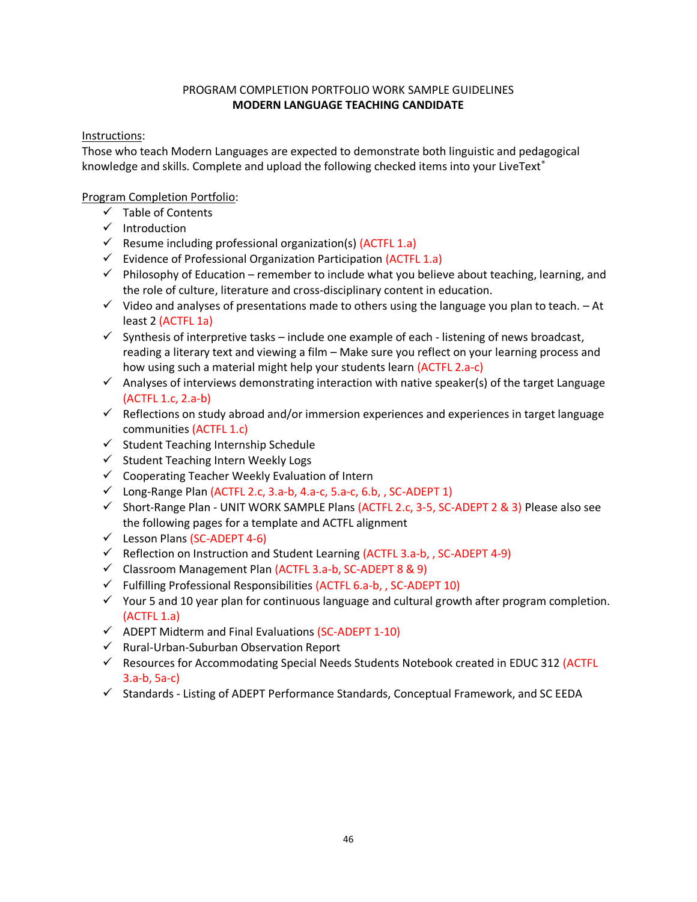# PROGRAM COMPLETION PORTFOLIO WORK SAMPLE GUIDELINES **MODERN LANGUAGE TEACHING CANDIDATE**

## Instructions:

Those who teach Modern Languages are expected to demonstrate both linguistic and pedagogical knowledge and skills. Complete and upload the following checked items into your LiveText®

- ✓ Table of Contents
- ✓ Introduction
- $\checkmark$  Resume including professional organization(s) (ACTFL 1.a)
- $\checkmark$  Evidence of Professional Organization Participation (ACTFL 1.a)
- $\checkmark$  Philosophy of Education remember to include what you believe about teaching, learning, and the role of culture, literature and cross-disciplinary content in education.
- $\checkmark$  Video and analyses of presentations made to others using the language you plan to teach. At least 2 (ACTFL 1a)
- $\checkmark$  Synthesis of interpretive tasks include one example of each listening of news broadcast, reading a literary text and viewing a film – Make sure you reflect on your learning process and how using such a material might help your students learn (ACTFL 2.a-c)
- $\checkmark$  Analyses of interviews demonstrating interaction with native speaker(s) of the target Language (ACTFL 1.c, 2.a-b)
- ✓ Reflections on study abroad and/or immersion experiences and experiences in target language communities (ACTFL 1.c)
- ✓ Student Teaching Internship Schedule
- ✓ Student Teaching Intern Weekly Logs
- ✓ Cooperating Teacher Weekly Evaluation of Intern
- $\checkmark$  Long-Range Plan (ACTFL 2.c, 3.a-b, 4.a-c, 5.a-c, 6.b, , SC-ADEPT 1)
- ✓ Short-Range Plan UNIT WORK SAMPLE Plans (ACTFL 2.c, 3-5, SC-ADEPT 2 & 3) Please also see the following pages for a template and ACTFL alignment
- ✓ Lesson Plans (SC-ADEPT 4-6)
- ✓ Reflection on Instruction and Student Learning (ACTFL 3.a-b, , SC-ADEPT 4-9)
- ✓ Classroom Management Plan (ACTFL 3.a-b, SC-ADEPT 8 & 9)
- $\checkmark$  Fulfilling Professional Responsibilities (ACTFL 6.a-b, , SC-ADEPT 10)
- ✓ Your 5 and 10 year plan for continuous language and cultural growth after program completion. (ACTFL 1.a)
- $\checkmark$  ADEPT Midterm and Final Evaluations (SC-ADEPT 1-10)
- ✓ Rural-Urban-Suburban Observation Report
- ✓ Resources for Accommodating Special Needs Students Notebook created in EDUC 312 (ACTFL 3.a-b, 5a-c)
- ✓ Standards Listing of ADEPT Performance Standards, Conceptual Framework, and SC EEDA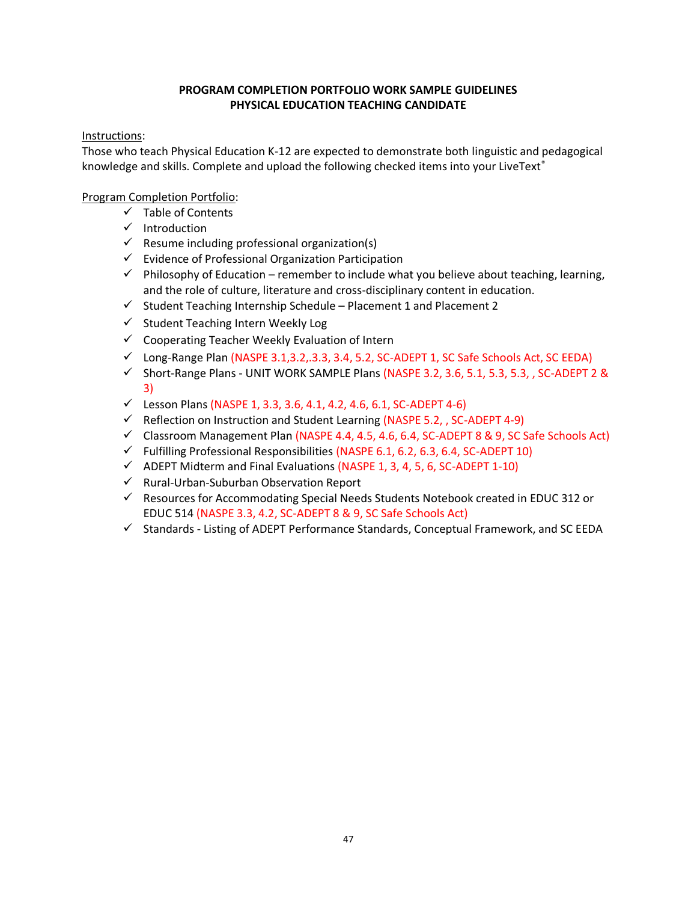# **PROGRAM COMPLETION PORTFOLIO WORK SAMPLE GUIDELINES PHYSICAL EDUCATION TEACHING CANDIDATE**

## Instructions:

Those who teach Physical Education K-12 are expected to demonstrate both linguistic and pedagogical knowledge and skills. Complete and upload the following checked items into your LiveText®

- ✓ Table of Contents
- ✓ Introduction
- $\checkmark$  Resume including professional organization(s)
- ✓ Evidence of Professional Organization Participation
- $\checkmark$  Philosophy of Education remember to include what you believe about teaching, learning, and the role of culture, literature and cross-disciplinary content in education.
- $\checkmark$  Student Teaching Internship Schedule Placement 1 and Placement 2
- ✓ Student Teaching Intern Weekly Log
- $\checkmark$  Cooperating Teacher Weekly Evaluation of Intern
- ✓ Long-Range Plan (NASPE 3.1,3.2,.3.3, 3.4, 5.2, SC-ADEPT 1, SC Safe Schools Act, SC EEDA)
- ✓ Short-Range Plans UNIT WORK SAMPLE Plans (NASPE 3.2, 3.6, 5.1, 5.3, 5.3, , SC-ADEPT 2 & 3)
- ✓ Lesson Plans (NASPE 1, 3.3, 3.6, 4.1, 4.2, 4.6, 6.1, SC-ADEPT 4-6)
- ✓ Reflection on Instruction and Student Learning (NASPE 5.2, , SC-ADEPT 4-9)
- $\checkmark$  Classroom Management Plan (NASPE 4.4, 4.5, 4.6, 6.4, SC-ADEPT 8 & 9, SC Safe Schools Act)
- ✓ Fulfilling Professional Responsibilities (NASPE 6.1, 6.2, 6.3, 6.4, SC-ADEPT 10)
- $\checkmark$  ADEPT Midterm and Final Evaluations (NASPE 1, 3, 4, 5, 6, SC-ADEPT 1-10)
- ✓ Rural-Urban-Suburban Observation Report
- ✓ Resources for Accommodating Special Needs Students Notebook created in EDUC 312 or EDUC 514 (NASPE 3.3, 4.2, SC-ADEPT 8 & 9, SC Safe Schools Act)
- ✓ Standards Listing of ADEPT Performance Standards, Conceptual Framework, and SC EEDA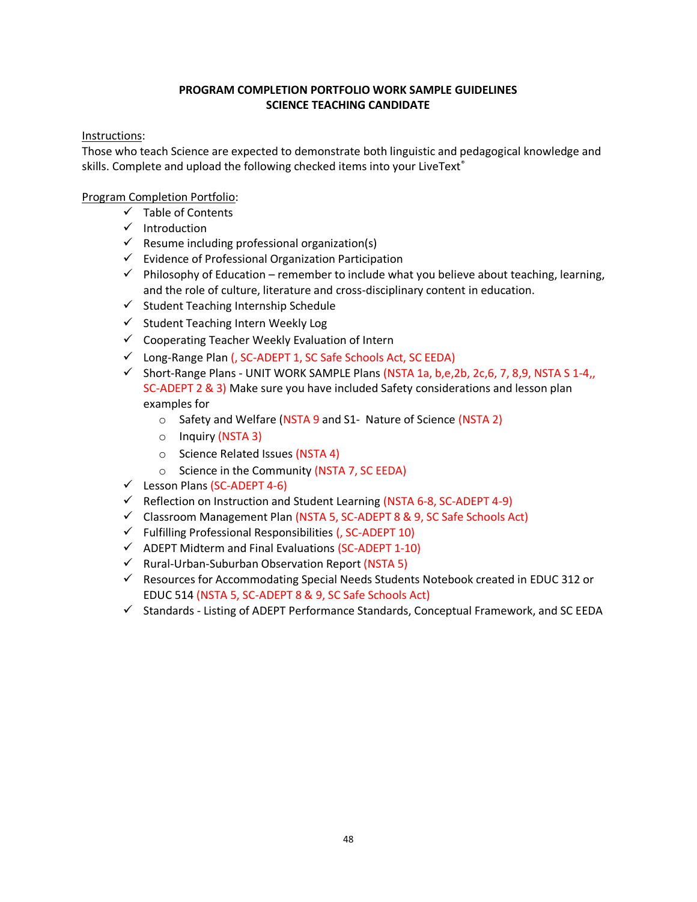# **PROGRAM COMPLETION PORTFOLIO WORK SAMPLE GUIDELINES SCIENCE TEACHING CANDIDATE**

## Instructions:

Those who teach Science are expected to demonstrate both linguistic and pedagogical knowledge and skills. Complete and upload the following checked items into your LiveText<sup>®</sup>

- ✓ Table of Contents
- ✓ Introduction
- $\checkmark$  Resume including professional organization(s)
- ✓ Evidence of Professional Organization Participation
- $\checkmark$  Philosophy of Education remember to include what you believe about teaching, learning, and the role of culture, literature and cross-disciplinary content in education.
- $\checkmark$  Student Teaching Internship Schedule
- ✓ Student Teaching Intern Weekly Log
- $\checkmark$  Cooperating Teacher Weekly Evaluation of Intern
- ✓ Long-Range Plan (, SC-ADEPT 1, SC Safe Schools Act, SC EEDA)
- $\checkmark$  Short-Range Plans UNIT WORK SAMPLE Plans (NSTA 1a, b,e, 2b, 2c, 6, 7, 8, 9, NSTA S 1-4,, SC-ADEPT 2 & 3) Make sure you have included Safety considerations and lesson plan examples for
	- o Safety and Welfare (NSTA 9 and S1- Nature of Science (NSTA 2)
	- o Inquiry (NSTA 3)
	- o Science Related Issues (NSTA 4)
	- o Science in the Community (NSTA 7, SC EEDA)
- ✓ Lesson Plans (SC-ADEPT 4-6)
- ✓ Reflection on Instruction and Student Learning (NSTA 6-8, SC-ADEPT 4-9)
- ✓ Classroom Management Plan (NSTA 5, SC-ADEPT 8 & 9, SC Safe Schools Act)
- $\checkmark$  Fulfilling Professional Responsibilities (, SC-ADEPT 10)
- ✓ ADEPT Midterm and Final Evaluations (SC-ADEPT 1-10)
- ✓ Rural-Urban-Suburban Observation Report (NSTA 5)
- $\checkmark$  Resources for Accommodating Special Needs Students Notebook created in EDUC 312 or EDUC 514 (NSTA 5, SC-ADEPT 8 & 9, SC Safe Schools Act)
- ✓ Standards Listing of ADEPT Performance Standards, Conceptual Framework, and SC EEDA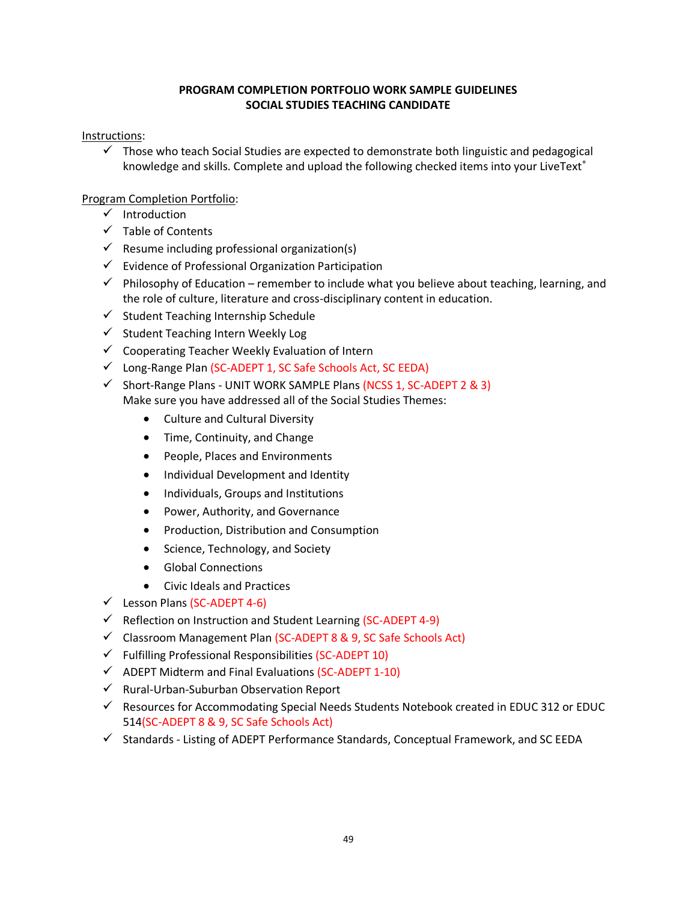# **PROGRAM COMPLETION PORTFOLIO WORK SAMPLE GUIDELINES SOCIAL STUDIES TEACHING CANDIDATE**

## Instructions:

 $\checkmark$  Those who teach Social Studies are expected to demonstrate both linguistic and pedagogical knowledge and skills. Complete and upload the following checked items into your LiveText<sup>®</sup>

- ✓ Introduction
- $\checkmark$  Table of Contents
- $\checkmark$  Resume including professional organization(s)
- ✓ Evidence of Professional Organization Participation
- $\checkmark$  Philosophy of Education remember to include what you believe about teaching, learning, and the role of culture, literature and cross-disciplinary content in education.
- $\checkmark$  Student Teaching Internship Schedule
- $\checkmark$  Student Teaching Intern Weekly Log
- $\checkmark$  Cooperating Teacher Weekly Evaluation of Intern
- ✓ Long-Range Plan (SC-ADEPT 1, SC Safe Schools Act, SC EEDA)
- $\checkmark$  Short-Range Plans UNIT WORK SAMPLE Plans (NCSS 1, SC-ADEPT 2 & 3) Make sure you have addressed all of the Social Studies Themes:
	- Culture and Cultural Diversity
	- Time, Continuity, and Change
	- People, Places and Environments
	- Individual Development and Identity
	- Individuals, Groups and Institutions
	- Power, Authority, and Governance
	- Production, Distribution and Consumption
	- Science, Technology, and Society
	- Global Connections
	- Civic Ideals and Practices
- $\checkmark$  Lesson Plans (SC-ADEPT 4-6)
- ✓ Reflection on Instruction and Student Learning (SC-ADEPT 4-9)
- ✓ Classroom Management Plan (SC-ADEPT 8 & 9, SC Safe Schools Act)
- $\checkmark$  Fulfilling Professional Responsibilities (SC-ADEPT 10)
- $\checkmark$  ADEPT Midterm and Final Evaluations (SC-ADEPT 1-10)
- ✓ Rural-Urban-Suburban Observation Report
- $\checkmark$  Resources for Accommodating Special Needs Students Notebook created in EDUC 312 or EDUC 514(SC-ADEPT 8 & 9, SC Safe Schools Act)
- ✓ Standards Listing of ADEPT Performance Standards, Conceptual Framework, and SC EEDA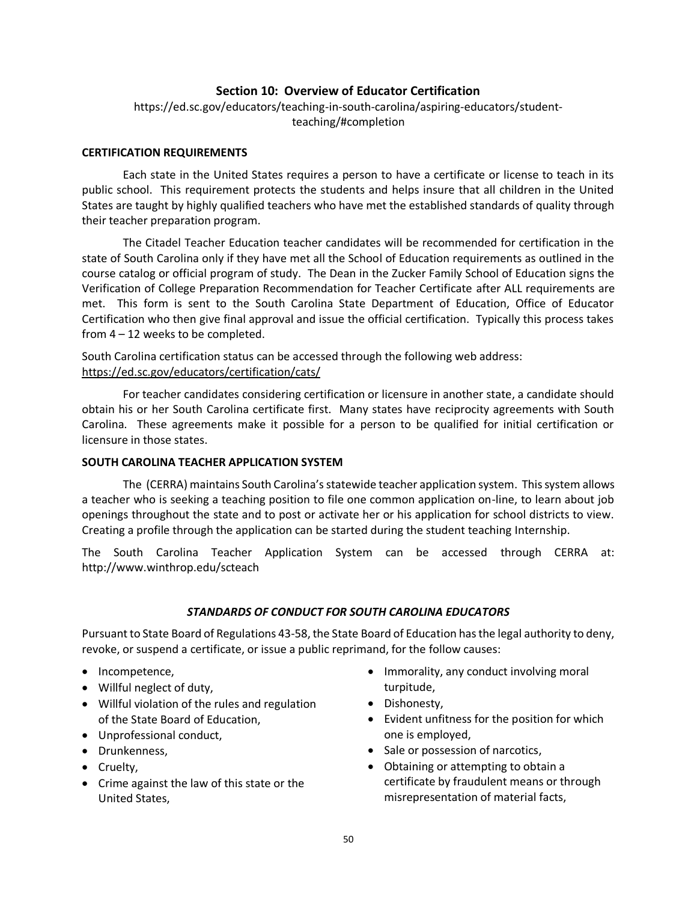# **Section 10: Overview of Educator Certification**

https://ed.sc.gov/educators/teaching-in-south-carolina/aspiring-educators/studentteaching/#completion

#### **CERTIFICATION REQUIREMENTS**

Each state in the United States requires a person to have a certificate or license to teach in its public school. This requirement protects the students and helps insure that all children in the United States are taught by highly qualified teachers who have met the established standards of quality through their teacher preparation program.

The Citadel Teacher Education teacher candidates will be recommended for certification in the state of South Carolina only if they have met all the School of Education requirements as outlined in the course catalog or official program of study. The Dean in the Zucker Family School of Education signs the Verification of College Preparation Recommendation for Teacher Certificate after ALL requirements are met. This form is sent to the South Carolina State Department of Education, Office of Educator Certification who then give final approval and issue the official certification. Typically this process takes from 4 – 12 weeks to be completed.

South Carolina certification status can be accessed through the following web address: https://ed.sc.gov/educators/certification/cats/

For teacher candidates considering certification or licensure in another state, a candidate should obtain his or her South Carolina certificate first. Many states have reciprocity agreements with South Carolina. These agreements make it possible for a person to be qualified for initial certification or licensure in those states.

## **SOUTH CAROLINA TEACHER APPLICATION SYSTEM**

The (CERRA) maintains South Carolina's statewide teacher application system. This system allows a teacher who is seeking a teaching position to file one common application on-line, to learn about job openings throughout the state and to post or activate her or his application for school districts to view. Creating a profile through the application can be started during the student teaching Internship.

The South Carolina Teacher Application System can be accessed through CERRA at: http://www.winthrop.edu/scteach

#### *STANDARDS OF CONDUCT FOR SOUTH CAROLINA EDUCATORS*

Pursuant to State Board of Regulations 43-58, the State Board of Education has the legal authority to deny, revoke, or suspend a certificate, or issue a public reprimand, for the follow causes:

- Incompetence,
- Willful neglect of duty,
- Willful violation of the rules and regulation of the State Board of Education,
- Unprofessional conduct,
- Drunkenness,
- Cruelty,
- Crime against the law of this state or the United States,
- Immorality, any conduct involving moral turpitude,
- Dishonesty,
- Evident unfitness for the position for which one is employed,
- Sale or possession of narcotics,
- Obtaining or attempting to obtain a certificate by fraudulent means or through misrepresentation of material facts,